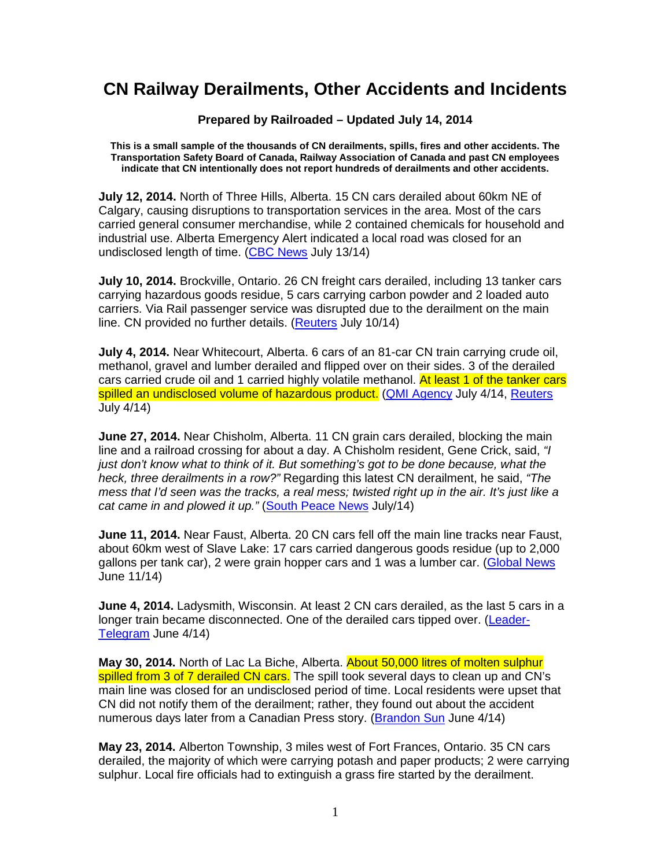## **CN Railway Derailments, Other Accidents and Incidents**

**Prepared by Railroaded – Updated July 14, 2014** 

**This is a small sample of the thousands of CN derailments, spills, fires and other accidents. The Transportation Safety Board of Canada, Railway Association of Canada and past CN employees indicate that CN intentionally does not report hundreds of derailments and other accidents.** 

**July 12, 2014.** North of Three Hills, Alberta. 15 CN cars derailed about 60km NE of Calgary, causing disruptions to transportation services in the area. Most of the cars carried general consumer merchandise, while 2 contained chemicals for household and industrial use. Alberta Emergency Alert indicated a local road was closed for an undisclosed length of time. (CBC News July 13/14)

**July 10, 2014.** Brockville, Ontario. 26 CN freight cars derailed, including 13 tanker cars carrying hazardous goods residue, 5 cars carrying carbon powder and 2 loaded auto carriers. Via Rail passenger service was disrupted due to the derailment on the main line. CN provided no further details. (Reuters July 10/14)

**July 4, 2014.** Near Whitecourt, Alberta. 6 cars of an 81-car CN train carrying crude oil, methanol, gravel and lumber derailed and flipped over on their sides. 3 of the derailed cars carried crude oil and 1 carried highly volatile methanol. At least 1 of the tanker cars spilled an undisclosed volume of hazardous product. (QMI Agency July 4/14, Reuters July 4/14)

**June 27, 2014.** Near Chisholm, Alberta. 11 CN grain cars derailed, blocking the main line and a railroad crossing for about a day. A Chisholm resident, Gene Crick, said, "I just don't know what to think of it. But something's got to be done because, what the heck, three derailments in a row?" Regarding this latest CN derailment, he said, "The mess that I'd seen was the tracks, a real mess; twisted right up in the air. It's just like a cat came in and plowed it up." (South Peace News July/14)

**June 11, 2014.** Near Faust, Alberta. 20 CN cars fell off the main line tracks near Faust, about 60km west of Slave Lake: 17 cars carried dangerous goods residue (up to 2,000 gallons per tank car), 2 were grain hopper cars and 1 was a lumber car. (Global News June 11/14)

**June 4, 2014.** Ladysmith, Wisconsin. At least 2 CN cars derailed, as the last 5 cars in a longer train became disconnected. One of the derailed cars tipped over. (Leader-Telegram June 4/14)

**May 30, 2014.** North of Lac La Biche, Alberta. About 50,000 litres of molten sulphur spilled from 3 of 7 derailed CN cars. The spill took several days to clean up and CN's main line was closed for an undisclosed period of time. Local residents were upset that CN did not notify them of the derailment; rather, they found out about the accident numerous days later from a Canadian Press story. (Brandon Sun June 4/14)

**May 23, 2014.** Alberton Township, 3 miles west of Fort Frances, Ontario. 35 CN cars derailed, the majority of which were carrying potash and paper products; 2 were carrying sulphur. Local fire officials had to extinguish a grass fire started by the derailment.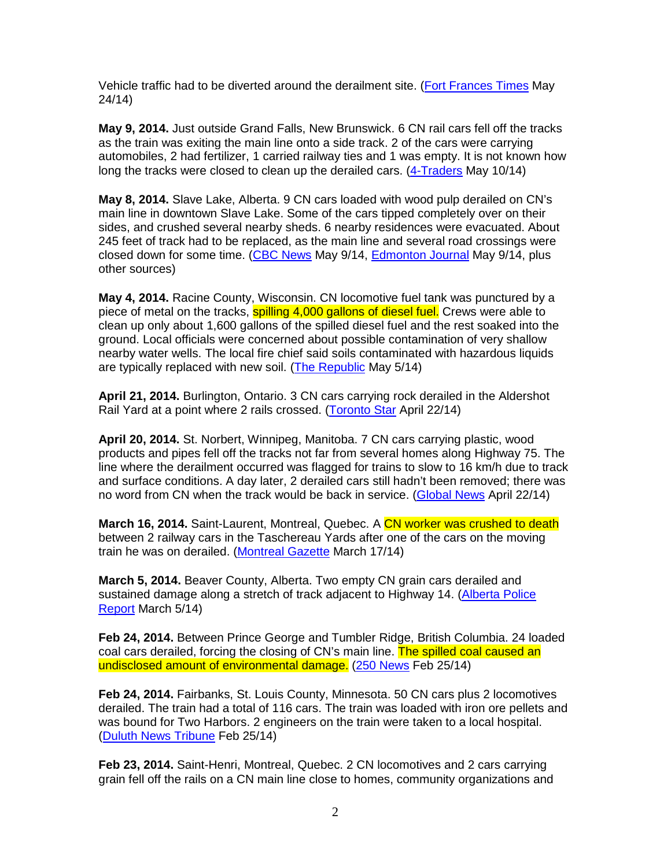Vehicle traffic had to be diverted around the derailment site. (Fort Frances Times May 24/14)

**May 9, 2014.** Just outside Grand Falls, New Brunswick. 6 CN rail cars fell off the tracks as the train was exiting the main line onto a side track. 2 of the cars were carrying automobiles, 2 had fertilizer, 1 carried railway ties and 1 was empty. It is not known how long the tracks were closed to clean up the derailed cars. (4-Traders May 10/14)

**May 8, 2014.** Slave Lake, Alberta. 9 CN cars loaded with wood pulp derailed on CN's main line in downtown Slave Lake. Some of the cars tipped completely over on their sides, and crushed several nearby sheds. 6 nearby residences were evacuated. About 245 feet of track had to be replaced, as the main line and several road crossings were closed down for some time. (CBC News May 9/14, Edmonton Journal May 9/14, plus other sources)

**May 4, 2014.** Racine County, Wisconsin. CN locomotive fuel tank was punctured by a piece of metal on the tracks, spilling 4,000 gallons of diesel fuel. Crews were able to clean up only about 1,600 gallons of the spilled diesel fuel and the rest soaked into the ground. Local officials were concerned about possible contamination of very shallow nearby water wells. The local fire chief said soils contaminated with hazardous liquids are typically replaced with new soil. (The Republic May 5/14)

**April 21, 2014.** Burlington, Ontario. 3 CN cars carrying rock derailed in the Aldershot Rail Yard at a point where 2 rails crossed. (Toronto Star April 22/14)

**April 20, 2014.** St. Norbert, Winnipeg, Manitoba. 7 CN cars carrying plastic, wood products and pipes fell off the tracks not far from several homes along Highway 75. The line where the derailment occurred was flagged for trains to slow to 16 km/h due to track and surface conditions. A day later, 2 derailed cars still hadn't been removed; there was no word from CN when the track would be back in service. (Global News April 22/14)

**March 16, 2014.** Saint-Laurent, Montreal, Quebec. A CN worker was crushed to death between 2 railway cars in the Taschereau Yards after one of the cars on the moving train he was on derailed. (Montreal Gazette March 17/14)

**March 5, 2014.** Beaver County, Alberta. Two empty CN grain cars derailed and sustained damage along a stretch of track adjacent to Highway 14. (Alberta Police Report March 5/14)

**Feb 24, 2014.** Between Prince George and Tumbler Ridge, British Columbia. 24 loaded coal cars derailed, forcing the closing of CN's main line. The spilled coal caused an undisclosed amount of environmental damage. (250 News Feb 25/14)

**Feb 24, 2014.** Fairbanks, St. Louis County, Minnesota. 50 CN cars plus 2 locomotives derailed. The train had a total of 116 cars. The train was loaded with iron ore pellets and was bound for Two Harbors. 2 engineers on the train were taken to a local hospital. (Duluth News Tribune Feb 25/14)

**Feb 23, 2014.** Saint-Henri, Montreal, Quebec. 2 CN locomotives and 2 cars carrying grain fell off the rails on a CN main line close to homes, community organizations and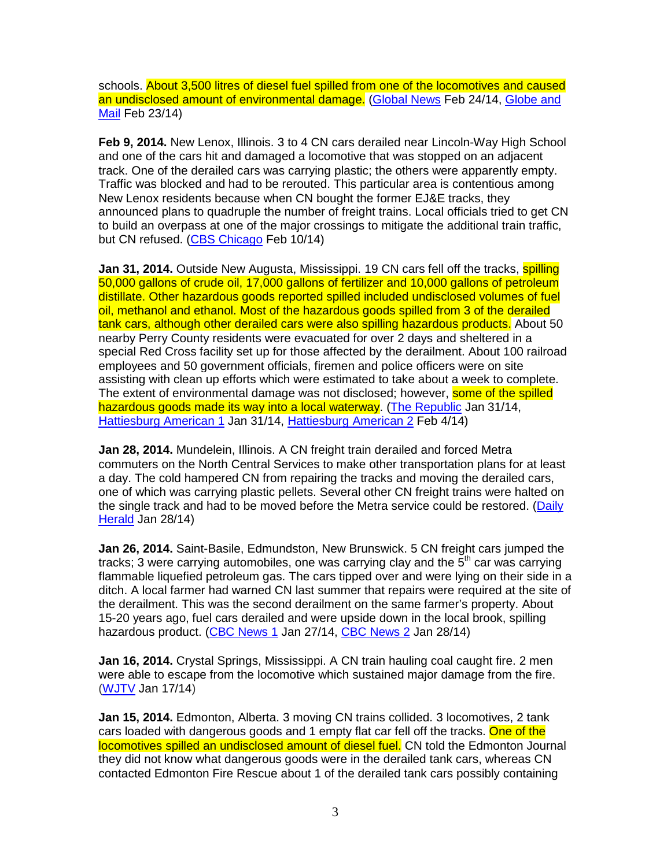schools. About 3,500 litres of diesel fuel spilled from one of the locomotives and caused an undisclosed amount of environmental damage. (Global News Feb 24/14, Globe and Mail Feb 23/14)

**Feb 9, 2014.** New Lenox, Illinois. 3 to 4 CN cars derailed near Lincoln-Way High School and one of the cars hit and damaged a locomotive that was stopped on an adjacent track. One of the derailed cars was carrying plastic; the others were apparently empty. Traffic was blocked and had to be rerouted. This particular area is contentious among New Lenox residents because when CN bought the former EJ&E tracks, they announced plans to quadruple the number of freight trains. Local officials tried to get CN to build an overpass at one of the major crossings to mitigate the additional train traffic, but CN refused. (CBS Chicago Feb 10/14)

Jan 31, 2014. Outside New Augusta, Mississippi. 19 CN cars fell off the tracks. **spilling** 50,000 gallons of crude oil, 17,000 gallons of fertilizer and 10,000 gallons of petroleum distillate. Other hazardous goods reported spilled included undisclosed volumes of fuel oil, methanol and ethanol. Most of the hazardous goods spilled from 3 of the derailed tank cars, although other derailed cars were also spilling hazardous products. About 50 nearby Perry County residents were evacuated for over 2 days and sheltered in a special Red Cross facility set up for those affected by the derailment. About 100 railroad employees and 50 government officials, firemen and police officers were on site assisting with clean up efforts which were estimated to take about a week to complete. The extent of environmental damage was not disclosed; however, **some of the spilled** hazardous goods made its way into a local waterway. (The Republic Jan 31/14, Hattiesburg American 1 Jan 31/14, Hattiesburg American 2 Feb 4/14)

**Jan 28, 2014.** Mundelein, Illinois. A CN freight train derailed and forced Metra commuters on the North Central Services to make other transportation plans for at least a day. The cold hampered CN from repairing the tracks and moving the derailed cars, one of which was carrying plastic pellets. Several other CN freight trains were halted on the single track and had to be moved before the Metra service could be restored. (Daily Herald Jan 28/14)

**Jan 26, 2014.** Saint-Basile, Edmundston, New Brunswick. 5 CN freight cars jumped the tracks; 3 were carrying automobiles, one was carrying clay and the  $5<sup>th</sup>$  car was carrying flammable liquefied petroleum gas. The cars tipped over and were lying on their side in a ditch. A local farmer had warned CN last summer that repairs were required at the site of the derailment. This was the second derailment on the same farmer's property. About 15-20 years ago, fuel cars derailed and were upside down in the local brook, spilling hazardous product. (CBC News 1 Jan 27/14, CBC News 2 Jan 28/14)

**Jan 16, 2014.** Crystal Springs, Mississippi. A CN train hauling coal caught fire. 2 men were able to escape from the locomotive which sustained major damage from the fire. (WJTV Jan 17/14)

**Jan 15, 2014.** Edmonton, Alberta. 3 moving CN trains collided. 3 locomotives, 2 tank cars loaded with dangerous goods and 1 empty flat car fell off the tracks. One of the locomotives spilled an undisclosed amount of diesel fuel. CN told the Edmonton Journal they did not know what dangerous goods were in the derailed tank cars, whereas CN contacted Edmonton Fire Rescue about 1 of the derailed tank cars possibly containing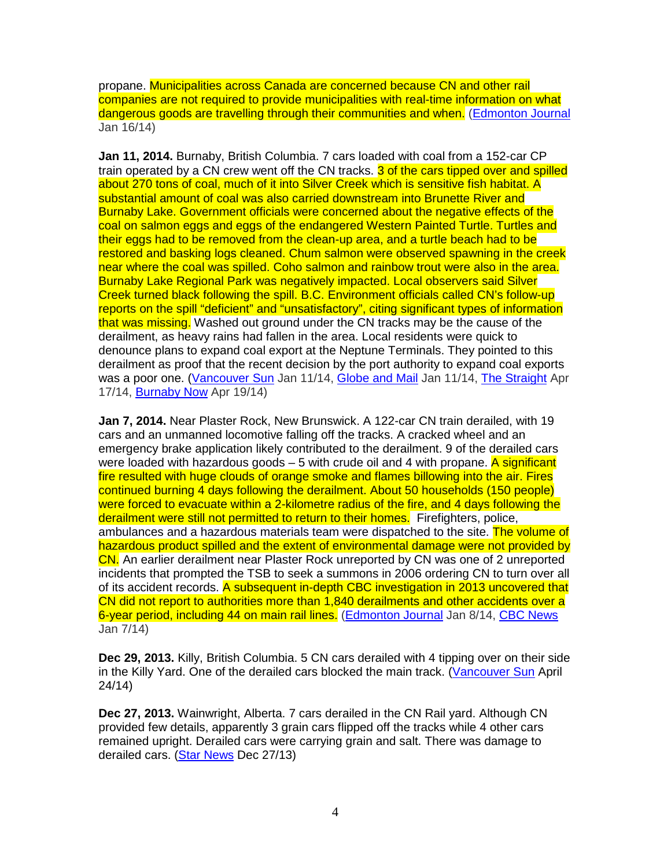propane. Municipalities across Canada are concerned because CN and other rail companies are not required to provide municipalities with real-time information on what dangerous goods are travelling through their communities and when. (Edmonton Journal Jan 16/14)

**Jan 11, 2014.** Burnaby, British Columbia. 7 cars loaded with coal from a 152-car CP train operated by a CN crew went off the CN tracks. 3 of the cars tipped over and spilled about 270 tons of coal, much of it into Silver Creek which is sensitive fish habitat. A substantial amount of coal was also carried downstream into Brunette River and Burnaby Lake. Government officials were concerned about the negative effects of the coal on salmon eggs and eggs of the endangered Western Painted Turtle. Turtles and their eggs had to be removed from the clean-up area, and a turtle beach had to be restored and basking logs cleaned. Chum salmon were observed spawning in the creek near where the coal was spilled. Coho salmon and rainbow trout were also in the area. Burnaby Lake Regional Park was negatively impacted. Local observers said Silver Creek turned black following the spill. B.C. Environment officials called CN's follow-up reports on the spill "deficient" and "unsatisfactory", citing significant types of information that was missing. Washed out ground under the CN tracks may be the cause of the derailment, as heavy rains had fallen in the area. Local residents were quick to denounce plans to expand coal export at the Neptune Terminals. They pointed to this derailment as proof that the recent decision by the port authority to expand coal exports was a poor one. (Vancouver Sun Jan 11/14, Globe and Mail Jan 11/14, The Straight Apr 17/14, Burnaby Now Apr 19/14)

**Jan 7, 2014.** Near Plaster Rock, New Brunswick. A 122-car CN train derailed, with 19 cars and an unmanned locomotive falling off the tracks. A cracked wheel and an emergency brake application likely contributed to the derailment. 9 of the derailed cars were loaded with hazardous goods  $-5$  with crude oil and 4 with propane. A significant fire resulted with huge clouds of orange smoke and flames billowing into the air. Fires continued burning 4 days following the derailment. About 50 households (150 people) were forced to evacuate within a 2-kilometre radius of the fire, and 4 days following the derailment were still not permitted to return to their homes. Firefighters, police, ambulances and a hazardous materials team were dispatched to the site. The volume of hazardous product spilled and the extent of environmental damage were not provided by CN. An earlier derailment near Plaster Rock unreported by CN was one of 2 unreported incidents that prompted the TSB to seek a summons in 2006 ordering CN to turn over all of its accident records. A subsequent in-depth CBC investigation in 2013 uncovered that CN did not report to authorities more than 1,840 derailments and other accidents over a 6-year period, including 44 on main rail lines. (Edmonton Journal Jan 8/14, CBC News Jan 7/14)

**Dec 29, 2013.** Killy, British Columbia. 5 CN cars derailed with 4 tipping over on their side in the Killy Yard. One of the derailed cars blocked the main track. (Vancouver Sun April 24/14)

**Dec 27, 2013.** Wainwright, Alberta. 7 cars derailed in the CN Rail yard. Although CN provided few details, apparently 3 grain cars flipped off the tracks while 4 other cars remained upright. Derailed cars were carrying grain and salt. There was damage to derailed cars. (Star News Dec 27/13)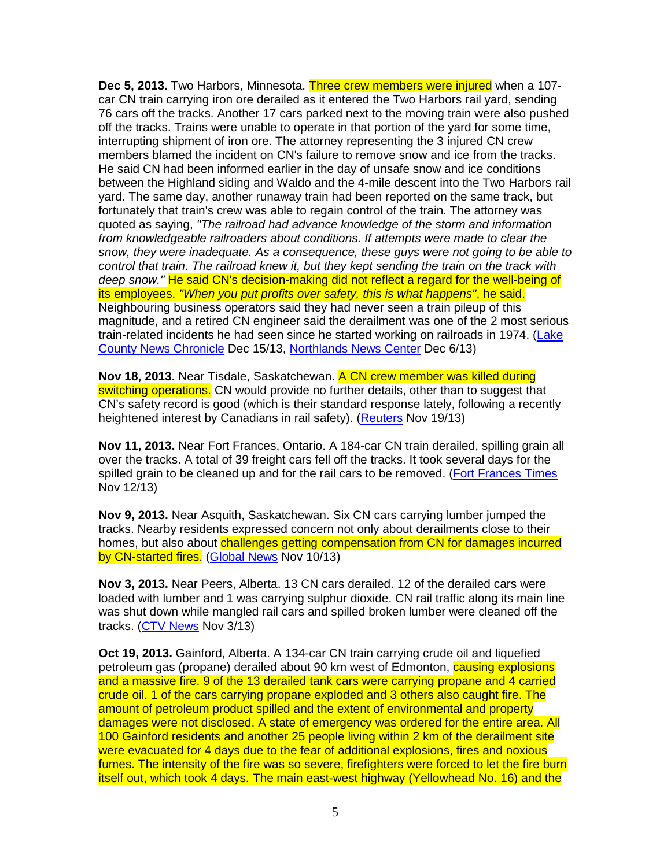**Dec 5, 2013.** Two Harbors, Minnesota. Three crew members were injured when a 107 car CN train carrying iron ore derailed as it entered the Two Harbors rail yard, sending 76 cars off the tracks. Another 17 cars parked next to the moving train were also pushed off the tracks. Trains were unable to operate in that portion of the yard for some time, interrupting shipment of iron ore. The attorney representing the 3 injured CN crew members blamed the incident on CN's failure to remove snow and ice from the tracks. He said CN had been informed earlier in the day of unsafe snow and ice conditions between the Highland siding and Waldo and the 4-mile descent into the Two Harbors rail yard. The same day, another runaway train had been reported on the same track, but fortunately that train's crew was able to regain control of the train. The attorney was quoted as saying, "The railroad had advance knowledge of the storm and information from knowledgeable railroaders about conditions. If attempts were made to clear the snow, they were inadequate. As a consequence, these guys were not going to be able to control that train. The railroad knew it, but they kept sending the train on the track with deep snow." He said CN's decision-making did not reflect a regard for the well-being of its employees. "When you put profits over safety, this is what happens", he said. Neighbouring business operators said they had never seen a train pileup of this magnitude, and a retired CN engineer said the derailment was one of the 2 most serious train-related incidents he had seen since he started working on railroads in 1974. (Lake County News Chronicle Dec 15/13, Northlands News Center Dec 6/13)

**Nov 18, 2013.** Near Tisdale, Saskatchewan. A CN crew member was killed during switching operations. CN would provide no further details, other than to suggest that CN's safety record is good (which is their standard response lately, following a recently heightened interest by Canadians in rail safety). (Reuters Nov 19/13)

**Nov 11, 2013.** Near Fort Frances, Ontario. A 184-car CN train derailed, spilling grain all over the tracks. A total of 39 freight cars fell off the tracks. It took several days for the spilled grain to be cleaned up and for the rail cars to be removed. (Fort Frances Times Nov 12/13)

**Nov 9, 2013.** Near Asquith, Saskatchewan. Six CN cars carrying lumber jumped the tracks. Nearby residents expressed concern not only about derailments close to their homes, but also about challenges getting compensation from CN for damages incurred by CN-started fires. (Global News Nov 10/13)

**Nov 3, 2013.** Near Peers, Alberta. 13 CN cars derailed. 12 of the derailed cars were loaded with lumber and 1 was carrying sulphur dioxide. CN rail traffic along its main line was shut down while mangled rail cars and spilled broken lumber were cleaned off the tracks. (CTV News Nov 3/13)

**Oct 19, 2013.** Gainford, Alberta. A 134-car CN train carrying crude oil and liquefied petroleum gas (propane) derailed about 90 km west of Edmonton, causing explosions and a massive fire. 9 of the 13 derailed tank cars were carrying propane and 4 carried crude oil. 1 of the cars carrying propane exploded and 3 others also caught fire. The amount of petroleum product spilled and the extent of environmental and property damages were not disclosed. A state of emergency was ordered for the entire area. All 100 Gainford residents and another 25 people living within 2 km of the derailment site were evacuated for 4 days due to the fear of additional explosions, fires and noxious fumes. The intensity of the fire was so severe, firefighters were forced to let the fire burn itself out, which took 4 days. The main east-west highway (Yellowhead No. 16) and the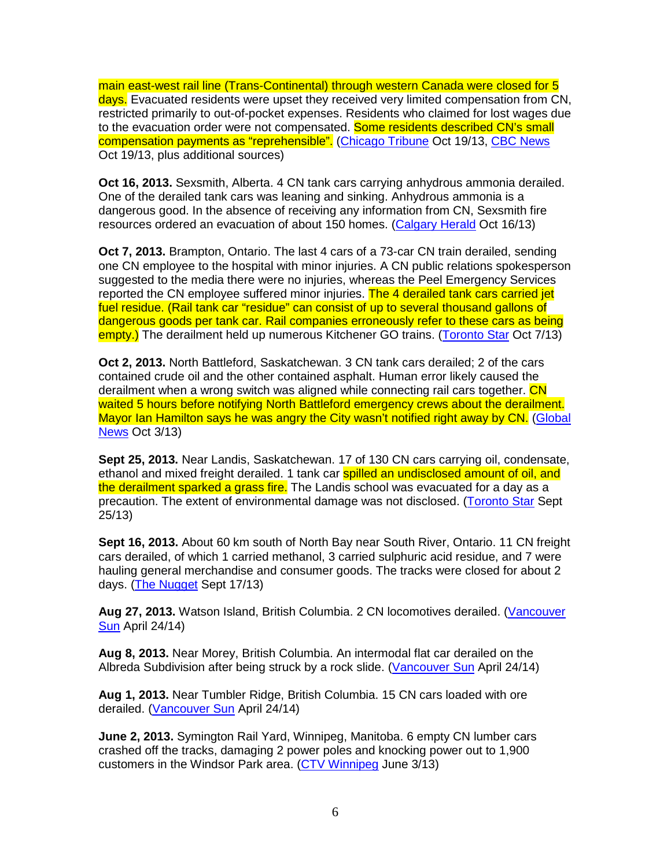main east-west rail line (Trans-Continental) through western Canada were closed for 5 days. Evacuated residents were upset they received very limited compensation from CN, restricted primarily to out-of-pocket expenses. Residents who claimed for lost wages due to the evacuation order were not compensated. Some residents described CN's small compensation payments as "reprehensible". (Chicago Tribune Oct 19/13, CBC News Oct 19/13, plus additional sources)

**Oct 16, 2013.** Sexsmith, Alberta. 4 CN tank cars carrying anhydrous ammonia derailed. One of the derailed tank cars was leaning and sinking. Anhydrous ammonia is a dangerous good. In the absence of receiving any information from CN, Sexsmith fire resources ordered an evacuation of about 150 homes. (Calgary Herald Oct 16/13)

**Oct 7, 2013.** Brampton, Ontario. The last 4 cars of a 73-car CN train derailed, sending one CN employee to the hospital with minor injuries. A CN public relations spokesperson suggested to the media there were no injuries, whereas the Peel Emergency Services reported the CN employee suffered minor injuries. The 4 derailed tank cars carried jet fuel residue. (Rail tank car "residue" can consist of up to several thousand gallons of dangerous goods per tank car. Rail companies erroneously refer to these cars as being empty.) The derailment held up numerous Kitchener GO trains. (Toronto Star Oct 7/13)

**Oct 2, 2013.** North Battleford, Saskatchewan. 3 CN tank cars derailed; 2 of the cars contained crude oil and the other contained asphalt. Human error likely caused the derailment when a wrong switch was aligned while connecting rail cars together. CN waited 5 hours before notifying North Battleford emergency crews about the derailment. Mayor Ian Hamilton says he was angry the City wasn't notified right away by CN. (Global News Oct 3/13)

**Sept 25, 2013.** Near Landis, Saskatchewan. 17 of 130 CN cars carrying oil, condensate, ethanol and mixed freight derailed. 1 tank car spilled an undisclosed amount of oil, and the derailment sparked a grass fire. The Landis school was evacuated for a day as a precaution. The extent of environmental damage was not disclosed. (Toronto Star Sept 25/13)

**Sept 16, 2013.** About 60 km south of North Bay near South River, Ontario. 11 CN freight cars derailed, of which 1 carried methanol, 3 carried sulphuric acid residue, and 7 were hauling general merchandise and consumer goods. The tracks were closed for about 2 days. (The Nugget Sept 17/13)

**Aug 27, 2013.** Watson Island, British Columbia. 2 CN locomotives derailed. (Vancouver Sun April 24/14)

**Aug 8, 2013.** Near Morey, British Columbia. An intermodal flat car derailed on the Albreda Subdivision after being struck by a rock slide. (Vancouver Sun April 24/14)

**Aug 1, 2013.** Near Tumbler Ridge, British Columbia. 15 CN cars loaded with ore derailed. (Vancouver Sun April 24/14)

**June 2, 2013.** Symington Rail Yard, Winnipeg, Manitoba. 6 empty CN lumber cars crashed off the tracks, damaging 2 power poles and knocking power out to 1,900 customers in the Windsor Park area. (CTV Winnipeg June 3/13)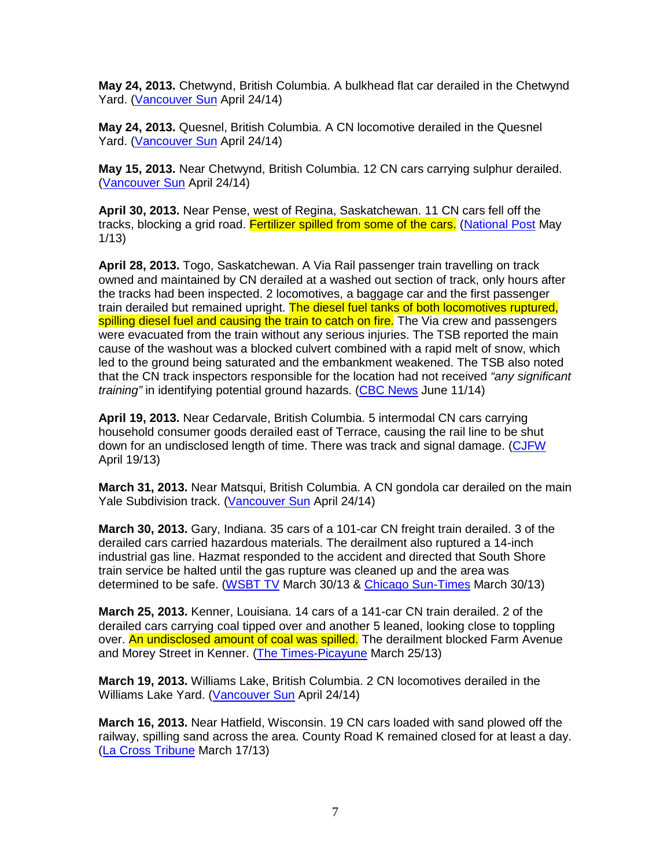**May 24, 2013.** Chetwynd, British Columbia. A bulkhead flat car derailed in the Chetwynd Yard. (Vancouver Sun April 24/14)

**May 24, 2013.** Quesnel, British Columbia. A CN locomotive derailed in the Quesnel Yard. (Vancouver Sun April 24/14)

**May 15, 2013.** Near Chetwynd, British Columbia. 12 CN cars carrying sulphur derailed. (Vancouver Sun April 24/14)

**April 30, 2013.** Near Pense, west of Regina, Saskatchewan. 11 CN cars fell off the tracks, blocking a grid road. Fertilizer spilled from some of the cars. (National Post May 1/13)

**April 28, 2013.** Togo, Saskatchewan. A Via Rail passenger train travelling on track owned and maintained by CN derailed at a washed out section of track, only hours after the tracks had been inspected. 2 locomotives, a baggage car and the first passenger train derailed but remained upright. The diesel fuel tanks of both locomotives ruptured, spilling diesel fuel and causing the train to catch on fire. The Via crew and passengers were evacuated from the train without any serious injuries. The TSB reported the main cause of the washout was a blocked culvert combined with a rapid melt of snow, which led to the ground being saturated and the embankment weakened. The TSB also noted that the CN track inspectors responsible for the location had not received "any significant" training" in identifying potential ground hazards. (CBC News June 11/14)

**April 19, 2013.** Near Cedarvale, British Columbia. 5 intermodal CN cars carrying household consumer goods derailed east of Terrace, causing the rail line to be shut down for an undisclosed length of time. There was track and signal damage. (CJFW April 19/13)

**March 31, 2013.** Near Matsqui, British Columbia. A CN gondola car derailed on the main Yale Subdivision track. (Vancouver Sun April 24/14)

**March 30, 2013.** Gary, Indiana. 35 cars of a 101-car CN freight train derailed. 3 of the derailed cars carried hazardous materials. The derailment also ruptured a 14-inch industrial gas line. Hazmat responded to the accident and directed that South Shore train service be halted until the gas rupture was cleaned up and the area was determined to be safe. (WSBT TV March 30/13 & Chicago Sun-Times March 30/13)

**March 25, 2013.** Kenner, Louisiana. 14 cars of a 141-car CN train derailed. 2 of the derailed cars carrying coal tipped over and another 5 leaned, looking close to toppling over. An undisclosed amount of coal was spilled. The derailment blocked Farm Avenue and Morey Street in Kenner. (The Times-Picayune March 25/13)

**March 19, 2013.** Williams Lake, British Columbia. 2 CN locomotives derailed in the Williams Lake Yard. (Vancouver Sun April 24/14)

**March 16, 2013.** Near Hatfield, Wisconsin. 19 CN cars loaded with sand plowed off the railway, spilling sand across the area. County Road K remained closed for at least a day. (La Cross Tribune March 17/13)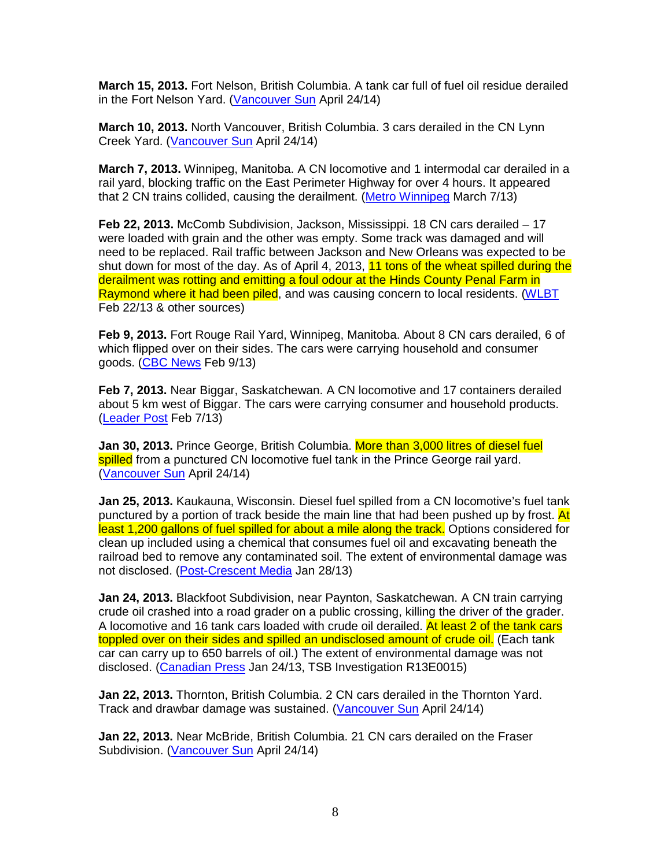**March 15, 2013.** Fort Nelson, British Columbia. A tank car full of fuel oil residue derailed in the Fort Nelson Yard. (Vancouver Sun April 24/14)

**March 10, 2013.** North Vancouver, British Columbia. 3 cars derailed in the CN Lynn Creek Yard. (Vancouver Sun April 24/14)

**March 7, 2013.** Winnipeg, Manitoba. A CN locomotive and 1 intermodal car derailed in a rail yard, blocking traffic on the East Perimeter Highway for over 4 hours. It appeared that 2 CN trains collided, causing the derailment. (Metro Winnipeg March 7/13)

**Feb 22, 2013.** McComb Subdivision, Jackson, Mississippi. 18 CN cars derailed – 17 were loaded with grain and the other was empty. Some track was damaged and will need to be replaced. Rail traffic between Jackson and New Orleans was expected to be shut down for most of the day. As of April 4, 2013, 11 tons of the wheat spilled during the derailment was rotting and emitting a foul odour at the Hinds County Penal Farm in Raymond where it had been piled, and was causing concern to local residents. (WLBT Feb 22/13 & other sources)

**Feb 9, 2013.** Fort Rouge Rail Yard, Winnipeg, Manitoba. About 8 CN cars derailed, 6 of which flipped over on their sides. The cars were carrying household and consumer goods. (CBC News Feb 9/13)

**Feb 7, 2013.** Near Biggar, Saskatchewan. A CN locomotive and 17 containers derailed about 5 km west of Biggar. The cars were carrying consumer and household products. (Leader Post Feb 7/13)

Jan 30, 2013. Prince George, British Columbia. More than 3,000 litres of diesel fuel spilled from a punctured CN locomotive fuel tank in the Prince George rail vard. (Vancouver Sun April 24/14)

**Jan 25, 2013.** Kaukauna, Wisconsin. Diesel fuel spilled from a CN locomotive's fuel tank punctured by a portion of track beside the main line that had been pushed up by frost. At least 1,200 gallons of fuel spilled for about a mile along the track. Options considered for clean up included using a chemical that consumes fuel oil and excavating beneath the railroad bed to remove any contaminated soil. The extent of environmental damage was not disclosed. (Post-Crescent Media Jan 28/13)

**Jan 24, 2013.** Blackfoot Subdivision, near Paynton, Saskatchewan. A CN train carrying crude oil crashed into a road grader on a public crossing, killing the driver of the grader. A locomotive and 16 tank cars loaded with crude oil derailed. At least 2 of the tank cars toppled over on their sides and spilled an undisclosed amount of crude oil. (Each tank car can carry up to 650 barrels of oil.) The extent of environmental damage was not disclosed. (Canadian Press Jan 24/13, TSB Investigation R13E0015)

**Jan 22, 2013.** Thornton, British Columbia. 2 CN cars derailed in the Thornton Yard. Track and drawbar damage was sustained. (Vancouver Sun April 24/14)

**Jan 22, 2013.** Near McBride, British Columbia. 21 CN cars derailed on the Fraser Subdivision. (Vancouver Sun April 24/14)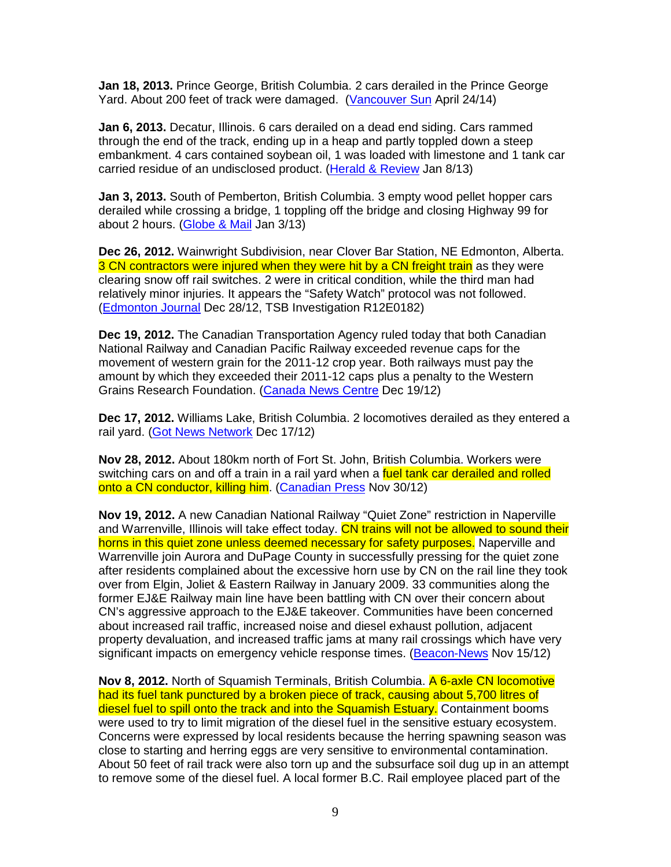**Jan 18, 2013.** Prince George, British Columbia. 2 cars derailed in the Prince George Yard. About 200 feet of track were damaged. (Vancouver Sun April 24/14)

**Jan 6, 2013.** Decatur, Illinois. 6 cars derailed on a dead end siding. Cars rammed through the end of the track, ending up in a heap and partly toppled down a steep embankment. 4 cars contained soybean oil, 1 was loaded with limestone and 1 tank car carried residue of an undisclosed product. (Herald & Review Jan 8/13)

**Jan 3, 2013.** South of Pemberton, British Columbia. 3 empty wood pellet hopper cars derailed while crossing a bridge, 1 toppling off the bridge and closing Highway 99 for about 2 hours. (Globe & Mail Jan 3/13)

**Dec 26, 2012.** Wainwright Subdivision, near Clover Bar Station, NE Edmonton, Alberta. 3 CN contractors were injured when they were hit by a CN freight train as they were clearing snow off rail switches. 2 were in critical condition, while the third man had relatively minor injuries. It appears the "Safety Watch" protocol was not followed. (Edmonton Journal Dec 28/12, TSB Investigation R12E0182)

**Dec 19, 2012.** The Canadian Transportation Agency ruled today that both Canadian National Railway and Canadian Pacific Railway exceeded revenue caps for the movement of western grain for the 2011-12 crop year. Both railways must pay the amount by which they exceeded their 2011-12 caps plus a penalty to the Western Grains Research Foundation. (Canada News Centre Dec 19/12)

**Dec 17, 2012.** Williams Lake, British Columbia. 2 locomotives derailed as they entered a rail yard. (Got News Network Dec 17/12)

**Nov 28, 2012.** About 180km north of Fort St. John, British Columbia. Workers were switching cars on and off a train in a rail yard when a fuel tank car derailed and rolled onto a CN conductor, killing him. (Canadian Press Nov 30/12)

**Nov 19, 2012.** A new Canadian National Railway "Quiet Zone" restriction in Naperville and Warrenville, Illinois will take effect today. CN trains will not be allowed to sound their horns in this quiet zone unless deemed necessary for safety purposes. Naperville and Warrenville join Aurora and DuPage County in successfully pressing for the quiet zone after residents complained about the excessive horn use by CN on the rail line they took over from Elgin, Joliet & Eastern Railway in January 2009. 33 communities along the former EJ&E Railway main line have been battling with CN over their concern about CN's aggressive approach to the EJ&E takeover. Communities have been concerned about increased rail traffic, increased noise and diesel exhaust pollution, adjacent property devaluation, and increased traffic jams at many rail crossings which have very significant impacts on emergency vehicle response times. (Beacon-News Nov 15/12)

**Nov 8, 2012.** North of Squamish Terminals, British Columbia. A 6-axle CN locomotive had its fuel tank punctured by a broken piece of track, causing about 5,700 litres of diesel fuel to spill onto the track and into the Squamish Estuary. Containment booms were used to try to limit migration of the diesel fuel in the sensitive estuary ecosystem. Concerns were expressed by local residents because the herring spawning season was close to starting and herring eggs are very sensitive to environmental contamination. About 50 feet of rail track were also torn up and the subsurface soil dug up in an attempt to remove some of the diesel fuel. A local former B.C. Rail employee placed part of the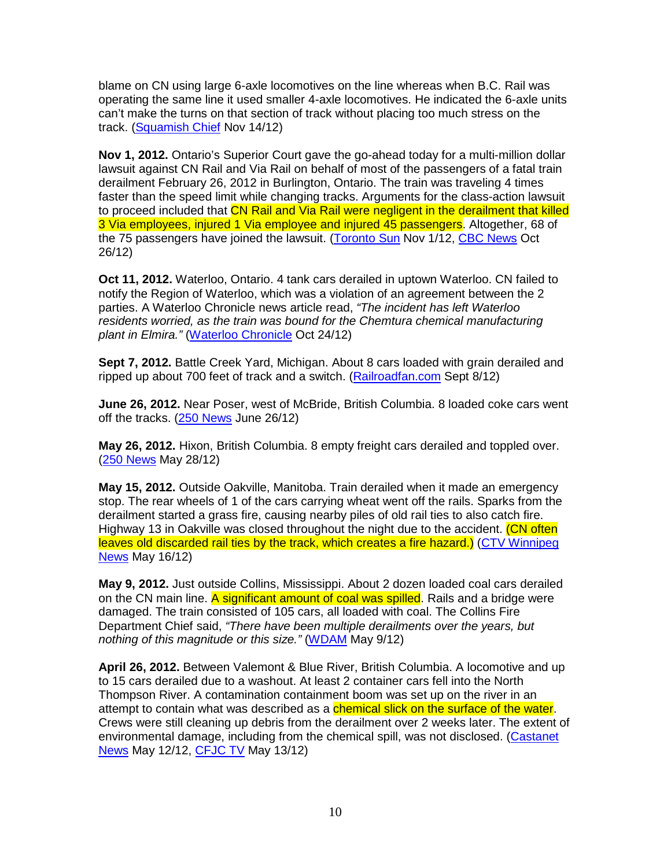blame on CN using large 6-axle locomotives on the line whereas when B.C. Rail was operating the same line it used smaller 4-axle locomotives. He indicated the 6-axle units can't make the turns on that section of track without placing too much stress on the track. (Squamish Chief Nov 14/12)

**Nov 1, 2012.** Ontario's Superior Court gave the go-ahead today for a multi-million dollar lawsuit against CN Rail and Via Rail on behalf of most of the passengers of a fatal train derailment February 26, 2012 in Burlington, Ontario. The train was traveling 4 times faster than the speed limit while changing tracks. Arguments for the class-action lawsuit to proceed included that CN Rail and Via Rail were negligent in the derailment that killed 3 Via employees, injured 1 Via employee and injured 45 passengers. Altogether, 68 of the 75 passengers have joined the lawsuit. (Toronto Sun Nov 1/12, CBC News Oct 26/12)

**Oct 11, 2012.** Waterloo, Ontario. 4 tank cars derailed in uptown Waterloo. CN failed to notify the Region of Waterloo, which was a violation of an agreement between the 2 parties. A Waterloo Chronicle news article read, "The incident has left Waterloo residents worried, as the train was bound for the Chemtura chemical manufacturing plant in Elmira." (Waterloo Chronicle Oct 24/12)

**Sept 7, 2012.** Battle Creek Yard, Michigan. About 8 cars loaded with grain derailed and ripped up about 700 feet of track and a switch. (Railroadfan.com Sept 8/12)

**June 26, 2012.** Near Poser, west of McBride, British Columbia. 8 loaded coke cars went off the tracks. (250 News June 26/12)

**May 26, 2012.** Hixon, British Columbia. 8 empty freight cars derailed and toppled over. (250 News May 28/12)

**May 15, 2012.** Outside Oakville, Manitoba. Train derailed when it made an emergency stop. The rear wheels of 1 of the cars carrying wheat went off the rails. Sparks from the derailment started a grass fire, causing nearby piles of old rail ties to also catch fire. Highway 13 in Oakville was closed throughout the night due to the accident. (CN often leaves old discarded rail ties by the track, which creates a fire hazard.) (CTV Winnipeg News May 16/12)

**May 9, 2012.** Just outside Collins, Mississippi. About 2 dozen loaded coal cars derailed on the CN main line. A significant amount of coal was spilled. Rails and a bridge were damaged. The train consisted of 105 cars, all loaded with coal. The Collins Fire Department Chief said, "There have been multiple derailments over the years, but nothing of this magnitude or this size." (WDAM May 9/12)

**April 26, 2012.** Between Valemont & Blue River, British Columbia. A locomotive and up to 15 cars derailed due to a washout. At least 2 container cars fell into the North Thompson River. A contamination containment boom was set up on the river in an attempt to contain what was described as a **chemical slick on the surface of the water**. Crews were still cleaning up debris from the derailment over 2 weeks later. The extent of environmental damage, including from the chemical spill, was not disclosed. (Castanet News May 12/12, CFJC TV May 13/12)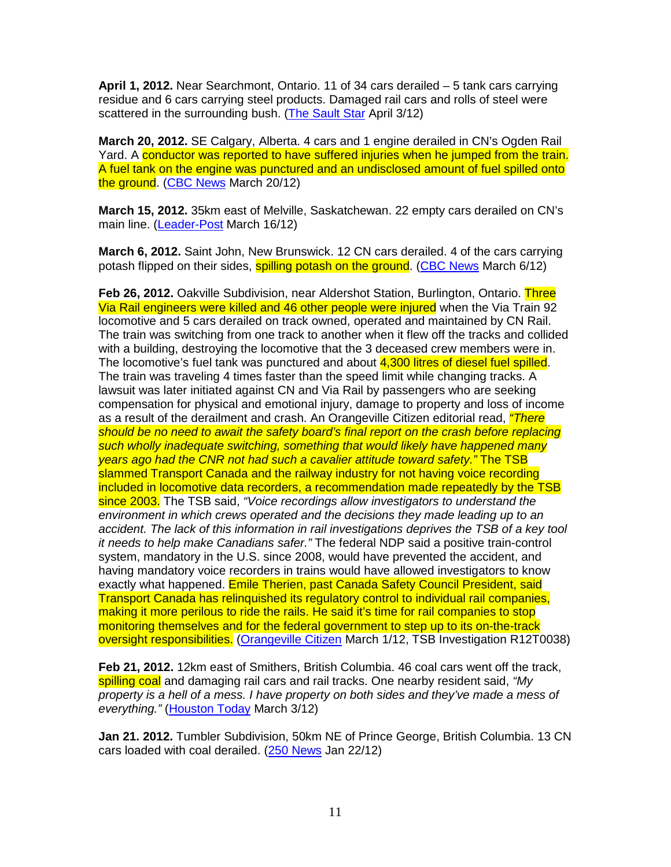**April 1, 2012.** Near Searchmont, Ontario. 11 of 34 cars derailed – 5 tank cars carrying residue and 6 cars carrying steel products. Damaged rail cars and rolls of steel were scattered in the surrounding bush. (The Sault Star April 3/12)

**March 20, 2012.** SE Calgary, Alberta. 4 cars and 1 engine derailed in CN's Ogden Rail Yard. A conductor was reported to have suffered injuries when he jumped from the train. A fuel tank on the engine was punctured and an undisclosed amount of fuel spilled onto the ground. (CBC News March 20/12)

**March 15, 2012.** 35km east of Melville, Saskatchewan. 22 empty cars derailed on CN's main line. (Leader-Post March 16/12)

**March 6, 2012.** Saint John, New Brunswick. 12 CN cars derailed. 4 of the cars carrying potash flipped on their sides, spilling potash on the ground. (CBC News March 6/12)

**Feb 26, 2012.** Oakville Subdivision, near Aldershot Station, Burlington, Ontario. Three Via Rail engineers were killed and 46 other people were injured when the Via Train 92 locomotive and 5 cars derailed on track owned, operated and maintained by CN Rail. The train was switching from one track to another when it flew off the tracks and collided with a building, destroying the locomotive that the 3 deceased crew members were in. The locomotive's fuel tank was punctured and about 4,300 litres of diesel fuel spilled. The train was traveling 4 times faster than the speed limit while changing tracks. A lawsuit was later initiated against CN and Via Rail by passengers who are seeking compensation for physical and emotional injury, damage to property and loss of income as a result of the derailment and crash. An Orangeville Citizen editorial read, *"There* should be no need to await the safety board's final report on the crash before replacing such wholly inadequate switching, something that would likely have happened many years ago had the CNR not had such a cavalier attitude toward safety." The TSB slammed Transport Canada and the railway industry for not having voice recording included in locomotive data recorders, a recommendation made repeatedly by the TSB since 2003. The TSB said, "Voice recordings allow investigators to understand the environment in which crews operated and the decisions they made leading up to an accident. The lack of this information in rail investigations deprives the TSB of a key tool it needs to help make Canadians safer." The federal NDP said a positive train-control system, mandatory in the U.S. since 2008, would have prevented the accident, and having mandatory voice recorders in trains would have allowed investigators to know exactly what happened. Emile Therien, past Canada Safety Council President, said Transport Canada has relinquished its regulatory control to individual rail companies, making it more perilous to ride the rails. He said it's time for rail companies to stop monitoring themselves and for the federal government to step up to its on-the-track oversight responsibilities. (Orangeville Citizen March 1/12, TSB Investigation R12T0038)

**Feb 21, 2012.** 12km east of Smithers, British Columbia. 46 coal cars went off the track, spilling coal and damaging rail cars and rail tracks. One nearby resident said, "My property is a hell of a mess. I have property on both sides and they've made a mess of everything." (Houston Today March 3/12)

**Jan 21. 2012.** Tumbler Subdivision, 50km NE of Prince George, British Columbia. 13 CN cars loaded with coal derailed. (250 News Jan 22/12)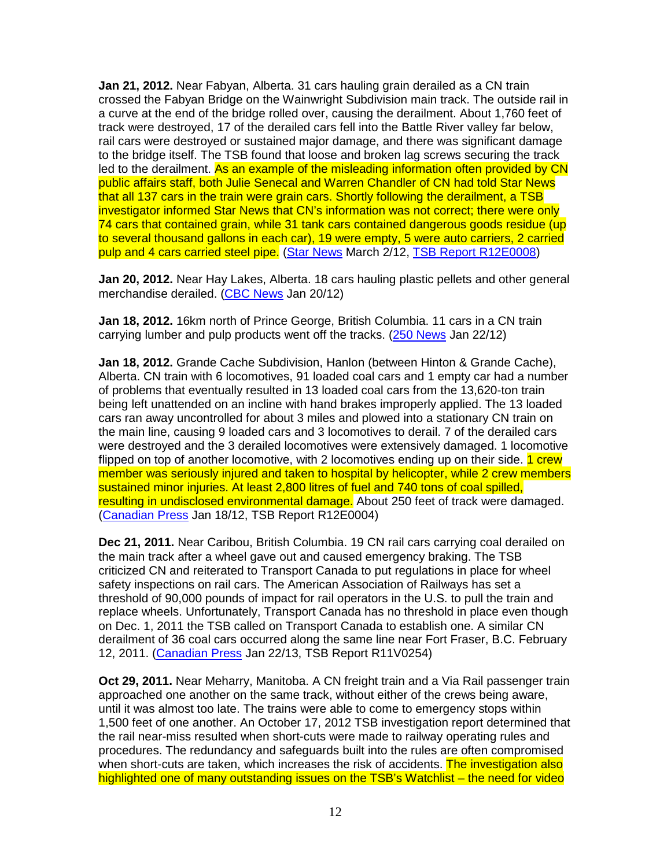**Jan 21, 2012.** Near Fabyan, Alberta. 31 cars hauling grain derailed as a CN train crossed the Fabyan Bridge on the Wainwright Subdivision main track. The outside rail in a curve at the end of the bridge rolled over, causing the derailment. About 1,760 feet of track were destroyed, 17 of the derailed cars fell into the Battle River valley far below, rail cars were destroyed or sustained major damage, and there was significant damage to the bridge itself. The TSB found that loose and broken lag screws securing the track led to the derailment. As an example of the misleading information often provided by CN public affairs staff, both Julie Senecal and Warren Chandler of CN had told Star News that all 137 cars in the train were grain cars. Shortly following the derailment, a TSB investigator informed Star News that CN's information was not correct; there were only 74 cars that contained grain, while 31 tank cars contained dangerous goods residue (up to several thousand gallons in each car), 19 were empty, 5 were auto carriers, 2 carried pulp and 4 cars carried steel pipe. (Star News March 2/12, TSB Report R12E0008)

**Jan 20, 2012.** Near Hay Lakes, Alberta. 18 cars hauling plastic pellets and other general merchandise derailed. (CBC News Jan 20/12)

**Jan 18, 2012.** 16km north of Prince George, British Columbia. 11 cars in a CN train carrying lumber and pulp products went off the tracks. (250 News Jan 22/12)

**Jan 18, 2012.** Grande Cache Subdivision, Hanlon (between Hinton & Grande Cache), Alberta. CN train with 6 locomotives, 91 loaded coal cars and 1 empty car had a number of problems that eventually resulted in 13 loaded coal cars from the 13,620-ton train being left unattended on an incline with hand brakes improperly applied. The 13 loaded cars ran away uncontrolled for about 3 miles and plowed into a stationary CN train on the main line, causing 9 loaded cars and 3 locomotives to derail. 7 of the derailed cars were destroyed and the 3 derailed locomotives were extensively damaged. 1 locomotive flipped on top of another locomotive, with 2 locomotives ending up on their side. 1 crew member was seriously injured and taken to hospital by helicopter, while 2 crew members sustained minor injuries. At least 2,800 litres of fuel and 740 tons of coal spilled, resulting in undisclosed environmental damage. About 250 feet of track were damaged. (Canadian Press Jan 18/12, TSB Report R12E0004)

**Dec 21, 2011.** Near Caribou, British Columbia. 19 CN rail cars carrying coal derailed on the main track after a wheel gave out and caused emergency braking. The TSB criticized CN and reiterated to Transport Canada to put regulations in place for wheel safety inspections on rail cars. The American Association of Railways has set a threshold of 90,000 pounds of impact for rail operators in the U.S. to pull the train and replace wheels. Unfortunately, Transport Canada has no threshold in place even though on Dec. 1, 2011 the TSB called on Transport Canada to establish one. A similar CN derailment of 36 coal cars occurred along the same line near Fort Fraser, B.C. February 12, 2011. (Canadian Press Jan 22/13, TSB Report R11V0254)

**Oct 29, 2011.** Near Meharry, Manitoba. A CN freight train and a Via Rail passenger train approached one another on the same track, without either of the crews being aware, until it was almost too late. The trains were able to come to emergency stops within 1,500 feet of one another. An October 17, 2012 TSB investigation report determined that the rail near-miss resulted when short-cuts were made to railway operating rules and procedures. The redundancy and safeguards built into the rules are often compromised when short-cuts are taken, which increases the risk of accidents. The investigation also highlighted one of many outstanding issues on the TSB's Watchlist – the need for video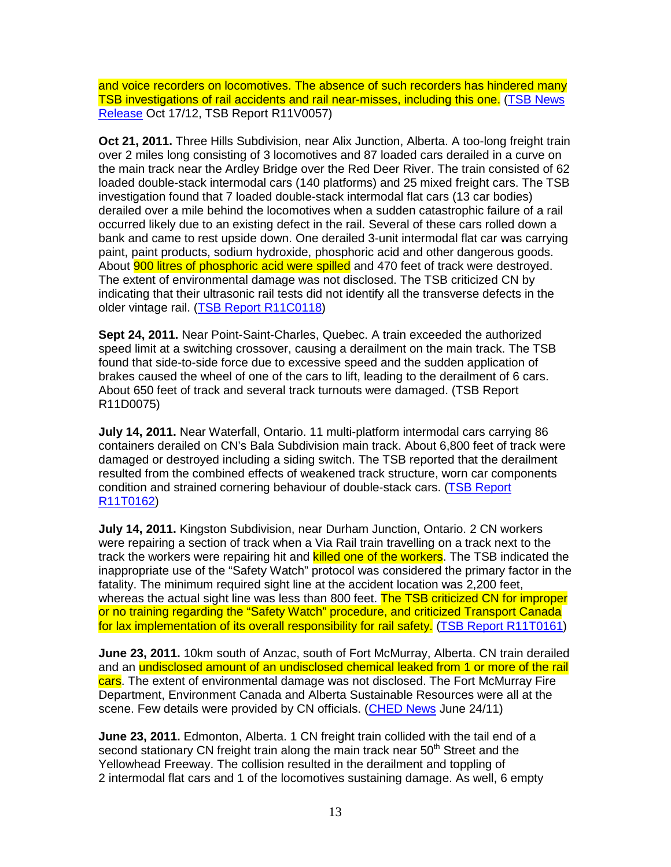and voice recorders on locomotives. The absence of such recorders has hindered many TSB investigations of rail accidents and rail near-misses, including this one. (TSB News Release Oct 17/12, TSB Report R11V0057)

**Oct 21, 2011.** Three Hills Subdivision, near Alix Junction, Alberta. A too-long freight train over 2 miles long consisting of 3 locomotives and 87 loaded cars derailed in a curve on the main track near the Ardley Bridge over the Red Deer River. The train consisted of 62 loaded double-stack intermodal cars (140 platforms) and 25 mixed freight cars. The TSB investigation found that 7 loaded double-stack intermodal flat cars (13 car bodies) derailed over a mile behind the locomotives when a sudden catastrophic failure of a rail occurred likely due to an existing defect in the rail. Several of these cars rolled down a bank and came to rest upside down. One derailed 3-unit intermodal flat car was carrying paint, paint products, sodium hydroxide, phosphoric acid and other dangerous goods. About **900 litres of phosphoric acid were spilled** and 470 feet of track were destroyed. The extent of environmental damage was not disclosed. The TSB criticized CN by indicating that their ultrasonic rail tests did not identify all the transverse defects in the older vintage rail. (TSB Report R11C0118)

**Sept 24, 2011.** Near Point-Saint-Charles, Quebec. A train exceeded the authorized speed limit at a switching crossover, causing a derailment on the main track. The TSB found that side-to-side force due to excessive speed and the sudden application of brakes caused the wheel of one of the cars to lift, leading to the derailment of 6 cars. About 650 feet of track and several track turnouts were damaged. (TSB Report R11D0075)

**July 14, 2011.** Near Waterfall, Ontario. 11 multi-platform intermodal cars carrying 86 containers derailed on CN's Bala Subdivision main track. About 6,800 feet of track were damaged or destroyed including a siding switch. The TSB reported that the derailment resulted from the combined effects of weakened track structure, worn car components condition and strained cornering behaviour of double-stack cars. (TSB Report R11T0162)

**July 14, 2011.** Kingston Subdivision, near Durham Junction, Ontario. 2 CN workers were repairing a section of track when a Via Rail train travelling on a track next to the track the workers were repairing hit and killed one of the workers. The TSB indicated the inappropriate use of the "Safety Watch" protocol was considered the primary factor in the fatality. The minimum required sight line at the accident location was 2,200 feet, whereas the actual sight line was less than 800 feet. The TSB criticized CN for improper or no training regarding the "Safety Watch" procedure, and criticized Transport Canada for lax implementation of its overall responsibility for rail safety. (TSB Report R11T0161)

**June 23, 2011.** 10km south of Anzac, south of Fort McMurray, Alberta. CN train derailed and an undisclosed amount of an undisclosed chemical leaked from 1 or more of the rail cars. The extent of environmental damage was not disclosed. The Fort McMurray Fire Department, Environment Canada and Alberta Sustainable Resources were all at the scene. Few details were provided by CN officials. (CHED News June 24/11)

**June 23, 2011.** Edmonton, Alberta. 1 CN freight train collided with the tail end of a second stationary CN freight train along the main track near 50<sup>th</sup> Street and the Yellowhead Freeway. The collision resulted in the derailment and toppling of 2 intermodal flat cars and 1 of the locomotives sustaining damage. As well, 6 empty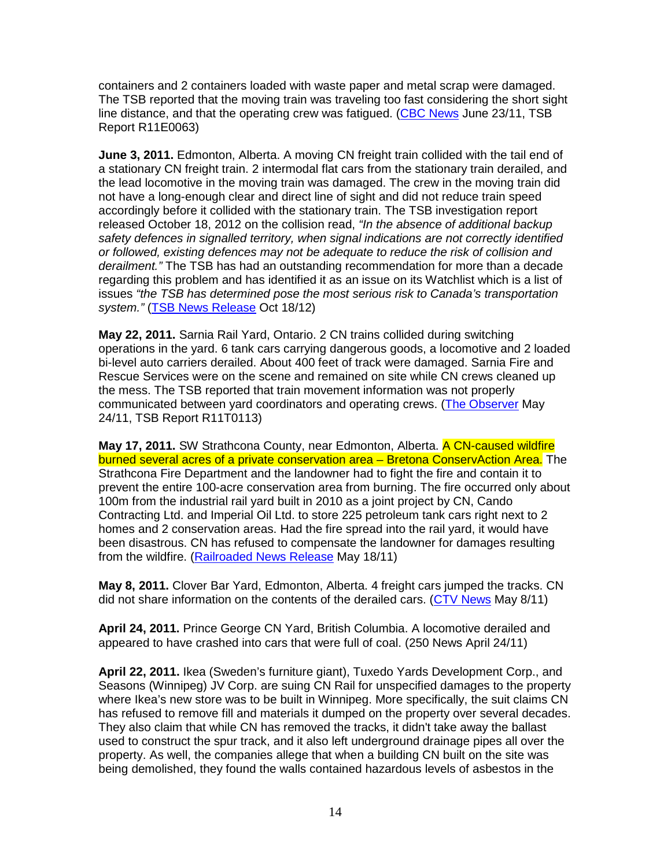containers and 2 containers loaded with waste paper and metal scrap were damaged. The TSB reported that the moving train was traveling too fast considering the short sight line distance, and that the operating crew was fatigued. (CBC News June 23/11, TSB Report R11E0063)

**June 3, 2011.** Edmonton, Alberta. A moving CN freight train collided with the tail end of a stationary CN freight train. 2 intermodal flat cars from the stationary train derailed, and the lead locomotive in the moving train was damaged. The crew in the moving train did not have a long-enough clear and direct line of sight and did not reduce train speed accordingly before it collided with the stationary train. The TSB investigation report released October 18, 2012 on the collision read, "In the absence of additional backup safety defences in signalled territory, when signal indications are not correctly identified or followed, existing defences may not be adequate to reduce the risk of collision and derailment." The TSB has had an outstanding recommendation for more than a decade regarding this problem and has identified it as an issue on its Watchlist which is a list of issues "the TSB has determined pose the most serious risk to Canada's transportation system." (TSB News Release Oct 18/12)

**May 22, 2011.** Sarnia Rail Yard, Ontario. 2 CN trains collided during switching operations in the yard. 6 tank cars carrying dangerous goods, a locomotive and 2 loaded bi-level auto carriers derailed. About 400 feet of track were damaged. Sarnia Fire and Rescue Services were on the scene and remained on site while CN crews cleaned up the mess. The TSB reported that train movement information was not properly communicated between yard coordinators and operating crews. (The Observer May 24/11, TSB Report R11T0113)

**May 17, 2011.** SW Strathcona County, near Edmonton, Alberta. A CN-caused wildfire burned several acres of a private conservation area - Bretona ConservAction Area. The Strathcona Fire Department and the landowner had to fight the fire and contain it to prevent the entire 100-acre conservation area from burning. The fire occurred only about 100m from the industrial rail yard built in 2010 as a joint project by CN, Cando Contracting Ltd. and Imperial Oil Ltd. to store 225 petroleum tank cars right next to 2 homes and 2 conservation areas. Had the fire spread into the rail yard, it would have been disastrous. CN has refused to compensate the landowner for damages resulting from the wildfire. (Railroaded News Release May 18/11)

**May 8, 2011.** Clover Bar Yard, Edmonton, Alberta. 4 freight cars jumped the tracks. CN did not share information on the contents of the derailed cars. (CTV News May 8/11)

**April 24, 2011.** Prince George CN Yard, British Columbia. A locomotive derailed and appeared to have crashed into cars that were full of coal. (250 News April 24/11)

**April 22, 2011.** Ikea (Sweden's furniture giant), Tuxedo Yards Development Corp., and Seasons (Winnipeg) JV Corp. are suing CN Rail for unspecified damages to the property where Ikea's new store was to be built in Winnipeg. More specifically, the suit claims CN has refused to remove fill and materials it dumped on the property over several decades. They also claim that while CN has removed the tracks, it didn't take away the ballast used to construct the spur track, and it also left underground drainage pipes all over the property. As well, the companies allege that when a building CN built on the site was being demolished, they found the walls contained hazardous levels of asbestos in the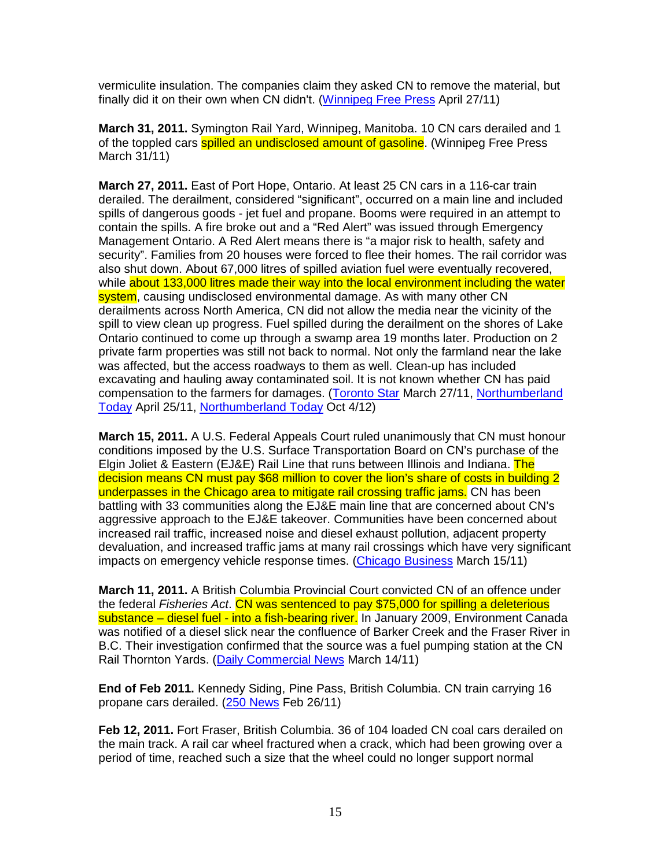vermiculite insulation. The companies claim they asked CN to remove the material, but finally did it on their own when CN didn't. (Winnipeg Free Press April 27/11)

**March 31, 2011.** Symington Rail Yard, Winnipeg, Manitoba. 10 CN cars derailed and 1 of the toppled cars **spilled an undisclosed amount of gasoline**. (Winnipeg Free Press March 31/11)

**March 27, 2011.** East of Port Hope, Ontario. At least 25 CN cars in a 116-car train derailed. The derailment, considered "significant", occurred on a main line and included spills of dangerous goods - jet fuel and propane. Booms were required in an attempt to contain the spills. A fire broke out and a "Red Alert" was issued through Emergency Management Ontario. A Red Alert means there is "a major risk to health, safety and security". Families from 20 houses were forced to flee their homes. The rail corridor was also shut down. About 67,000 litres of spilled aviation fuel were eventually recovered, while about 133,000 litres made their way into the local environment including the water system, causing undisclosed environmental damage. As with many other CN derailments across North America, CN did not allow the media near the vicinity of the spill to view clean up progress. Fuel spilled during the derailment on the shores of Lake Ontario continued to come up through a swamp area 19 months later. Production on 2 private farm properties was still not back to normal. Not only the farmland near the lake was affected, but the access roadways to them as well. Clean-up has included excavating and hauling away contaminated soil. It is not known whether CN has paid compensation to the farmers for damages. (Toronto Star March 27/11, Northumberland Today April 25/11, Northumberland Today Oct 4/12)

**March 15, 2011.** A U.S. Federal Appeals Court ruled unanimously that CN must honour conditions imposed by the U.S. Surface Transportation Board on CN's purchase of the Elgin Joliet & Eastern (EJ&E) Rail Line that runs between Illinois and Indiana. The decision means CN must pay \$68 million to cover the lion's share of costs in building 2 underpasses in the Chicago area to mitigate rail crossing traffic jams. CN has been battling with 33 communities along the EJ&E main line that are concerned about CN's aggressive approach to the EJ&E takeover. Communities have been concerned about increased rail traffic, increased noise and diesel exhaust pollution, adjacent property devaluation, and increased traffic jams at many rail crossings which have very significant impacts on emergency vehicle response times. (Chicago Business March 15/11)

**March 11, 2011.** A British Columbia Provincial Court convicted CN of an offence under the federal Fisheries Act. CN was sentenced to pay \$75,000 for spilling a deleterious substance – diesel fuel - into a fish-bearing river. In January 2009, Environment Canada was notified of a diesel slick near the confluence of Barker Creek and the Fraser River in B.C. Their investigation confirmed that the source was a fuel pumping station at the CN Rail Thornton Yards. (Daily Commercial News March 14/11)

**End of Feb 2011.** Kennedy Siding, Pine Pass, British Columbia. CN train carrying 16 propane cars derailed. (250 News Feb 26/11)

**Feb 12, 2011.** Fort Fraser, British Columbia. 36 of 104 loaded CN coal cars derailed on the main track. A rail car wheel fractured when a crack, which had been growing over a period of time, reached such a size that the wheel could no longer support normal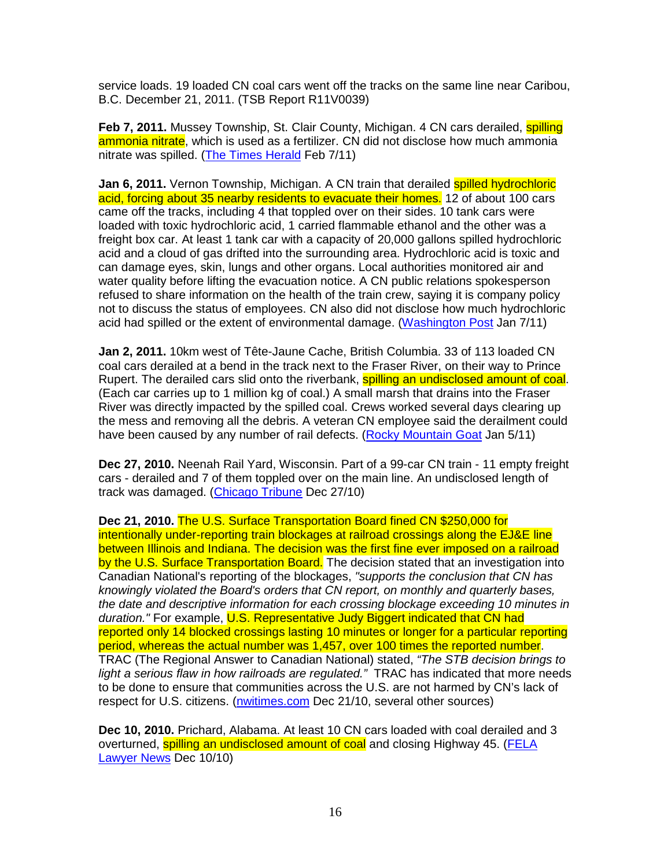service loads. 19 loaded CN coal cars went off the tracks on the same line near Caribou, B.C. December 21, 2011. (TSB Report R11V0039)

**Feb 7, 2011.** Mussey Township, St. Clair County, Michigan. 4 CN cars derailed, **spilling** ammonia nitrate, which is used as a fertilizer. CN did not disclose how much ammonia nitrate was spilled. (The Times Herald Feb 7/11)

**Jan 6, 2011.** Vernon Township, Michigan. A CN train that derailed spilled hydrochloric acid, forcing about 35 nearby residents to evacuate their homes. 12 of about 100 cars came off the tracks, including 4 that toppled over on their sides. 10 tank cars were loaded with toxic hydrochloric acid, 1 carried flammable ethanol and the other was a freight box car. At least 1 tank car with a capacity of 20,000 gallons spilled hydrochloric acid and a cloud of gas drifted into the surrounding area. Hydrochloric acid is toxic and can damage eyes, skin, lungs and other organs. Local authorities monitored air and water quality before lifting the evacuation notice. A CN public relations spokesperson refused to share information on the health of the train crew, saying it is company policy not to discuss the status of employees. CN also did not disclose how much hydrochloric acid had spilled or the extent of environmental damage. (Washington Post Jan 7/11)

**Jan 2, 2011.** 10km west of Tête-Jaune Cache, British Columbia. 33 of 113 loaded CN coal cars derailed at a bend in the track next to the Fraser River, on their way to Prince Rupert. The derailed cars slid onto the riverbank, spilling an undisclosed amount of coal. (Each car carries up to 1 million kg of coal.) A small marsh that drains into the Fraser River was directly impacted by the spilled coal. Crews worked several days clearing up the mess and removing all the debris. A veteran CN employee said the derailment could have been caused by any number of rail defects. (Rocky Mountain Goat Jan 5/11)

**Dec 27, 2010.** Neenah Rail Yard, Wisconsin. Part of a 99-car CN train - 11 empty freight cars - derailed and 7 of them toppled over on the main line. An undisclosed length of track was damaged. (Chicago Tribune Dec 27/10)

**Dec 21, 2010.** The U.S. Surface Transportation Board fined CN \$250,000 for intentionally under-reporting train blockages at railroad crossings along the EJ&E line between Illinois and Indiana. The decision was the first fine ever imposed on a railroad by the U.S. Surface Transportation Board. The decision stated that an investigation into Canadian National's reporting of the blockages, "supports the conclusion that CN has knowingly violated the Board's orders that CN report, on monthly and quarterly bases, the date and descriptive information for each crossing blockage exceeding 10 minutes in duration." For example, U.S. Representative Judy Biggert indicated that CN had reported only 14 blocked crossings lasting 10 minutes or longer for a particular reporting period, whereas the actual number was 1,457, over 100 times the reported number. TRAC (The Regional Answer to Canadian National) stated, "The STB decision brings to light a serious flaw in how railroads are regulated." TRAC has indicated that more needs to be done to ensure that communities across the U.S. are not harmed by CN's lack of respect for U.S. citizens. (nwitimes.com Dec 21/10, several other sources)

**Dec 10, 2010.** Prichard, Alabama. At least 10 CN cars loaded with coal derailed and 3 overturned, spilling an undisclosed amount of coal and closing Highway 45. (FELA Lawyer News Dec 10/10)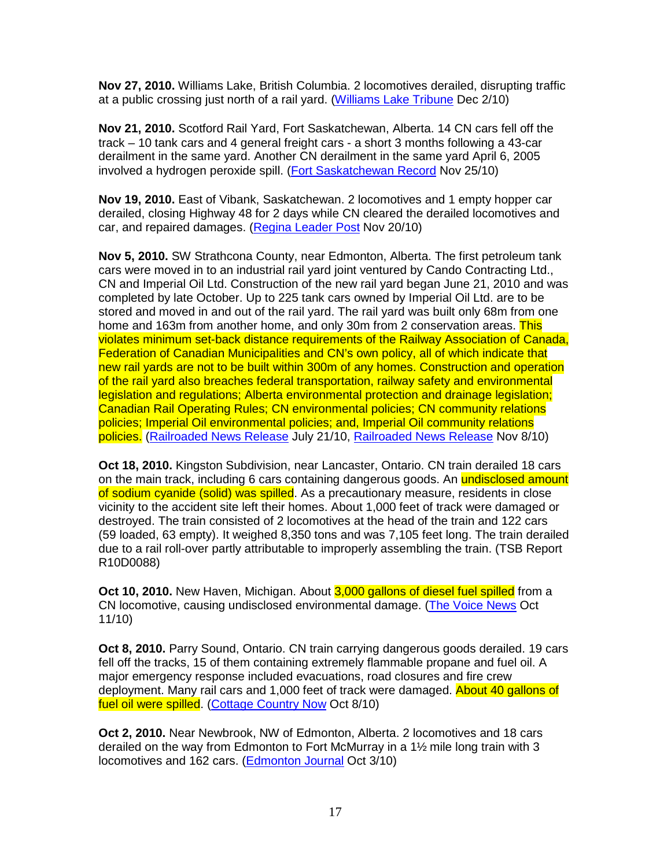**Nov 27, 2010.** Williams Lake, British Columbia. 2 locomotives derailed, disrupting traffic at a public crossing just north of a rail yard. (Williams Lake Tribune Dec 2/10)

**Nov 21, 2010.** Scotford Rail Yard, Fort Saskatchewan, Alberta. 14 CN cars fell off the track – 10 tank cars and 4 general freight cars - a short 3 months following a 43-car derailment in the same yard. Another CN derailment in the same yard April 6, 2005 involved a hydrogen peroxide spill. (Fort Saskatchewan Record Nov 25/10)

**Nov 19, 2010.** East of Vibank, Saskatchewan. 2 locomotives and 1 empty hopper car derailed, closing Highway 48 for 2 days while CN cleared the derailed locomotives and car, and repaired damages. (Regina Leader Post Nov 20/10)

**Nov 5, 2010.** SW Strathcona County, near Edmonton, Alberta. The first petroleum tank cars were moved in to an industrial rail yard joint ventured by Cando Contracting Ltd., CN and Imperial Oil Ltd. Construction of the new rail yard began June 21, 2010 and was completed by late October. Up to 225 tank cars owned by Imperial Oil Ltd. are to be stored and moved in and out of the rail yard. The rail yard was built only 68m from one home and 163m from another home, and only 30m from 2 conservation areas. This violates minimum set-back distance requirements of the Railway Association of Canada, Federation of Canadian Municipalities and CN's own policy, all of which indicate that new rail yards are not to be built within 300m of any homes. Construction and operation of the rail yard also breaches federal transportation, railway safety and environmental legislation and regulations; Alberta environmental protection and drainage legislation; Canadian Rail Operating Rules; CN environmental policies; CN community relations policies; Imperial Oil environmental policies; and, Imperial Oil community relations policies. (Railroaded News Release July 21/10, Railroaded News Release Nov 8/10)

**Oct 18, 2010.** Kingston Subdivision, near Lancaster, Ontario. CN train derailed 18 cars on the main track, including 6 cars containing dangerous goods. An undisclosed amount of sodium cyanide (solid) was spilled. As a precautionary measure, residents in close vicinity to the accident site left their homes. About 1,000 feet of track were damaged or destroyed. The train consisted of 2 locomotives at the head of the train and 122 cars (59 loaded, 63 empty). It weighed 8,350 tons and was 7,105 feet long. The train derailed due to a rail roll-over partly attributable to improperly assembling the train. (TSB Report R10D0088)

**Oct 10, 2010.** New Haven, Michigan. About 3,000 gallons of diesel fuel spilled from a CN locomotive, causing undisclosed environmental damage. (The Voice News Oct 11/10)

**Oct 8, 2010.** Parry Sound, Ontario. CN train carrying dangerous goods derailed. 19 cars fell off the tracks, 15 of them containing extremely flammable propane and fuel oil. A major emergency response included evacuations, road closures and fire crew deployment. Many rail cars and 1,000 feet of track were damaged. About 40 gallons of fuel oil were spilled. (Cottage Country Now Oct 8/10)

**Oct 2, 2010.** Near Newbrook, NW of Edmonton, Alberta. 2 locomotives and 18 cars derailed on the way from Edmonton to Fort McMurray in a 1½ mile long train with 3 locomotives and 162 cars. (Edmonton Journal Oct 3/10)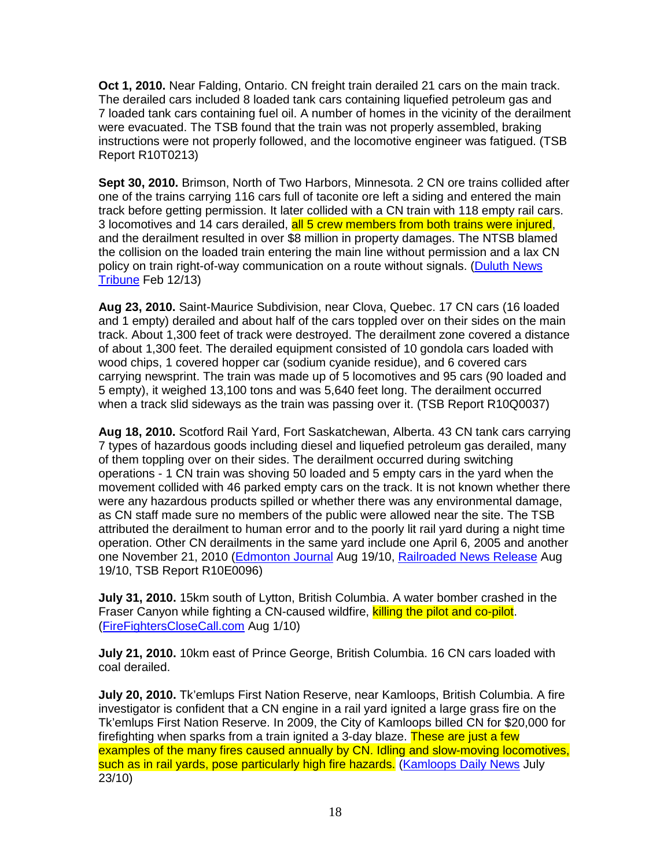**Oct 1, 2010.** Near Falding, Ontario. CN freight train derailed 21 cars on the main track. The derailed cars included 8 loaded tank cars containing liquefied petroleum gas and 7 loaded tank cars containing fuel oil. A number of homes in the vicinity of the derailment were evacuated. The TSB found that the train was not properly assembled, braking instructions were not properly followed, and the locomotive engineer was fatigued. (TSB Report R10T0213)

**Sept 30, 2010.** Brimson, North of Two Harbors, Minnesota. 2 CN ore trains collided after one of the trains carrying 116 cars full of taconite ore left a siding and entered the main track before getting permission. It later collided with a CN train with 118 empty rail cars. 3 locomotives and 14 cars derailed, all 5 crew members from both trains were injured, and the derailment resulted in over \$8 million in property damages. The NTSB blamed the collision on the loaded train entering the main line without permission and a lax CN policy on train right-of-way communication on a route without signals. (Duluth News Tribune Feb 12/13)

**Aug 23, 2010.** Saint-Maurice Subdivision, near Clova, Quebec. 17 CN cars (16 loaded and 1 empty) derailed and about half of the cars toppled over on their sides on the main track. About 1,300 feet of track were destroyed. The derailment zone covered a distance of about 1,300 feet. The derailed equipment consisted of 10 gondola cars loaded with wood chips, 1 covered hopper car (sodium cyanide residue), and 6 covered cars carrying newsprint. The train was made up of 5 locomotives and 95 cars (90 loaded and 5 empty), it weighed 13,100 tons and was 5,640 feet long. The derailment occurred when a track slid sideways as the train was passing over it. (TSB Report R10Q0037)

**Aug 18, 2010.** Scotford Rail Yard, Fort Saskatchewan, Alberta. 43 CN tank cars carrying 7 types of hazardous goods including diesel and liquefied petroleum gas derailed, many of them toppling over on their sides. The derailment occurred during switching operations - 1 CN train was shoving 50 loaded and 5 empty cars in the yard when the movement collided with 46 parked empty cars on the track. It is not known whether there were any hazardous products spilled or whether there was any environmental damage, as CN staff made sure no members of the public were allowed near the site. The TSB attributed the derailment to human error and to the poorly lit rail yard during a night time operation. Other CN derailments in the same yard include one April 6, 2005 and another one November 21, 2010 (Edmonton Journal Aug 19/10, Railroaded News Release Aug 19/10, TSB Report R10E0096)

**July 31, 2010.** 15km south of Lytton, British Columbia. A water bomber crashed in the Fraser Canyon while fighting a CN-caused wildfire, killing the pilot and co-pilot. (FireFightersCloseCall.com Aug 1/10)

**July 21, 2010.** 10km east of Prince George, British Columbia. 16 CN cars loaded with coal derailed.

**July 20, 2010.** Tk'emlups First Nation Reserve, near Kamloops, British Columbia. A fire investigator is confident that a CN engine in a rail yard ignited a large grass fire on the Tk'emlups First Nation Reserve. In 2009, the City of Kamloops billed CN for \$20,000 for firefighting when sparks from a train ignited a 3-day blaze. These are just a few examples of the many fires caused annually by CN. Idling and slow-moving locomotives, such as in rail yards, pose particularly high fire hazards. (Kamloops Daily News July 23/10)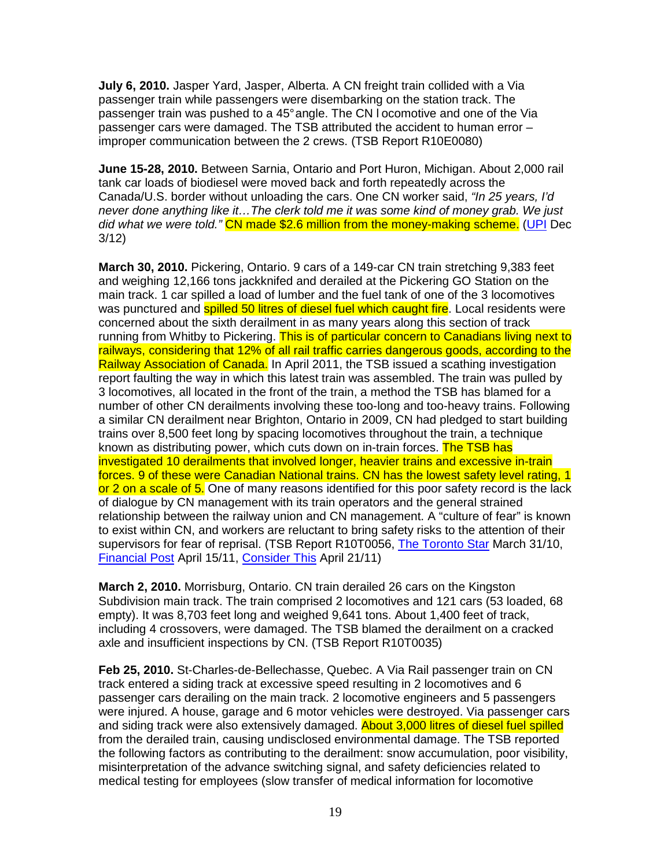**July 6, 2010.** Jasper Yard, Jasper, Alberta. A CN freight train collided with a Via passenger train while passengers were disembarking on the station track. The passenger train was pushed to a 45° angle. The CN l ocomotive and one of the Via passenger cars were damaged. The TSB attributed the accident to human error – improper communication between the 2 crews. (TSB Report R10E0080)

**June 15-28, 2010.** Between Sarnia, Ontario and Port Huron, Michigan. About 2,000 rail tank car loads of biodiesel were moved back and forth repeatedly across the Canada/U.S. border without unloading the cars. One CN worker said, "In 25 years, I'd never done anything like it…The clerk told me it was some kind of money grab. We just did what we were told." CN made \$2.6 million from the money-making scheme. (UPI Dec 3/12)

**March 30, 2010.** Pickering, Ontario. 9 cars of a 149-car CN train stretching 9,383 feet and weighing 12,166 tons jackknifed and derailed at the Pickering GO Station on the main track. 1 car spilled a load of lumber and the fuel tank of one of the 3 locomotives was punctured and **spilled 50 litres of diesel fuel which caught fire**. Local residents were concerned about the sixth derailment in as many years along this section of track running from Whitby to Pickering. This is of particular concern to Canadians living next to railways, considering that 12% of all rail traffic carries dangerous goods, according to the Railway Association of Canada. In April 2011, the TSB issued a scathing investigation report faulting the way in which this latest train was assembled. The train was pulled by 3 locomotives, all located in the front of the train, a method the TSB has blamed for a number of other CN derailments involving these too-long and too-heavy trains. Following a similar CN derailment near Brighton, Ontario in 2009, CN had pledged to start building trains over 8,500 feet long by spacing locomotives throughout the train, a technique known as distributing power, which cuts down on in-train forces. The TSB has investigated 10 derailments that involved longer, heavier trains and excessive in-train forces. 9 of these were Canadian National trains. CN has the lowest safety level rating, 1 or 2 on a scale of 5. One of many reasons identified for this poor safety record is the lack of dialogue by CN management with its train operators and the general strained relationship between the railway union and CN management. A "culture of fear" is known to exist within CN, and workers are reluctant to bring safety risks to the attention of their supervisors for fear of reprisal. (TSB Report R10T0056, The Toronto Star March 31/10, Financial Post April 15/11, Consider This April 21/11)

**March 2, 2010.** Morrisburg, Ontario. CN train derailed 26 cars on the Kingston Subdivision main track. The train comprised 2 locomotives and 121 cars (53 loaded, 68 empty). It was 8,703 feet long and weighed 9,641 tons. About 1,400 feet of track, including 4 crossovers, were damaged. The TSB blamed the derailment on a cracked axle and insufficient inspections by CN. (TSB Report R10T0035)

**Feb 25, 2010.** St-Charles-de-Bellechasse, Quebec. A Via Rail passenger train on CN track entered a siding track at excessive speed resulting in 2 locomotives and 6 passenger cars derailing on the main track. 2 locomotive engineers and 5 passengers were injured. A house, garage and 6 motor vehicles were destroyed. Via passenger cars and siding track were also extensively damaged. About 3,000 litres of diesel fuel spilled from the derailed train, causing undisclosed environmental damage. The TSB reported the following factors as contributing to the derailment: snow accumulation, poor visibility, misinterpretation of the advance switching signal, and safety deficiencies related to medical testing for employees (slow transfer of medical information for locomotive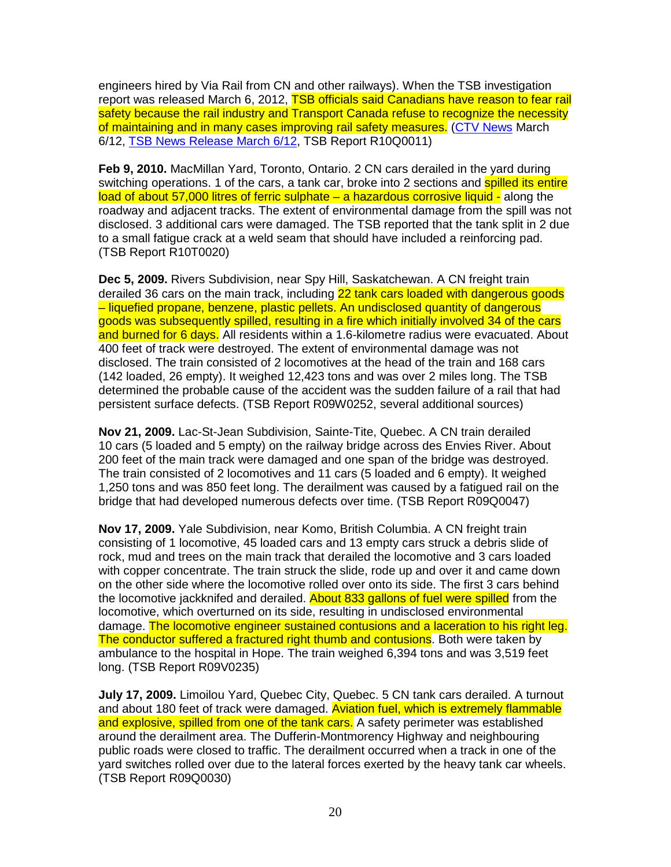engineers hired by Via Rail from CN and other railways). When the TSB investigation report was released March 6, 2012, TSB officials said Canadians have reason to fear rail safety because the rail industry and Transport Canada refuse to recognize the necessity of maintaining and in many cases improving rail safety measures. (CTV News March 6/12, TSB News Release March 6/12, TSB Report R10Q0011)

**Feb 9, 2010.** MacMillan Yard, Toronto, Ontario. 2 CN cars derailed in the yard during switching operations. 1 of the cars, a tank car, broke into 2 sections and **spilled its entire** load of about 57,000 litres of ferric sulphate - a hazardous corrosive liquid - along the roadway and adjacent tracks. The extent of environmental damage from the spill was not disclosed. 3 additional cars were damaged. The TSB reported that the tank split in 2 due to a small fatigue crack at a weld seam that should have included a reinforcing pad. (TSB Report R10T0020)

**Dec 5, 2009.** Rivers Subdivision, near Spy Hill, Saskatchewan. A CN freight train derailed 36 cars on the main track, including 22 tank cars loaded with dangerous goods – liquefied propane, benzene, plastic pellets. An undisclosed quantity of dangerous goods was subsequently spilled, resulting in a fire which initially involved 34 of the cars and burned for 6 days. All residents within a 1.6-kilometre radius were evacuated. About 400 feet of track were destroyed. The extent of environmental damage was not disclosed. The train consisted of 2 locomotives at the head of the train and 168 cars (142 loaded, 26 empty). It weighed 12,423 tons and was over 2 miles long. The TSB determined the probable cause of the accident was the sudden failure of a rail that had persistent surface defects. (TSB Report R09W0252, several additional sources)

**Nov 21, 2009.** Lac-St-Jean Subdivision, Sainte-Tite, Quebec. A CN train derailed 10 cars (5 loaded and 5 empty) on the railway bridge across des Envies River. About 200 feet of the main track were damaged and one span of the bridge was destroyed. The train consisted of 2 locomotives and 11 cars (5 loaded and 6 empty). It weighed 1,250 tons and was 850 feet long. The derailment was caused by a fatigued rail on the bridge that had developed numerous defects over time. (TSB Report R09Q0047)

**Nov 17, 2009.** Yale Subdivision, near Komo, British Columbia. A CN freight train consisting of 1 locomotive, 45 loaded cars and 13 empty cars struck a debris slide of rock, mud and trees on the main track that derailed the locomotive and 3 cars loaded with copper concentrate. The train struck the slide, rode up and over it and came down on the other side where the locomotive rolled over onto its side. The first 3 cars behind the locomotive jackknifed and derailed. About 833 gallons of fuel were spilled from the locomotive, which overturned on its side, resulting in undisclosed environmental damage. The locomotive engineer sustained contusions and a laceration to his right leg. The conductor suffered a fractured right thumb and contusions. Both were taken by ambulance to the hospital in Hope. The train weighed 6,394 tons and was 3,519 feet long. (TSB Report R09V0235)

**July 17, 2009.** Limoilou Yard, Quebec City, Quebec. 5 CN tank cars derailed. A turnout and about 180 feet of track were damaged. Aviation fuel, which is extremely flammable and explosive, spilled from one of the tank cars. A safety perimeter was established around the derailment area. The Dufferin-Montmorency Highway and neighbouring public roads were closed to traffic. The derailment occurred when a track in one of the yard switches rolled over due to the lateral forces exerted by the heavy tank car wheels. (TSB Report R09Q0030)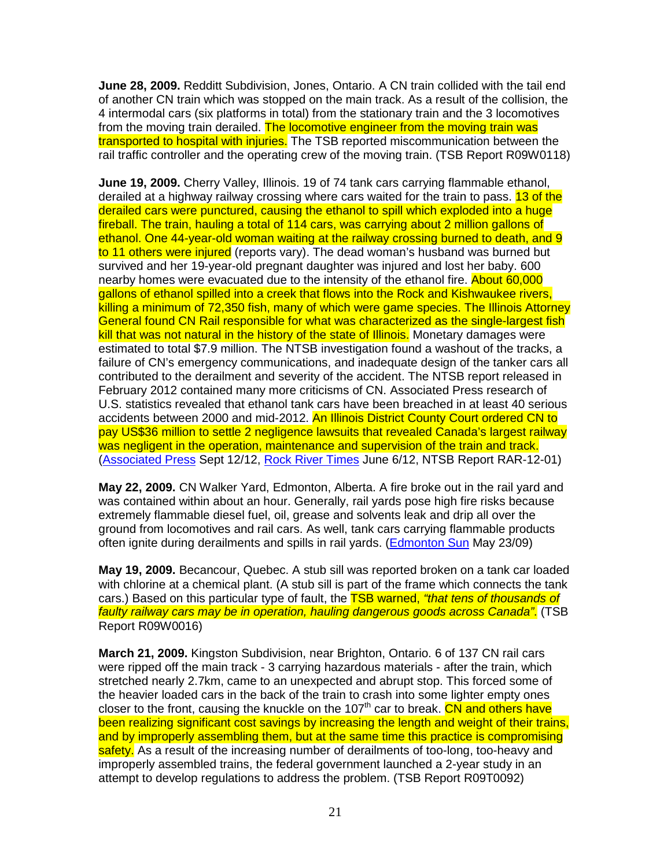**June 28, 2009.** Redditt Subdivision, Jones, Ontario. A CN train collided with the tail end of another CN train which was stopped on the main track. As a result of the collision, the 4 intermodal cars (six platforms in total) from the stationary train and the 3 locomotives from the moving train derailed. The locomotive engineer from the moving train was transported to hospital with injuries. The TSB reported miscommunication between the rail traffic controller and the operating crew of the moving train. (TSB Report R09W0118)

**June 19, 2009.** Cherry Valley, Illinois. 19 of 74 tank cars carrying flammable ethanol, derailed at a highway railway crossing where cars waited for the train to pass. 13 of the derailed cars were punctured, causing the ethanol to spill which exploded into a huge fireball. The train, hauling a total of 114 cars, was carrying about 2 million gallons of ethanol. One 44-year-old woman waiting at the railway crossing burned to death, and 9 to 11 others were injured (reports vary). The dead woman's husband was burned but survived and her 19-year-old pregnant daughter was injured and lost her baby. 600 nearby homes were evacuated due to the intensity of the ethanol fire. About 60,000 gallons of ethanol spilled into a creek that flows into the Rock and Kishwaukee rivers, killing a minimum of 72,350 fish, many of which were game species. The Illinois Attorney General found CN Rail responsible for what was characterized as the single-largest fish kill that was not natural in the history of the state of Illinois. Monetary damages were estimated to total \$7.9 million. The NTSB investigation found a washout of the tracks, a failure of CN's emergency communications, and inadequate design of the tanker cars all contributed to the derailment and severity of the accident. The NTSB report released in February 2012 contained many more criticisms of CN. Associated Press research of U.S. statistics revealed that ethanol tank cars have been breached in at least 40 serious accidents between 2000 and mid-2012. An Illinois District County Court ordered CN to pay US\$36 million to settle 2 negligence lawsuits that revealed Canada's largest railway was negligent in the operation, maintenance and supervision of the train and track. (Associated Press Sept 12/12, Rock River Times June 6/12, NTSB Report RAR-12-01)

**May 22, 2009.** CN Walker Yard, Edmonton, Alberta. A fire broke out in the rail yard and was contained within about an hour. Generally, rail yards pose high fire risks because extremely flammable diesel fuel, oil, grease and solvents leak and drip all over the ground from locomotives and rail cars. As well, tank cars carrying flammable products often ignite during derailments and spills in rail yards. (Edmonton Sun May 23/09)

**May 19, 2009.** Becancour, Quebec. A stub sill was reported broken on a tank car loaded with chlorine at a chemical plant. (A stub sill is part of the frame which connects the tank cars.) Based on this particular type of fault, the **TSB warned, "that tens of thousands of** faulty railway cars may be in operation, hauling dangerous goods across Canada". (TSB Report R09W0016)

**March 21, 2009.** Kingston Subdivision, near Brighton, Ontario. 6 of 137 CN rail cars were ripped off the main track - 3 carrying hazardous materials - after the train, which stretched nearly 2.7km, came to an unexpected and abrupt stop. This forced some of the heavier loaded cars in the back of the train to crash into some lighter empty ones closer to the front, causing the knuckle on the 107<sup>th</sup> car to break. CN and others have been realizing significant cost savings by increasing the length and weight of their trains, and by improperly assembling them, but at the same time this practice is compromising safety. As a result of the increasing number of derailments of too-long, too-heavy and improperly assembled trains, the federal government launched a 2-year study in an attempt to develop regulations to address the problem. (TSB Report R09T0092)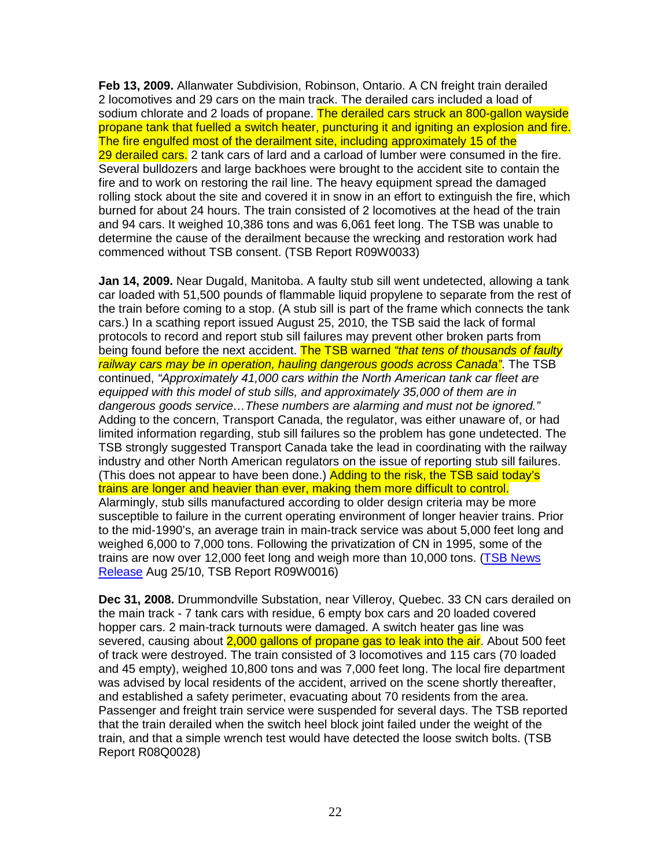**Feb 13, 2009.** Allanwater Subdivision, Robinson, Ontario. A CN freight train derailed 2 locomotives and 29 cars on the main track. The derailed cars included a load of sodium chlorate and 2 loads of propane. The derailed cars struck an 800-gallon wayside propane tank that fuelled a switch heater, puncturing it and igniting an explosion and fire. The fire engulfed most of the derailment site, including approximately 15 of the 29 derailed cars. 2 tank cars of lard and a carload of lumber were consumed in the fire. Several bulldozers and large backhoes were brought to the accident site to contain the fire and to work on restoring the rail line. The heavy equipment spread the damaged rolling stock about the site and covered it in snow in an effort to extinguish the fire, which burned for about 24 hours. The train consisted of 2 locomotives at the head of the train and 94 cars. It weighed 10,386 tons and was 6,061 feet long. The TSB was unable to determine the cause of the derailment because the wrecking and restoration work had commenced without TSB consent. (TSB Report R09W0033)

**Jan 14, 2009.** Near Dugald, Manitoba. A faulty stub sill went undetected, allowing a tank car loaded with 51,500 pounds of flammable liquid propylene to separate from the rest of the train before coming to a stop. (A stub sill is part of the frame which connects the tank cars.) In a scathing report issued August 25, 2010, the TSB said the lack of formal protocols to record and report stub sill failures may prevent other broken parts from being found before the next accident. The TSB warned "that tens of thousands of faulty railway cars may be in operation, hauling dangerous goods across Canada". The TSB continued, "Approximately 41,000 cars within the North American tank car fleet are equipped with this model of stub sills, and approximately 35,000 of them are in dangerous goods service…These numbers are alarming and must not be ignored." Adding to the concern, Transport Canada, the regulator, was either unaware of, or had limited information regarding, stub sill failures so the problem has gone undetected. The TSB strongly suggested Transport Canada take the lead in coordinating with the railway industry and other North American regulators on the issue of reporting stub sill failures. (This does not appear to have been done.) Adding to the risk, the TSB said today's trains are longer and heavier than ever, making them more difficult to control. Alarmingly, stub sills manufactured according to older design criteria may be more susceptible to failure in the current operating environment of longer heavier trains. Prior to the mid-1990's, an average train in main-track service was about 5,000 feet long and weighed 6,000 to 7,000 tons. Following the privatization of CN in 1995, some of the trains are now over 12,000 feet long and weigh more than 10,000 tons. (TSB News Release Aug 25/10, TSB Report R09W0016)

**Dec 31, 2008.** Drummondville Substation, near Villeroy, Quebec. 33 CN cars derailed on the main track - 7 tank cars with residue, 6 empty box cars and 20 loaded covered hopper cars. 2 main-track turnouts were damaged. A switch heater gas line was severed, causing about 2,000 gallons of propane gas to leak into the air. About 500 feet of track were destroyed. The train consisted of 3 locomotives and 115 cars (70 loaded and 45 empty), weighed 10,800 tons and was 7,000 feet long. The local fire department was advised by local residents of the accident, arrived on the scene shortly thereafter, and established a safety perimeter, evacuating about 70 residents from the area. Passenger and freight train service were suspended for several days. The TSB reported that the train derailed when the switch heel block joint failed under the weight of the train, and that a simple wrench test would have detected the loose switch bolts. (TSB Report R08Q0028)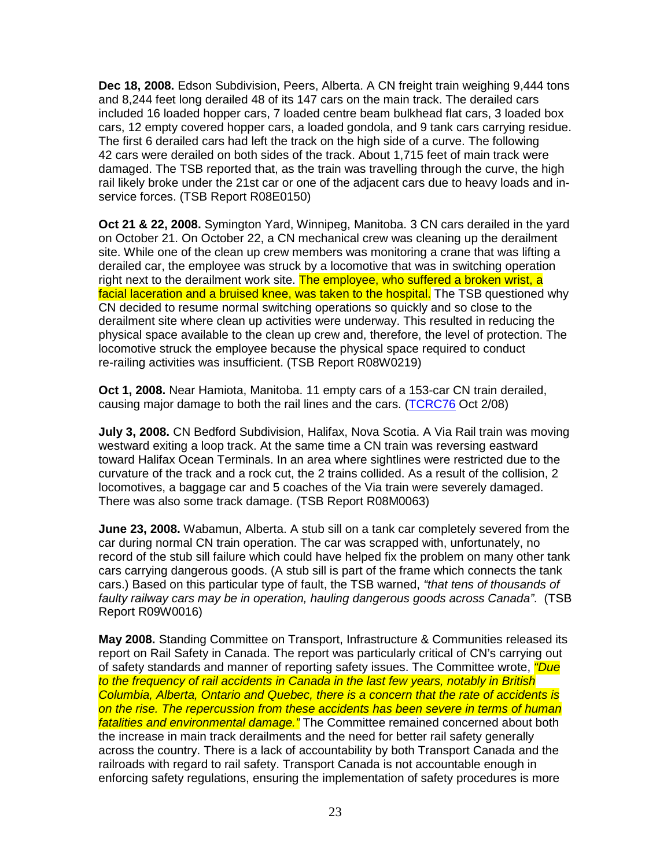**Dec 18, 2008.** Edson Subdivision, Peers, Alberta. A CN freight train weighing 9,444 tons and 8,244 feet long derailed 48 of its 147 cars on the main track. The derailed cars included 16 loaded hopper cars, 7 loaded centre beam bulkhead flat cars, 3 loaded box cars, 12 empty covered hopper cars, a loaded gondola, and 9 tank cars carrying residue. The first 6 derailed cars had left the track on the high side of a curve. The following 42 cars were derailed on both sides of the track. About 1,715 feet of main track were damaged. The TSB reported that, as the train was travelling through the curve, the high rail likely broke under the 21st car or one of the adjacent cars due to heavy loads and inservice forces. (TSB Report R08E0150)

**Oct 21 & 22, 2008.** Symington Yard, Winnipeg, Manitoba. 3 CN cars derailed in the yard on October 21. On October 22, a CN mechanical crew was cleaning up the derailment site. While one of the clean up crew members was monitoring a crane that was lifting a derailed car, the employee was struck by a locomotive that was in switching operation right next to the derailment work site. The employee, who suffered a broken wrist, a facial laceration and a bruised knee, was taken to the hospital. The TSB questioned why CN decided to resume normal switching operations so quickly and so close to the derailment site where clean up activities were underway. This resulted in reducing the physical space available to the clean up crew and, therefore, the level of protection. The locomotive struck the employee because the physical space required to conduct re-railing activities was insufficient. (TSB Report R08W0219)

**Oct 1, 2008.** Near Hamiota, Manitoba. 11 empty cars of a 153-car CN train derailed, causing major damage to both the rail lines and the cars. (TCRC76 Oct 2/08)

**July 3, 2008.** CN Bedford Subdivision, Halifax, Nova Scotia. A Via Rail train was moving westward exiting a loop track. At the same time a CN train was reversing eastward toward Halifax Ocean Terminals. In an area where sightlines were restricted due to the curvature of the track and a rock cut, the 2 trains collided. As a result of the collision, 2 locomotives, a baggage car and 5 coaches of the Via train were severely damaged. There was also some track damage. (TSB Report R08M0063)

**June 23, 2008.** Wabamun, Alberta. A stub sill on a tank car completely severed from the car during normal CN train operation. The car was scrapped with, unfortunately, no record of the stub sill failure which could have helped fix the problem on many other tank cars carrying dangerous goods. (A stub sill is part of the frame which connects the tank cars.) Based on this particular type of fault, the TSB warned, "that tens of thousands of faulty railway cars may be in operation, hauling dangerous goods across Canada". (TSB Report R09W0016)

**May 2008.** Standing Committee on Transport, Infrastructure & Communities released its report on Rail Safety in Canada. The report was particularly critical of CN's carrying out of safety standards and manner of reporting safety issues. The Committee wrote, *"Due* to the frequency of rail accidents in Canada in the last few years, notably in British Columbia, Alberta, Ontario and Quebec, there is a concern that the rate of accidents is on the rise. The repercussion from these accidents has been severe in terms of human fatalities and environmental damage." The Committee remained concerned about both the increase in main track derailments and the need for better rail safety generally across the country. There is a lack of accountability by both Transport Canada and the railroads with regard to rail safety. Transport Canada is not accountable enough in enforcing safety regulations, ensuring the implementation of safety procedures is more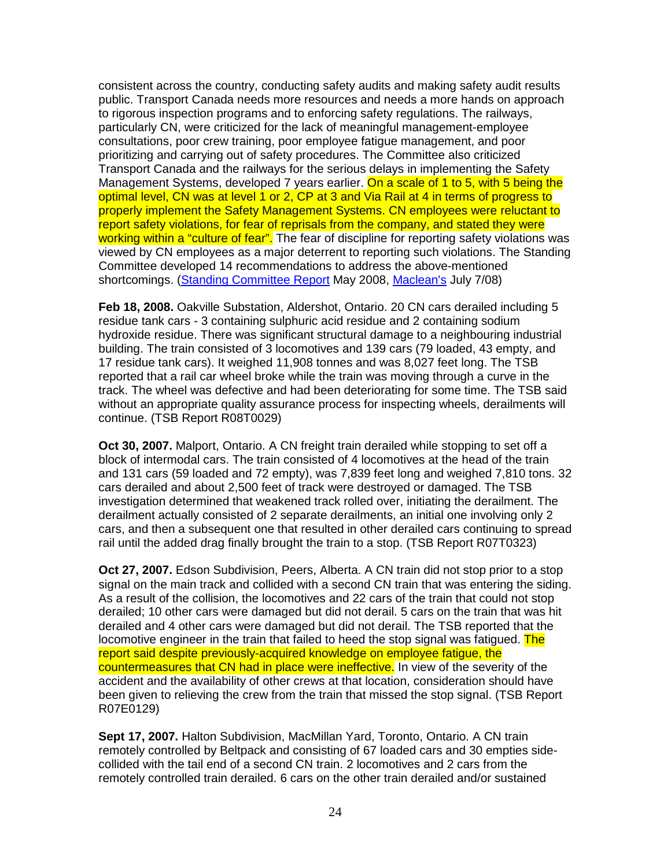consistent across the country, conducting safety audits and making safety audit results public. Transport Canada needs more resources and needs a more hands on approach to rigorous inspection programs and to enforcing safety regulations. The railways, particularly CN, were criticized for the lack of meaningful management-employee consultations, poor crew training, poor employee fatigue management, and poor prioritizing and carrying out of safety procedures. The Committee also criticized Transport Canada and the railways for the serious delays in implementing the Safety Management Systems, developed 7 years earlier. On a scale of 1 to 5, with 5 being the optimal level, CN was at level 1 or 2, CP at 3 and Via Rail at 4 in terms of progress to properly implement the Safety Management Systems. CN employees were reluctant to report safety violations, for fear of reprisals from the company, and stated they were working within a "culture of fear". The fear of discipline for reporting safety violations was viewed by CN employees as a major deterrent to reporting such violations. The Standing Committee developed 14 recommendations to address the above-mentioned shortcomings. (Standing Committee Report May 2008, Maclean's July 7/08)

**Feb 18, 2008.** Oakville Substation, Aldershot, Ontario. 20 CN cars derailed including 5 residue tank cars - 3 containing sulphuric acid residue and 2 containing sodium hydroxide residue. There was significant structural damage to a neighbouring industrial building. The train consisted of 3 locomotives and 139 cars (79 loaded, 43 empty, and 17 residue tank cars). It weighed 11,908 tonnes and was 8,027 feet long. The TSB reported that a rail car wheel broke while the train was moving through a curve in the track. The wheel was defective and had been deteriorating for some time. The TSB said without an appropriate quality assurance process for inspecting wheels, derailments will continue. (TSB Report R08T0029)

**Oct 30, 2007.** Malport, Ontario. A CN freight train derailed while stopping to set off a block of intermodal cars. The train consisted of 4 locomotives at the head of the train and 131 cars (59 loaded and 72 empty), was 7,839 feet long and weighed 7,810 tons. 32 cars derailed and about 2,500 feet of track were destroyed or damaged. The TSB investigation determined that weakened track rolled over, initiating the derailment. The derailment actually consisted of 2 separate derailments, an initial one involving only 2 cars, and then a subsequent one that resulted in other derailed cars continuing to spread rail until the added drag finally brought the train to a stop. (TSB Report R07T0323)

**Oct 27, 2007.** Edson Subdivision, Peers, Alberta. A CN train did not stop prior to a stop signal on the main track and collided with a second CN train that was entering the siding. As a result of the collision, the locomotives and 22 cars of the train that could not stop derailed; 10 other cars were damaged but did not derail. 5 cars on the train that was hit derailed and 4 other cars were damaged but did not derail. The TSB reported that the locomotive engineer in the train that failed to heed the stop signal was fatigued. The report said despite previously-acquired knowledge on employee fatigue, the countermeasures that CN had in place were ineffective. In view of the severity of the accident and the availability of other crews at that location, consideration should have been given to relieving the crew from the train that missed the stop signal. (TSB Report R07E0129)

**Sept 17, 2007.** Halton Subdivision, MacMillan Yard, Toronto, Ontario. A CN train remotely controlled by Beltpack and consisting of 67 loaded cars and 30 empties sidecollided with the tail end of a second CN train. 2 locomotives and 2 cars from the remotely controlled train derailed. 6 cars on the other train derailed and/or sustained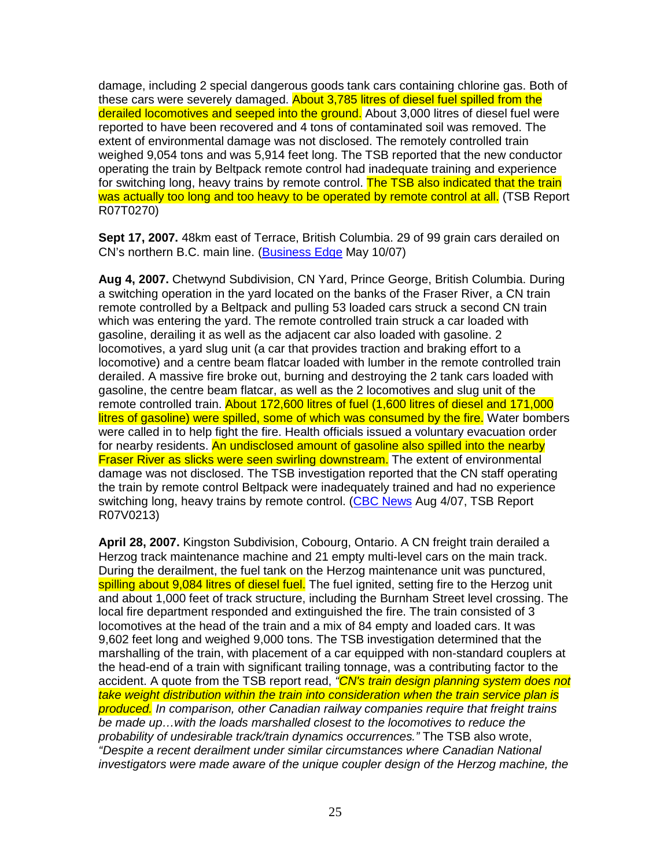damage, including 2 special dangerous goods tank cars containing chlorine gas. Both of these cars were severely damaged. About 3,785 litres of diesel fuel spilled from the derailed locomotives and seeped into the ground. About 3,000 litres of diesel fuel were reported to have been recovered and 4 tons of contaminated soil was removed. The extent of environmental damage was not disclosed. The remotely controlled train weighed 9,054 tons and was 5,914 feet long. The TSB reported that the new conductor operating the train by Beltpack remote control had inadequate training and experience for switching long, heavy trains by remote control. The TSB also indicated that the train was actually too long and too heavy to be operated by remote control at all. (TSB Report R07T0270)

**Sept 17, 2007.** 48km east of Terrace, British Columbia. 29 of 99 grain cars derailed on CN's northern B.C. main line. (Business Edge May 10/07)

**Aug 4, 2007.** Chetwynd Subdivision, CN Yard, Prince George, British Columbia. During a switching operation in the yard located on the banks of the Fraser River, a CN train remote controlled by a Beltpack and pulling 53 loaded cars struck a second CN train which was entering the yard. The remote controlled train struck a car loaded with gasoline, derailing it as well as the adjacent car also loaded with gasoline. 2 locomotives, a yard slug unit (a car that provides traction and braking effort to a locomotive) and a centre beam flatcar loaded with lumber in the remote controlled train derailed. A massive fire broke out, burning and destroying the 2 tank cars loaded with gasoline, the centre beam flatcar, as well as the 2 locomotives and slug unit of the remote controlled train. About 172,600 litres of fuel (1,600 litres of diesel and 171,000 litres of gasoline) were spilled, some of which was consumed by the fire. Water bombers were called in to help fight the fire. Health officials issued a voluntary evacuation order for nearby residents. An undisclosed amount of gasoline also spilled into the nearby **Fraser River as slicks were seen swirling downstream.** The extent of environmental damage was not disclosed. The TSB investigation reported that the CN staff operating the train by remote control Beltpack were inadequately trained and had no experience switching long, heavy trains by remote control. (CBC News Aug 4/07, TSB Report R07V0213)

**April 28, 2007.** Kingston Subdivision, Cobourg, Ontario. A CN freight train derailed a Herzog track maintenance machine and 21 empty multi-level cars on the main track. During the derailment, the fuel tank on the Herzog maintenance unit was punctured, spilling about 9,084 litres of diesel fuel. The fuel ignited, setting fire to the Herzog unit and about 1,000 feet of track structure, including the Burnham Street level crossing. The local fire department responded and extinguished the fire. The train consisted of 3 locomotives at the head of the train and a mix of 84 empty and loaded cars. It was 9,602 feet long and weighed 9,000 tons. The TSB investigation determined that the marshalling of the train, with placement of a car equipped with non-standard couplers at the head-end of a train with significant trailing tonnage, was a contributing factor to the accident. A quote from the TSB report read, "CN's train design planning system does not take weight distribution within the train into consideration when the train service plan is produced. In comparison, other Canadian railway companies require that freight trains be made up…with the loads marshalled closest to the locomotives to reduce the probability of undesirable track/train dynamics occurrences." The TSB also wrote, "Despite a recent derailment under similar circumstances where Canadian National investigators were made aware of the unique coupler design of the Herzog machine, the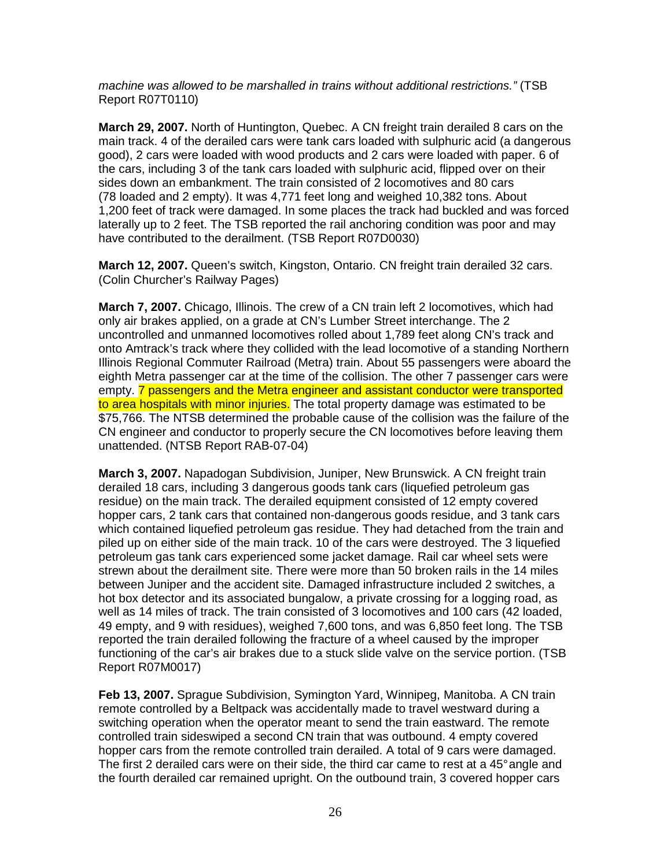machine was allowed to be marshalled in trains without additional restrictions." (TSB Report R07T0110)

**March 29, 2007.** North of Huntington, Quebec. A CN freight train derailed 8 cars on the main track. 4 of the derailed cars were tank cars loaded with sulphuric acid (a dangerous good), 2 cars were loaded with wood products and 2 cars were loaded with paper. 6 of the cars, including 3 of the tank cars loaded with sulphuric acid, flipped over on their sides down an embankment. The train consisted of 2 locomotives and 80 cars (78 loaded and 2 empty). It was 4,771 feet long and weighed 10,382 tons. About 1,200 feet of track were damaged. In some places the track had buckled and was forced laterally up to 2 feet. The TSB reported the rail anchoring condition was poor and may have contributed to the derailment. (TSB Report R07D0030)

**March 12, 2007.** Queen's switch, Kingston, Ontario. CN freight train derailed 32 cars. (Colin Churcher's Railway Pages)

**March 7, 2007.** Chicago, Illinois. The crew of a CN train left 2 locomotives, which had only air brakes applied, on a grade at CN's Lumber Street interchange. The 2 uncontrolled and unmanned locomotives rolled about 1,789 feet along CN's track and onto Amtrack's track where they collided with the lead locomotive of a standing Northern Illinois Regional Commuter Railroad (Metra) train. About 55 passengers were aboard the eighth Metra passenger car at the time of the collision. The other 7 passenger cars were empty. **7** passengers and the Metra engineer and assistant conductor were transported to area hospitals with minor injuries. The total property damage was estimated to be \$75,766. The NTSB determined the probable cause of the collision was the failure of the CN engineer and conductor to properly secure the CN locomotives before leaving them unattended. (NTSB Report RAB-07-04)

**March 3, 2007.** Napadogan Subdivision, Juniper, New Brunswick. A CN freight train derailed 18 cars, including 3 dangerous goods tank cars (liquefied petroleum gas residue) on the main track. The derailed equipment consisted of 12 empty covered hopper cars, 2 tank cars that contained non-dangerous goods residue, and 3 tank cars which contained liquefied petroleum gas residue. They had detached from the train and piled up on either side of the main track. 10 of the cars were destroyed. The 3 liquefied petroleum gas tank cars experienced some jacket damage. Rail car wheel sets were strewn about the derailment site. There were more than 50 broken rails in the 14 miles between Juniper and the accident site. Damaged infrastructure included 2 switches, a hot box detector and its associated bungalow, a private crossing for a logging road, as well as 14 miles of track. The train consisted of 3 locomotives and 100 cars (42 loaded, 49 empty, and 9 with residues), weighed 7,600 tons, and was 6,850 feet long. The TSB reported the train derailed following the fracture of a wheel caused by the improper functioning of the car's air brakes due to a stuck slide valve on the service portion. (TSB Report R07M0017)

**Feb 13, 2007.** Sprague Subdivision, Symington Yard, Winnipeg, Manitoba. A CN train remote controlled by a Beltpack was accidentally made to travel westward during a switching operation when the operator meant to send the train eastward. The remote controlled train sideswiped a second CN train that was outbound. 4 empty covered hopper cars from the remote controlled train derailed. A total of 9 cars were damaged. The first 2 derailed cars were on their side, the third car came to rest at a 45° angle and the fourth derailed car remained upright. On the outbound train, 3 covered hopper cars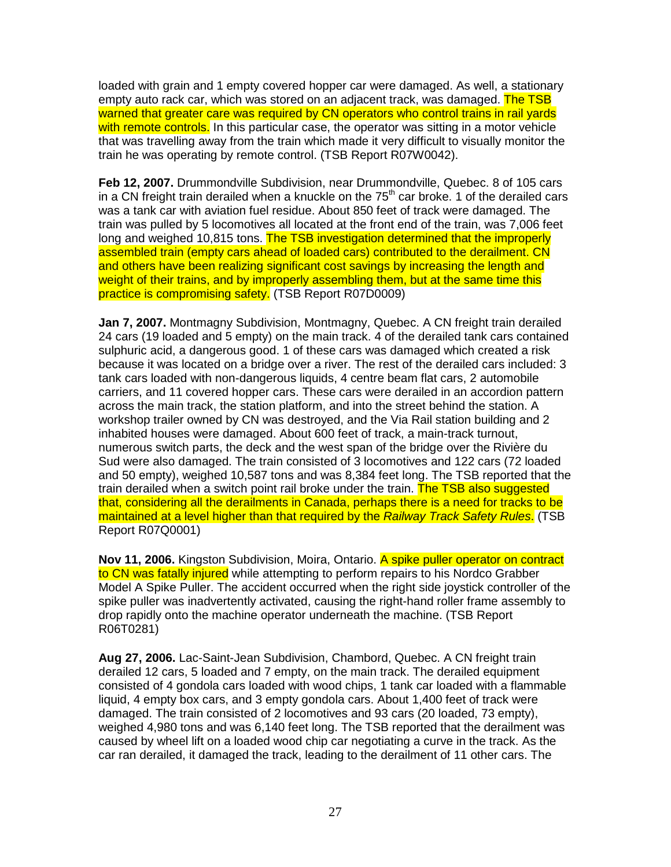loaded with grain and 1 empty covered hopper car were damaged. As well, a stationary empty auto rack car, which was stored on an adiacent track, was damaged. The TSB warned that greater care was required by CN operators who control trains in rail yards with remote controls. In this particular case, the operator was sitting in a motor vehicle that was travelling away from the train which made it very difficult to visually monitor the train he was operating by remote control. (TSB Report R07W0042).

**Feb 12, 2007.** Drummondville Subdivision, near Drummondville, Quebec. 8 of 105 cars in a CN freight train derailed when a knuckle on the  $75<sup>th</sup>$  car broke. 1 of the derailed cars was a tank car with aviation fuel residue. About 850 feet of track were damaged. The train was pulled by 5 locomotives all located at the front end of the train, was 7,006 feet long and weighed 10,815 tons. The TSB investigation determined that the improperly assembled train (empty cars ahead of loaded cars) contributed to the derailment. CN and others have been realizing significant cost savings by increasing the length and weight of their trains, and by improperly assembling them, but at the same time this practice is compromising safety. (TSB Report R07D0009)

**Jan 7, 2007.** Montmagny Subdivision, Montmagny, Quebec. A CN freight train derailed 24 cars (19 loaded and 5 empty) on the main track. 4 of the derailed tank cars contained sulphuric acid, a dangerous good. 1 of these cars was damaged which created a risk because it was located on a bridge over a river. The rest of the derailed cars included: 3 tank cars loaded with non-dangerous liquids, 4 centre beam flat cars, 2 automobile carriers, and 11 covered hopper cars. These cars were derailed in an accordion pattern across the main track, the station platform, and into the street behind the station. A workshop trailer owned by CN was destroyed, and the Via Rail station building and 2 inhabited houses were damaged. About 600 feet of track, a main-track turnout, numerous switch parts, the deck and the west span of the bridge over the Rivière du Sud were also damaged. The train consisted of 3 locomotives and 122 cars (72 loaded and 50 empty), weighed 10,587 tons and was 8,384 feet long. The TSB reported that the train derailed when a switch point rail broke under the train. The TSB also suggested that, considering all the derailments in Canada, perhaps there is a need for tracks to be maintained at a level higher than that required by the Railway Track Safety Rules. (TSB Report R07Q0001)

**Nov 11, 2006.** Kingston Subdivision, Moira, Ontario. A spike puller operator on contract to CN was fatally injured while attempting to perform repairs to his Nordco Grabber Model A Spike Puller. The accident occurred when the right side joystick controller of the spike puller was inadvertently activated, causing the right-hand roller frame assembly to drop rapidly onto the machine operator underneath the machine. (TSB Report R06T0281)

**Aug 27, 2006.** Lac-Saint-Jean Subdivision, Chambord, Quebec. A CN freight train derailed 12 cars, 5 loaded and 7 empty, on the main track. The derailed equipment consisted of 4 gondola cars loaded with wood chips, 1 tank car loaded with a flammable liquid, 4 empty box cars, and 3 empty gondola cars. About 1,400 feet of track were damaged. The train consisted of 2 locomotives and 93 cars (20 loaded, 73 empty), weighed 4,980 tons and was 6,140 feet long. The TSB reported that the derailment was caused by wheel lift on a loaded wood chip car negotiating a curve in the track. As the car ran derailed, it damaged the track, leading to the derailment of 11 other cars. The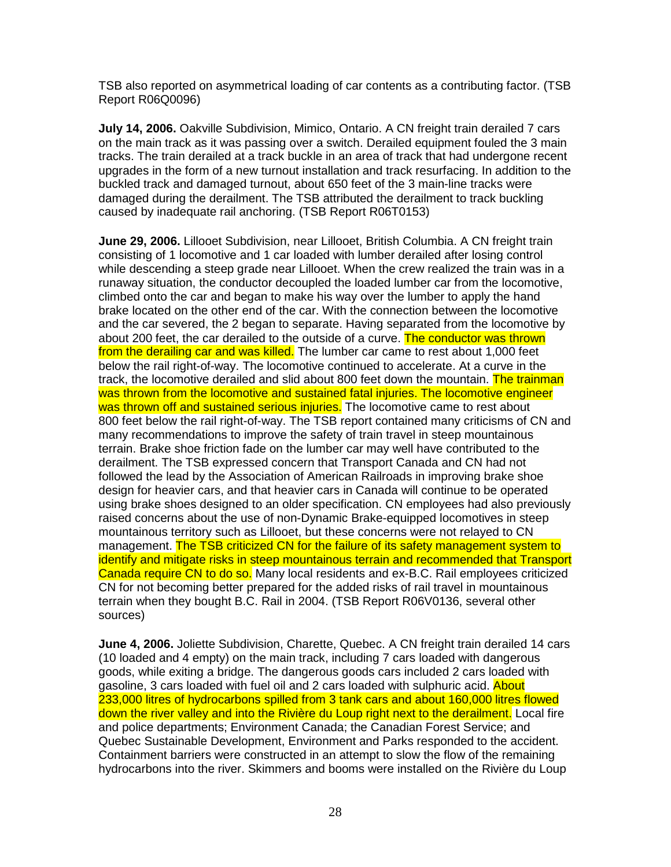TSB also reported on asymmetrical loading of car contents as a contributing factor. (TSB Report R06Q0096)

**July 14, 2006.** Oakville Subdivision, Mimico, Ontario. A CN freight train derailed 7 cars on the main track as it was passing over a switch. Derailed equipment fouled the 3 main tracks. The train derailed at a track buckle in an area of track that had undergone recent upgrades in the form of a new turnout installation and track resurfacing. In addition to the buckled track and damaged turnout, about 650 feet of the 3 main-line tracks were damaged during the derailment. The TSB attributed the derailment to track buckling caused by inadequate rail anchoring. (TSB Report R06T0153)

**June 29, 2006.** Lillooet Subdivision, near Lillooet, British Columbia. A CN freight train consisting of 1 locomotive and 1 car loaded with lumber derailed after losing control while descending a steep grade near Lillooet. When the crew realized the train was in a runaway situation, the conductor decoupled the loaded lumber car from the locomotive, climbed onto the car and began to make his way over the lumber to apply the hand brake located on the other end of the car. With the connection between the locomotive and the car severed, the 2 began to separate. Having separated from the locomotive by about 200 feet, the car derailed to the outside of a curve. The conductor was thrown from the derailing car and was killed. The lumber car came to rest about 1,000 feet below the rail right-of-way. The locomotive continued to accelerate. At a curve in the track, the locomotive derailed and slid about 800 feet down the mountain. The trainman was thrown from the locomotive and sustained fatal injuries. The locomotive engineer was thrown off and sustained serious injuries. The locomotive came to rest about 800 feet below the rail right-of-way. The TSB report contained many criticisms of CN and many recommendations to improve the safety of train travel in steep mountainous terrain. Brake shoe friction fade on the lumber car may well have contributed to the derailment. The TSB expressed concern that Transport Canada and CN had not followed the lead by the Association of American Railroads in improving brake shoe design for heavier cars, and that heavier cars in Canada will continue to be operated using brake shoes designed to an older specification. CN employees had also previously raised concerns about the use of non-Dynamic Brake-equipped locomotives in steep mountainous territory such as Lillooet, but these concerns were not relayed to CN management. The TSB criticized CN for the failure of its safety management system to identify and mitigate risks in steep mountainous terrain and recommended that Transport Canada require CN to do so. Many local residents and ex-B.C. Rail employees criticized CN for not becoming better prepared for the added risks of rail travel in mountainous terrain when they bought B.C. Rail in 2004. (TSB Report R06V0136, several other sources)

**June 4, 2006.** Joliette Subdivision, Charette, Quebec. A CN freight train derailed 14 cars (10 loaded and 4 empty) on the main track, including 7 cars loaded with dangerous goods, while exiting a bridge. The dangerous goods cars included 2 cars loaded with gasoline, 3 cars loaded with fuel oil and 2 cars loaded with sulphuric acid. About 233,000 litres of hydrocarbons spilled from 3 tank cars and about 160,000 litres flowed down the river valley and into the Rivière du Loup right next to the derailment. Local fire and police departments; Environment Canada; the Canadian Forest Service; and Quebec Sustainable Development, Environment and Parks responded to the accident. Containment barriers were constructed in an attempt to slow the flow of the remaining hydrocarbons into the river. Skimmers and booms were installed on the Rivière du Loup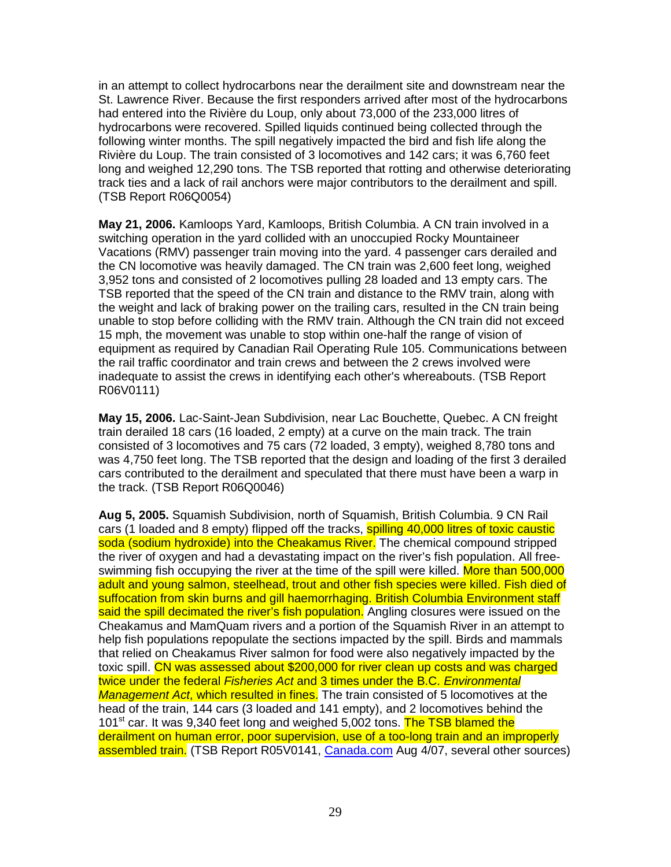in an attempt to collect hydrocarbons near the derailment site and downstream near the St. Lawrence River. Because the first responders arrived after most of the hydrocarbons had entered into the Rivière du Loup, only about 73,000 of the 233,000 litres of hydrocarbons were recovered. Spilled liquids continued being collected through the following winter months. The spill negatively impacted the bird and fish life along the Rivière du Loup. The train consisted of 3 locomotives and 142 cars; it was 6,760 feet long and weighed 12,290 tons. The TSB reported that rotting and otherwise deteriorating track ties and a lack of rail anchors were major contributors to the derailment and spill. (TSB Report R06Q0054)

**May 21, 2006.** Kamloops Yard, Kamloops, British Columbia. A CN train involved in a switching operation in the yard collided with an unoccupied Rocky Mountaineer Vacations (RMV) passenger train moving into the yard. 4 passenger cars derailed and the CN locomotive was heavily damaged. The CN train was 2,600 feet long, weighed 3,952 tons and consisted of 2 locomotives pulling 28 loaded and 13 empty cars. The TSB reported that the speed of the CN train and distance to the RMV train, along with the weight and lack of braking power on the trailing cars, resulted in the CN train being unable to stop before colliding with the RMV train. Although the CN train did not exceed 15 mph, the movement was unable to stop within one-half the range of vision of equipment as required by Canadian Rail Operating Rule 105. Communications between the rail traffic coordinator and train crews and between the 2 crews involved were inadequate to assist the crews in identifying each other's whereabouts. (TSB Report R06V0111)

**May 15, 2006.** Lac-Saint-Jean Subdivision, near Lac Bouchette, Quebec. A CN freight train derailed 18 cars (16 loaded, 2 empty) at a curve on the main track. The train consisted of 3 locomotives and 75 cars (72 loaded, 3 empty), weighed 8,780 tons and was 4,750 feet long. The TSB reported that the design and loading of the first 3 derailed cars contributed to the derailment and speculated that there must have been a warp in the track. (TSB Report R06Q0046)

**Aug 5, 2005.** Squamish Subdivision, north of Squamish, British Columbia. 9 CN Rail cars (1 loaded and 8 empty) flipped off the tracks, spilling 40,000 litres of toxic caustic soda (sodium hydroxide) into the Cheakamus River. The chemical compound stripped the river of oxygen and had a devastating impact on the river's fish population. All freeswimming fish occupying the river at the time of the spill were killed. More than 500,000 adult and young salmon, steelhead, trout and other fish species were killed. Fish died of suffocation from skin burns and gill haemorrhaging. British Columbia Environment staff said the spill decimated the river's fish population. Angling closures were issued on the Cheakamus and MamQuam rivers and a portion of the Squamish River in an attempt to help fish populations repopulate the sections impacted by the spill. Birds and mammals that relied on Cheakamus River salmon for food were also negatively impacted by the toxic spill. CN was assessed about \$200,000 for river clean up costs and was charged twice under the federal Fisheries Act and 3 times under the B.C. Environmental Management Act, which resulted in fines. The train consisted of 5 locomotives at the head of the train, 144 cars (3 loaded and 141 empty), and 2 locomotives behind the 101<sup>st</sup> car. It was 9,340 feet long and weighed 5,002 tons. The TSB blamed the derailment on human error, poor supervision, use of a too-long train and an improperly assembled train. (TSB Report R05V0141, Canada.com Aug 4/07, several other sources)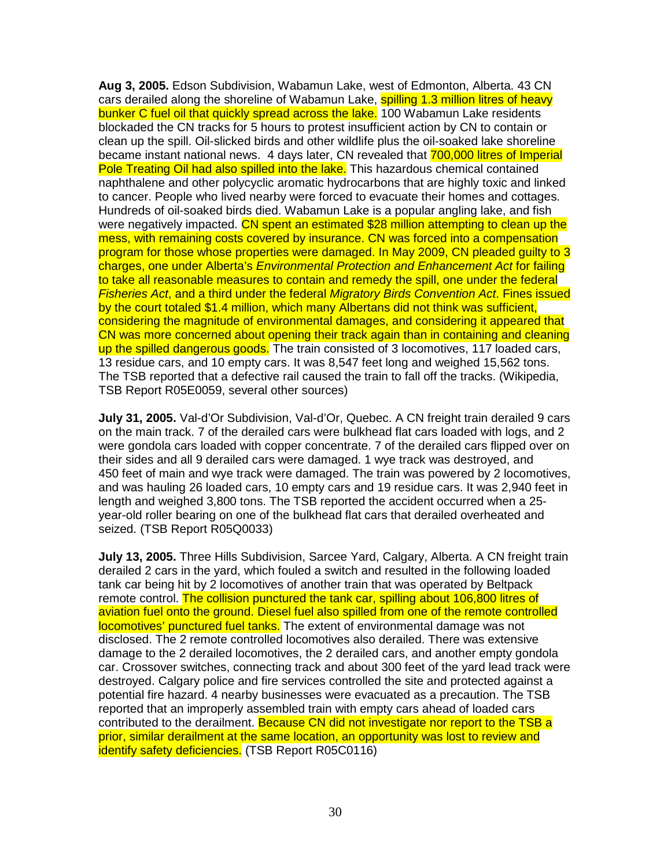**Aug 3, 2005.** Edson Subdivision, Wabamun Lake, west of Edmonton, Alberta. 43 CN cars derailed along the shoreline of Wabamun Lake, spilling 1.3 million litres of heavy bunker C fuel oil that quickly spread across the lake. 100 Wabamun Lake residents blockaded the CN tracks for 5 hours to protest insufficient action by CN to contain or clean up the spill. Oil-slicked birds and other wildlife plus the oil-soaked lake shoreline became instant national news. 4 days later, CN revealed that 700,000 litres of Imperial Pole Treating Oil had also spilled into the lake. This hazardous chemical contained naphthalene and other polycyclic aromatic hydrocarbons that are highly toxic and linked to cancer. People who lived nearby were forced to evacuate their homes and cottages. Hundreds of oil-soaked birds died. Wabamun Lake is a popular angling lake, and fish were negatively impacted. CN spent an estimated \$28 million attempting to clean up the mess, with remaining costs covered by insurance. CN was forced into a compensation program for those whose properties were damaged. In May 2009, CN pleaded guilty to 3 charges, one under Alberta's Environmental Protection and Enhancement Act for failing to take all reasonable measures to contain and remedy the spill, one under the federal Fisheries Act, and a third under the federal Migratory Birds Convention Act. Fines issued by the court totaled \$1.4 million, which many Albertans did not think was sufficient, considering the magnitude of environmental damages, and considering it appeared that CN was more concerned about opening their track again than in containing and cleaning up the spilled dangerous goods. The train consisted of 3 locomotives, 117 loaded cars, 13 residue cars, and 10 empty cars. It was 8,547 feet long and weighed 15,562 tons. The TSB reported that a defective rail caused the train to fall off the tracks. (Wikipedia, TSB Report R05E0059, several other sources)

**July 31, 2005.** Val-d'Or Subdivision, Val-d'Or, Quebec. A CN freight train derailed 9 cars on the main track. 7 of the derailed cars were bulkhead flat cars loaded with logs, and 2 were gondola cars loaded with copper concentrate. 7 of the derailed cars flipped over on their sides and all 9 derailed cars were damaged. 1 wye track was destroyed, and 450 feet of main and wye track were damaged. The train was powered by 2 locomotives, and was hauling 26 loaded cars, 10 empty cars and 19 residue cars. It was 2,940 feet in length and weighed 3,800 tons. The TSB reported the accident occurred when a 25 year-old roller bearing on one of the bulkhead flat cars that derailed overheated and seized. (TSB Report R05Q0033)

**July 13, 2005.** Three Hills Subdivision, Sarcee Yard, Calgary, Alberta. A CN freight train derailed 2 cars in the yard, which fouled a switch and resulted in the following loaded tank car being hit by 2 locomotives of another train that was operated by Beltpack remote control. The collision punctured the tank car, spilling about 106,800 litres of aviation fuel onto the ground. Diesel fuel also spilled from one of the remote controlled locomotives' punctured fuel tanks. The extent of environmental damage was not disclosed. The 2 remote controlled locomotives also derailed. There was extensive damage to the 2 derailed locomotives, the 2 derailed cars, and another empty gondola car. Crossover switches, connecting track and about 300 feet of the yard lead track were destroyed. Calgary police and fire services controlled the site and protected against a potential fire hazard. 4 nearby businesses were evacuated as a precaution. The TSB reported that an improperly assembled train with empty cars ahead of loaded cars contributed to the derailment. Because CN did not investigate nor report to the TSB a prior, similar derailment at the same location, an opportunity was lost to review and identify safety deficiencies. (TSB Report R05C0116)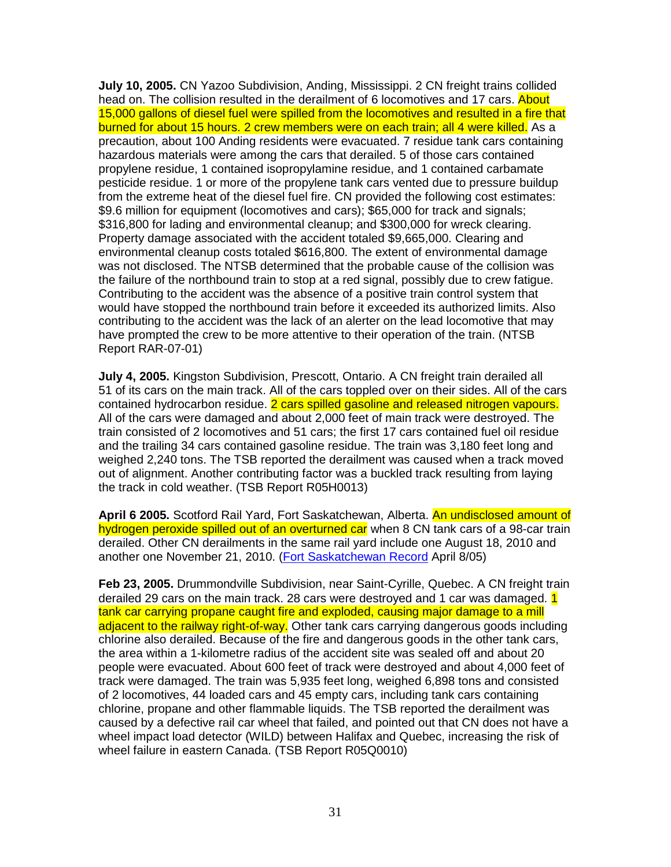**July 10, 2005.** CN Yazoo Subdivision, Anding, Mississippi. 2 CN freight trains collided head on. The collision resulted in the derailment of 6 locomotives and 17 cars. About 15,000 gallons of diesel fuel were spilled from the locomotives and resulted in a fire that burned for about 15 hours. 2 crew members were on each train; all 4 were killed. As a precaution, about 100 Anding residents were evacuated. 7 residue tank cars containing hazardous materials were among the cars that derailed. 5 of those cars contained propylene residue, 1 contained isopropylamine residue, and 1 contained carbamate pesticide residue. 1 or more of the propylene tank cars vented due to pressure buildup from the extreme heat of the diesel fuel fire. CN provided the following cost estimates: \$9.6 million for equipment (locomotives and cars); \$65,000 for track and signals; \$316,800 for lading and environmental cleanup; and \$300,000 for wreck clearing. Property damage associated with the accident totaled \$9,665,000. Clearing and environmental cleanup costs totaled \$616,800. The extent of environmental damage was not disclosed. The NTSB determined that the probable cause of the collision was the failure of the northbound train to stop at a red signal, possibly due to crew fatigue. Contributing to the accident was the absence of a positive train control system that would have stopped the northbound train before it exceeded its authorized limits. Also contributing to the accident was the lack of an alerter on the lead locomotive that may have prompted the crew to be more attentive to their operation of the train. (NTSB Report RAR-07-01)

**July 4, 2005.** Kingston Subdivision, Prescott, Ontario. A CN freight train derailed all 51 of its cars on the main track. All of the cars toppled over on their sides. All of the cars contained hydrocarbon residue. 2 cars spilled gasoline and released nitrogen vapours. All of the cars were damaged and about 2,000 feet of main track were destroyed. The train consisted of 2 locomotives and 51 cars; the first 17 cars contained fuel oil residue and the trailing 34 cars contained gasoline residue. The train was 3,180 feet long and weighed 2,240 tons. The TSB reported the derailment was caused when a track moved out of alignment. Another contributing factor was a buckled track resulting from laying the track in cold weather. (TSB Report R05H0013)

**April 6 2005.** Scotford Rail Yard, Fort Saskatchewan, Alberta. An undisclosed amount of hydrogen peroxide spilled out of an overturned car when 8 CN tank cars of a 98-car train derailed. Other CN derailments in the same rail yard include one August 18, 2010 and another one November 21, 2010. (Fort Saskatchewan Record April 8/05)

**Feb 23, 2005.** Drummondville Subdivision, near Saint-Cyrille, Quebec. A CN freight train derailed 29 cars on the main track. 28 cars were destroyed and 1 car was damaged. 1 tank car carrying propane caught fire and exploded, causing major damage to a mill adjacent to the railway right-of-way. Other tank cars carrying dangerous goods including chlorine also derailed. Because of the fire and dangerous goods in the other tank cars, the area within a 1-kilometre radius of the accident site was sealed off and about 20 people were evacuated. About 600 feet of track were destroyed and about 4,000 feet of track were damaged. The train was 5,935 feet long, weighed 6,898 tons and consisted of 2 locomotives, 44 loaded cars and 45 empty cars, including tank cars containing chlorine, propane and other flammable liquids. The TSB reported the derailment was caused by a defective rail car wheel that failed, and pointed out that CN does not have a wheel impact load detector (WILD) between Halifax and Quebec, increasing the risk of wheel failure in eastern Canada. (TSB Report R05Q0010)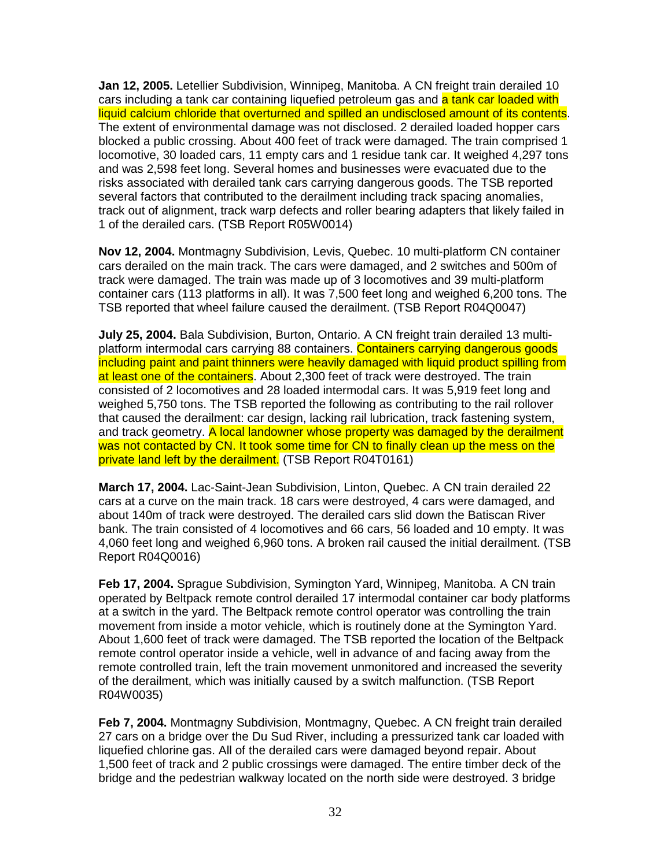**Jan 12, 2005.** Letellier Subdivision, Winnipeg, Manitoba. A CN freight train derailed 10 cars including a tank car containing liquefied petroleum gas and a tank car loaded with liquid calcium chloride that overturned and spilled an undisclosed amount of its contents. The extent of environmental damage was not disclosed. 2 derailed loaded hopper cars blocked a public crossing. About 400 feet of track were damaged. The train comprised 1 locomotive, 30 loaded cars, 11 empty cars and 1 residue tank car. It weighed 4,297 tons and was 2,598 feet long. Several homes and businesses were evacuated due to the risks associated with derailed tank cars carrying dangerous goods. The TSB reported several factors that contributed to the derailment including track spacing anomalies, track out of alignment, track warp defects and roller bearing adapters that likely failed in 1 of the derailed cars. (TSB Report R05W0014)

**Nov 12, 2004.** Montmagny Subdivision, Levis, Quebec. 10 multi-platform CN container cars derailed on the main track. The cars were damaged, and 2 switches and 500m of track were damaged. The train was made up of 3 locomotives and 39 multi-platform container cars (113 platforms in all). It was 7,500 feet long and weighed 6,200 tons. The TSB reported that wheel failure caused the derailment. (TSB Report R04Q0047)

**July 25, 2004.** Bala Subdivision, Burton, Ontario. A CN freight train derailed 13 multiplatform intermodal cars carrying 88 containers. Containers carrying dangerous goods including paint and paint thinners were heavily damaged with liquid product spilling from at least one of the containers. About 2,300 feet of track were destroyed. The train consisted of 2 locomotives and 28 loaded intermodal cars. It was 5,919 feet long and weighed 5,750 tons. The TSB reported the following as contributing to the rail rollover that caused the derailment: car design, lacking rail lubrication, track fastening system, and track geometry. A local landowner whose property was damaged by the derailment was not contacted by CN. It took some time for CN to finally clean up the mess on the private land left by the derailment. (TSB Report R04T0161)

**March 17, 2004.** Lac-Saint-Jean Subdivision, Linton, Quebec. A CN train derailed 22 cars at a curve on the main track. 18 cars were destroyed, 4 cars were damaged, and about 140m of track were destroyed. The derailed cars slid down the Batiscan River bank. The train consisted of 4 locomotives and 66 cars, 56 loaded and 10 empty. It was 4,060 feet long and weighed 6,960 tons. A broken rail caused the initial derailment. (TSB Report R04Q0016)

**Feb 17, 2004.** Sprague Subdivision, Symington Yard, Winnipeg, Manitoba. A CN train operated by Beltpack remote control derailed 17 intermodal container car body platforms at a switch in the yard. The Beltpack remote control operator was controlling the train movement from inside a motor vehicle, which is routinely done at the Symington Yard. About 1,600 feet of track were damaged. The TSB reported the location of the Beltpack remote control operator inside a vehicle, well in advance of and facing away from the remote controlled train, left the train movement unmonitored and increased the severity of the derailment, which was initially caused by a switch malfunction. (TSB Report R04W0035)

**Feb 7, 2004.** Montmagny Subdivision, Montmagny, Quebec. A CN freight train derailed 27 cars on a bridge over the Du Sud River, including a pressurized tank car loaded with liquefied chlorine gas. All of the derailed cars were damaged beyond repair. About 1,500 feet of track and 2 public crossings were damaged. The entire timber deck of the bridge and the pedestrian walkway located on the north side were destroyed. 3 bridge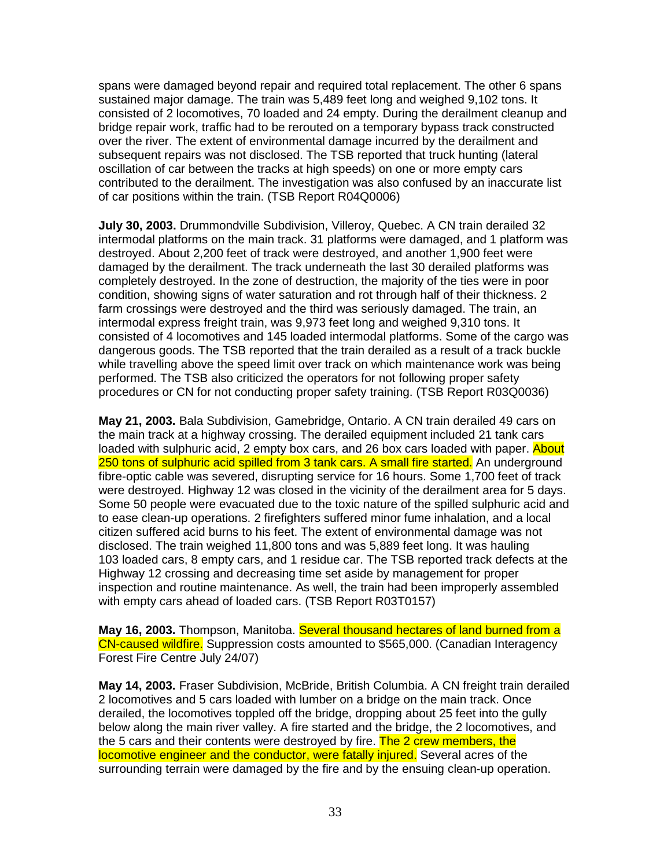spans were damaged beyond repair and required total replacement. The other 6 spans sustained major damage. The train was 5,489 feet long and weighed 9,102 tons. It consisted of 2 locomotives, 70 loaded and 24 empty. During the derailment cleanup and bridge repair work, traffic had to be rerouted on a temporary bypass track constructed over the river. The extent of environmental damage incurred by the derailment and subsequent repairs was not disclosed. The TSB reported that truck hunting (lateral oscillation of car between the tracks at high speeds) on one or more empty cars contributed to the derailment. The investigation was also confused by an inaccurate list of car positions within the train. (TSB Report R04Q0006)

**July 30, 2003.** Drummondville Subdivision, Villeroy, Quebec. A CN train derailed 32 intermodal platforms on the main track. 31 platforms were damaged, and 1 platform was destroyed. About 2,200 feet of track were destroyed, and another 1,900 feet were damaged by the derailment. The track underneath the last 30 derailed platforms was completely destroyed. In the zone of destruction, the majority of the ties were in poor condition, showing signs of water saturation and rot through half of their thickness. 2 farm crossings were destroyed and the third was seriously damaged. The train, an intermodal express freight train, was 9,973 feet long and weighed 9,310 tons. It consisted of 4 locomotives and 145 loaded intermodal platforms. Some of the cargo was dangerous goods. The TSB reported that the train derailed as a result of a track buckle while travelling above the speed limit over track on which maintenance work was being performed. The TSB also criticized the operators for not following proper safety procedures or CN for not conducting proper safety training. (TSB Report R03Q0036)

**May 21, 2003.** Bala Subdivision, Gamebridge, Ontario. A CN train derailed 49 cars on the main track at a highway crossing. The derailed equipment included 21 tank cars loaded with sulphuric acid, 2 empty box cars, and 26 box cars loaded with paper. About 250 tons of sulphuric acid spilled from 3 tank cars. A small fire started. An underground fibre-optic cable was severed, disrupting service for 16 hours. Some 1,700 feet of track were destroyed. Highway 12 was closed in the vicinity of the derailment area for 5 days. Some 50 people were evacuated due to the toxic nature of the spilled sulphuric acid and to ease clean-up operations. 2 firefighters suffered minor fume inhalation, and a local citizen suffered acid burns to his feet. The extent of environmental damage was not disclosed. The train weighed 11,800 tons and was 5,889 feet long. It was hauling 103 loaded cars, 8 empty cars, and 1 residue car. The TSB reported track defects at the Highway 12 crossing and decreasing time set aside by management for proper inspection and routine maintenance. As well, the train had been improperly assembled with empty cars ahead of loaded cars. (TSB Report R03T0157)

**May 16, 2003.** Thompson, Manitoba. Several thousand hectares of land burned from a CN-caused wildfire. Suppression costs amounted to \$565,000. (Canadian Interagency Forest Fire Centre July 24/07)

**May 14, 2003.** Fraser Subdivision, McBride, British Columbia. A CN freight train derailed 2 locomotives and 5 cars loaded with lumber on a bridge on the main track. Once derailed, the locomotives toppled off the bridge, dropping about 25 feet into the gully below along the main river valley. A fire started and the bridge, the 2 locomotives, and the 5 cars and their contents were destroyed by fire. The 2 crew members, the locomotive engineer and the conductor, were fatally injured. Several acres of the surrounding terrain were damaged by the fire and by the ensuing clean-up operation.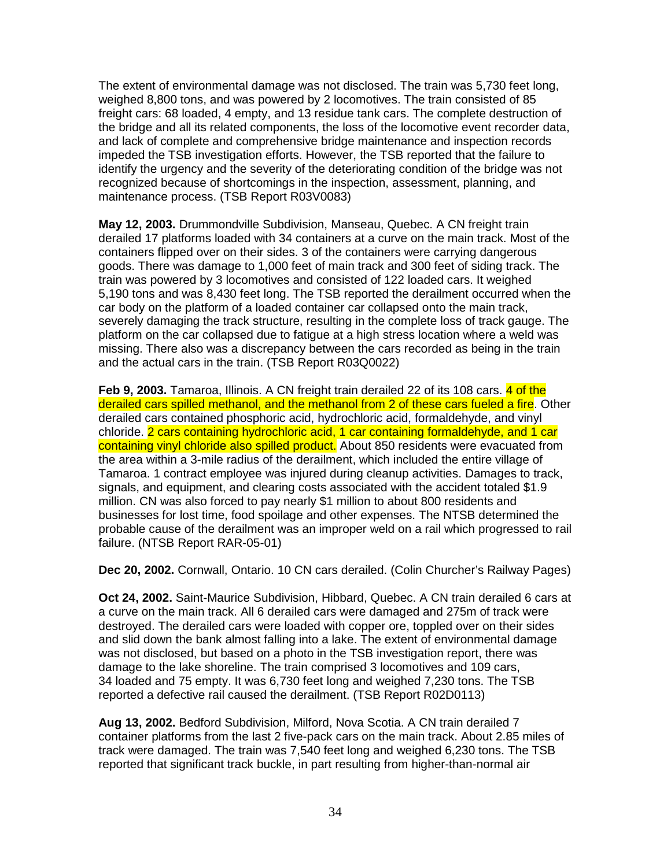The extent of environmental damage was not disclosed. The train was 5,730 feet long, weighed 8,800 tons, and was powered by 2 locomotives. The train consisted of 85 freight cars: 68 loaded, 4 empty, and 13 residue tank cars. The complete destruction of the bridge and all its related components, the loss of the locomotive event recorder data, and lack of complete and comprehensive bridge maintenance and inspection records impeded the TSB investigation efforts. However, the TSB reported that the failure to identify the urgency and the severity of the deteriorating condition of the bridge was not recognized because of shortcomings in the inspection, assessment, planning, and maintenance process. (TSB Report R03V0083)

**May 12, 2003.** Drummondville Subdivision, Manseau, Quebec. A CN freight train derailed 17 platforms loaded with 34 containers at a curve on the main track. Most of the containers flipped over on their sides. 3 of the containers were carrying dangerous goods. There was damage to 1,000 feet of main track and 300 feet of siding track. The train was powered by 3 locomotives and consisted of 122 loaded cars. It weighed 5,190 tons and was 8,430 feet long. The TSB reported the derailment occurred when the car body on the platform of a loaded container car collapsed onto the main track, severely damaging the track structure, resulting in the complete loss of track gauge. The platform on the car collapsed due to fatigue at a high stress location where a weld was missing. There also was a discrepancy between the cars recorded as being in the train and the actual cars in the train. (TSB Report R03Q0022)

**Feb 9, 2003.** Tamaroa, Illinois. A CN freight train derailed 22 of its 108 cars. 4 of the derailed cars spilled methanol, and the methanol from 2 of these cars fueled a fire. Other derailed cars contained phosphoric acid, hydrochloric acid, formaldehyde, and vinyl chloride. 2 cars containing hydrochloric acid, 1 car containing formaldehyde, and 1 car containing vinyl chloride also spilled product. About 850 residents were evacuated from the area within a 3-mile radius of the derailment, which included the entire village of Tamaroa. 1 contract employee was injured during cleanup activities. Damages to track, signals, and equipment, and clearing costs associated with the accident totaled \$1.9 million. CN was also forced to pay nearly \$1 million to about 800 residents and businesses for lost time, food spoilage and other expenses. The NTSB determined the probable cause of the derailment was an improper weld on a rail which progressed to rail failure. (NTSB Report RAR-05-01)

**Dec 20, 2002.** Cornwall, Ontario. 10 CN cars derailed. (Colin Churcher's Railway Pages)

**Oct 24, 2002.** Saint-Maurice Subdivision, Hibbard, Quebec. A CN train derailed 6 cars at a curve on the main track. All 6 derailed cars were damaged and 275m of track were destroyed. The derailed cars were loaded with copper ore, toppled over on their sides and slid down the bank almost falling into a lake. The extent of environmental damage was not disclosed, but based on a photo in the TSB investigation report, there was damage to the lake shoreline. The train comprised 3 locomotives and 109 cars, 34 loaded and 75 empty. It was 6,730 feet long and weighed 7,230 tons. The TSB reported a defective rail caused the derailment. (TSB Report R02D0113)

**Aug 13, 2002.** Bedford Subdivision, Milford, Nova Scotia. A CN train derailed 7 container platforms from the last 2 five-pack cars on the main track. About 2.85 miles of track were damaged. The train was 7,540 feet long and weighed 6,230 tons. The TSB reported that significant track buckle, in part resulting from higher-than-normal air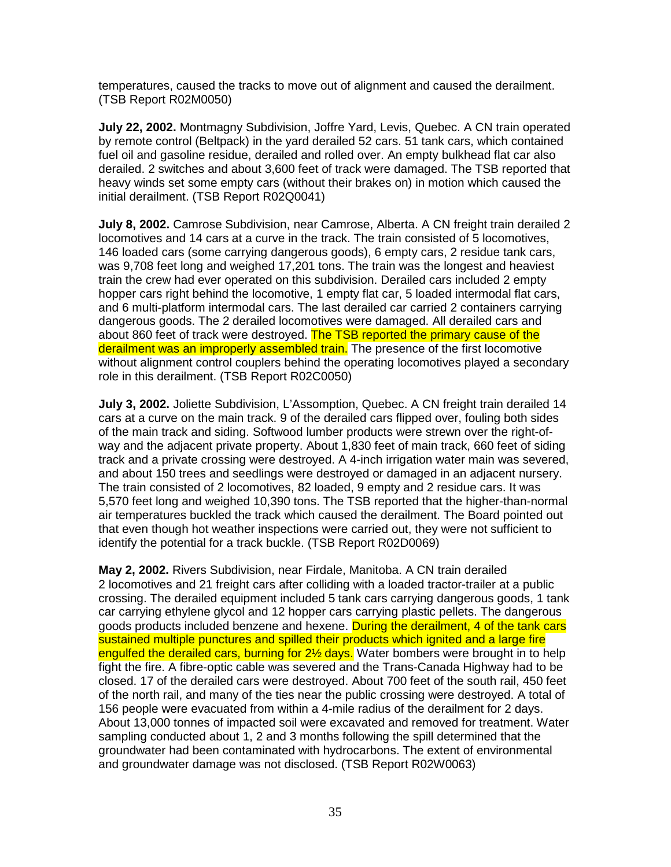temperatures, caused the tracks to move out of alignment and caused the derailment. (TSB Report R02M0050)

**July 22, 2002.** Montmagny Subdivision, Joffre Yard, Levis, Quebec. A CN train operated by remote control (Beltpack) in the yard derailed 52 cars. 51 tank cars, which contained fuel oil and gasoline residue, derailed and rolled over. An empty bulkhead flat car also derailed. 2 switches and about 3,600 feet of track were damaged. The TSB reported that heavy winds set some empty cars (without their brakes on) in motion which caused the initial derailment. (TSB Report R02Q0041)

**July 8, 2002.** Camrose Subdivision, near Camrose, Alberta. A CN freight train derailed 2 locomotives and 14 cars at a curve in the track. The train consisted of 5 locomotives, 146 loaded cars (some carrying dangerous goods), 6 empty cars, 2 residue tank cars, was 9,708 feet long and weighed 17,201 tons. The train was the longest and heaviest train the crew had ever operated on this subdivision. Derailed cars included 2 empty hopper cars right behind the locomotive, 1 empty flat car, 5 loaded intermodal flat cars, and 6 multi-platform intermodal cars. The last derailed car carried 2 containers carrying dangerous goods. The 2 derailed locomotives were damaged. All derailed cars and about 860 feet of track were destroyed. The TSB reported the primary cause of the derailment was an improperly assembled train. The presence of the first locomotive without alignment control couplers behind the operating locomotives played a secondary role in this derailment. (TSB Report R02C0050)

**July 3, 2002.** Joliette Subdivision, L'Assomption, Quebec. A CN freight train derailed 14 cars at a curve on the main track. 9 of the derailed cars flipped over, fouling both sides of the main track and siding. Softwood lumber products were strewn over the right-ofway and the adjacent private property. About 1,830 feet of main track, 660 feet of siding track and a private crossing were destroyed. A 4-inch irrigation water main was severed, and about 150 trees and seedlings were destroyed or damaged in an adjacent nursery. The train consisted of 2 locomotives, 82 loaded, 9 empty and 2 residue cars. It was 5,570 feet long and weighed 10,390 tons. The TSB reported that the higher-than-normal air temperatures buckled the track which caused the derailment. The Board pointed out that even though hot weather inspections were carried out, they were not sufficient to identify the potential for a track buckle. (TSB Report R02D0069)

**May 2, 2002.** Rivers Subdivision, near Firdale, Manitoba. A CN train derailed 2 locomotives and 21 freight cars after colliding with a loaded tractor-trailer at a public crossing. The derailed equipment included 5 tank cars carrying dangerous goods, 1 tank car carrying ethylene glycol and 12 hopper cars carrying plastic pellets. The dangerous goods products included benzene and hexene. During the derailment, 4 of the tank cars sustained multiple punctures and spilled their products which ignited and a large fire engulfed the derailed cars, burning for 2<sup>1/2</sup> days. Water bombers were brought in to help fight the fire. A fibre-optic cable was severed and the Trans-Canada Highway had to be closed. 17 of the derailed cars were destroyed. About 700 feet of the south rail, 450 feet of the north rail, and many of the ties near the public crossing were destroyed. A total of 156 people were evacuated from within a 4-mile radius of the derailment for 2 days. About 13,000 tonnes of impacted soil were excavated and removed for treatment. Water sampling conducted about 1, 2 and 3 months following the spill determined that the groundwater had been contaminated with hydrocarbons. The extent of environmental and groundwater damage was not disclosed. (TSB Report R02W0063)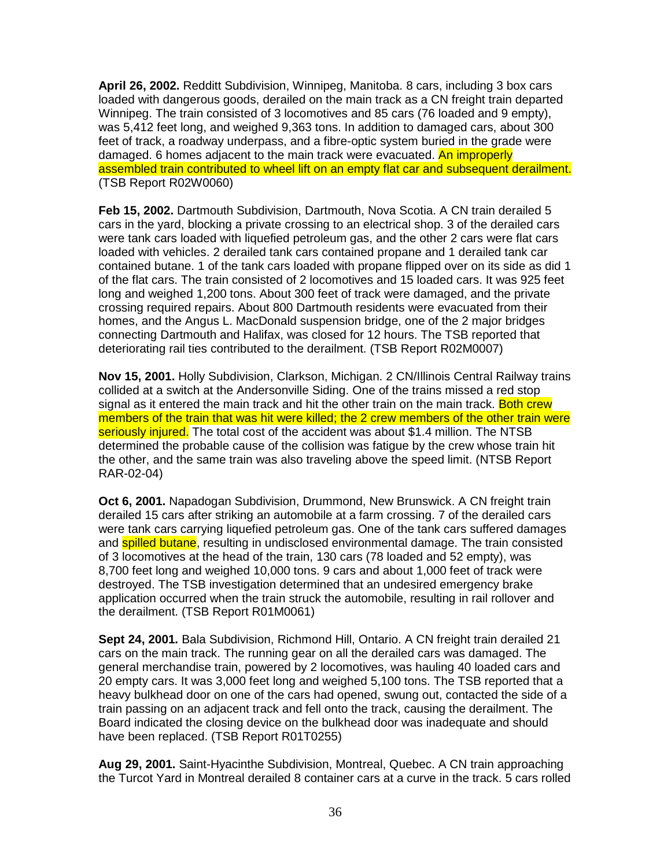**April 26, 2002.** Redditt Subdivision, Winnipeg, Manitoba. 8 cars, including 3 box cars loaded with dangerous goods, derailed on the main track as a CN freight train departed Winnipeg. The train consisted of 3 locomotives and 85 cars (76 loaded and 9 empty), was 5,412 feet long, and weighed 9,363 tons. In addition to damaged cars, about 300 feet of track, a roadway underpass, and a fibre-optic system buried in the grade were damaged. 6 homes adjacent to the main track were evacuated. An improperly assembled train contributed to wheel lift on an empty flat car and subsequent derailment. (TSB Report R02W0060)

**Feb 15, 2002.** Dartmouth Subdivision, Dartmouth, Nova Scotia. A CN train derailed 5 cars in the yard, blocking a private crossing to an electrical shop. 3 of the derailed cars were tank cars loaded with liquefied petroleum gas, and the other 2 cars were flat cars loaded with vehicles. 2 derailed tank cars contained propane and 1 derailed tank car contained butane. 1 of the tank cars loaded with propane flipped over on its side as did 1 of the flat cars. The train consisted of 2 locomotives and 15 loaded cars. It was 925 feet long and weighed 1,200 tons. About 300 feet of track were damaged, and the private crossing required repairs. About 800 Dartmouth residents were evacuated from their homes, and the Angus L. MacDonald suspension bridge, one of the 2 major bridges connecting Dartmouth and Halifax, was closed for 12 hours. The TSB reported that deteriorating rail ties contributed to the derailment. (TSB Report R02M0007)

**Nov 15, 2001.** Holly Subdivision, Clarkson, Michigan. 2 CN/Illinois Central Railway trains collided at a switch at the Andersonville Siding. One of the trains missed a red stop signal as it entered the main track and hit the other train on the main track. Both crew members of the train that was hit were killed; the 2 crew members of the other train were seriously injured. The total cost of the accident was about \$1.4 million. The NTSB determined the probable cause of the collision was fatigue by the crew whose train hit the other, and the same train was also traveling above the speed limit. (NTSB Report RAR-02-04)

**Oct 6, 2001.** Napadogan Subdivision, Drummond, New Brunswick. A CN freight train derailed 15 cars after striking an automobile at a farm crossing. 7 of the derailed cars were tank cars carrying liquefied petroleum gas. One of the tank cars suffered damages and **spilled butane**, resulting in undisclosed environmental damage. The train consisted of 3 locomotives at the head of the train, 130 cars (78 loaded and 52 empty), was 8,700 feet long and weighed 10,000 tons. 9 cars and about 1,000 feet of track were destroyed. The TSB investigation determined that an undesired emergency brake application occurred when the train struck the automobile, resulting in rail rollover and the derailment. (TSB Report R01M0061)

**Sept 24, 2001.** Bala Subdivision, Richmond Hill, Ontario. A CN freight train derailed 21 cars on the main track. The running gear on all the derailed cars was damaged. The general merchandise train, powered by 2 locomotives, was hauling 40 loaded cars and 20 empty cars. It was 3,000 feet long and weighed 5,100 tons. The TSB reported that a heavy bulkhead door on one of the cars had opened, swung out, contacted the side of a train passing on an adjacent track and fell onto the track, causing the derailment. The Board indicated the closing device on the bulkhead door was inadequate and should have been replaced. (TSB Report R01T0255)

**Aug 29, 2001.** Saint-Hyacinthe Subdivision, Montreal, Quebec. A CN train approaching the Turcot Yard in Montreal derailed 8 container cars at a curve in the track. 5 cars rolled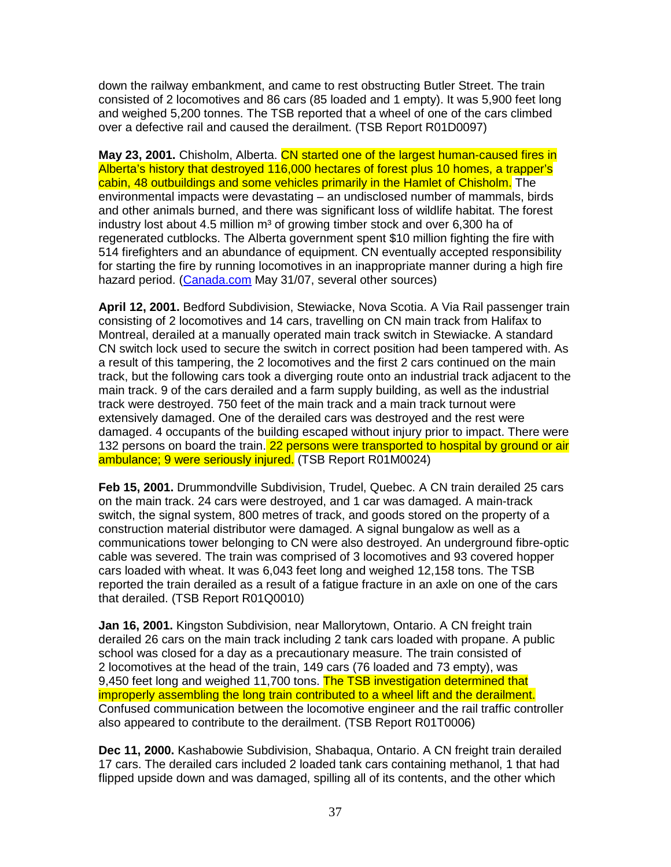down the railway embankment, and came to rest obstructing Butler Street. The train consisted of 2 locomotives and 86 cars (85 loaded and 1 empty). It was 5,900 feet long and weighed 5,200 tonnes. The TSB reported that a wheel of one of the cars climbed over a defective rail and caused the derailment. (TSB Report R01D0097)

**May 23, 2001.** Chisholm, Alberta. CN started one of the largest human-caused fires in Alberta's history that destroyed 116,000 hectares of forest plus 10 homes, a trapper's cabin, 48 outbuildings and some vehicles primarily in the Hamlet of Chisholm. The environmental impacts were devastating – an undisclosed number of mammals, birds and other animals burned, and there was significant loss of wildlife habitat. The forest industry lost about 4.5 million  $m<sup>3</sup>$  of growing timber stock and over 6,300 ha of regenerated cutblocks. The Alberta government spent \$10 million fighting the fire with 514 firefighters and an abundance of equipment. CN eventually accepted responsibility for starting the fire by running locomotives in an inappropriate manner during a high fire hazard period. (Canada.com May 31/07, several other sources)

**April 12, 2001.** Bedford Subdivision, Stewiacke, Nova Scotia. A Via Rail passenger train consisting of 2 locomotives and 14 cars, travelling on CN main track from Halifax to Montreal, derailed at a manually operated main track switch in Stewiacke. A standard CN switch lock used to secure the switch in correct position had been tampered with. As a result of this tampering, the 2 locomotives and the first 2 cars continued on the main track, but the following cars took a diverging route onto an industrial track adjacent to the main track. 9 of the cars derailed and a farm supply building, as well as the industrial track were destroyed. 750 feet of the main track and a main track turnout were extensively damaged. One of the derailed cars was destroyed and the rest were damaged. 4 occupants of the building escaped without injury prior to impact. There were 132 persons on board the train. 22 persons were transported to hospital by ground or air ambulance; 9 were seriously injured. (TSB Report R01M0024)

**Feb 15, 2001.** Drummondville Subdivision, Trudel, Quebec. A CN train derailed 25 cars on the main track. 24 cars were destroyed, and 1 car was damaged. A main-track switch, the signal system, 800 metres of track, and goods stored on the property of a construction material distributor were damaged. A signal bungalow as well as a communications tower belonging to CN were also destroyed. An underground fibre-optic cable was severed. The train was comprised of 3 locomotives and 93 covered hopper cars loaded with wheat. It was 6,043 feet long and weighed 12,158 tons. The TSB reported the train derailed as a result of a fatigue fracture in an axle on one of the cars that derailed. (TSB Report R01Q0010)

**Jan 16, 2001.** Kingston Subdivision, near Mallorytown, Ontario. A CN freight train derailed 26 cars on the main track including 2 tank cars loaded with propane. A public school was closed for a day as a precautionary measure. The train consisted of 2 locomotives at the head of the train, 149 cars (76 loaded and 73 empty), was 9,450 feet long and weighed 11,700 tons. The TSB investigation determined that improperly assembling the long train contributed to a wheel lift and the derailment. Confused communication between the locomotive engineer and the rail traffic controller also appeared to contribute to the derailment. (TSB Report R01T0006)

**Dec 11, 2000.** Kashabowie Subdivision, Shabaqua, Ontario. A CN freight train derailed 17 cars. The derailed cars included 2 loaded tank cars containing methanol, 1 that had flipped upside down and was damaged, spilling all of its contents, and the other which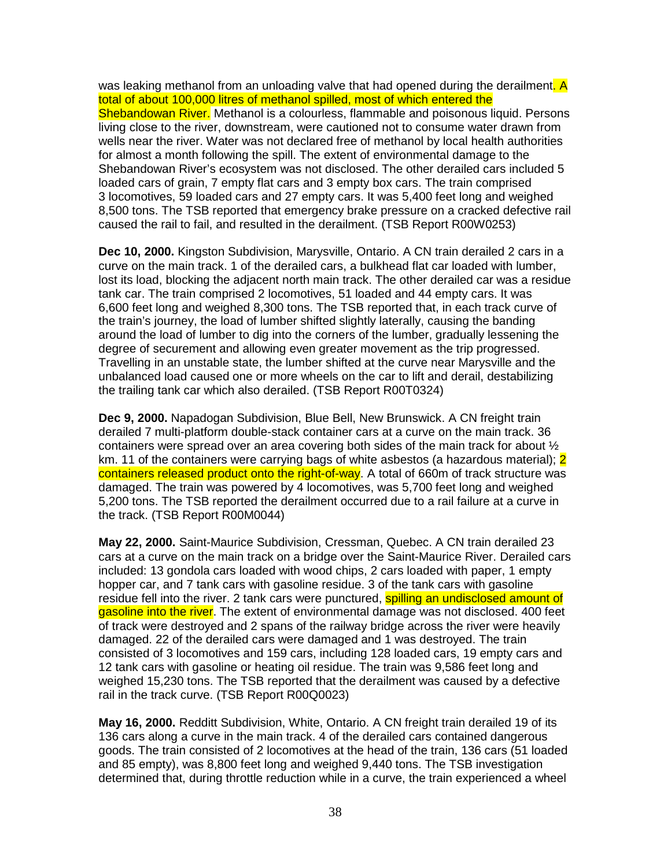was leaking methanol from an unloading valve that had opened during the derailment. A total of about 100,000 litres of methanol spilled, most of which entered the Shebandowan River. Methanol is a colourless, flammable and poisonous liquid. Persons living close to the river, downstream, were cautioned not to consume water drawn from wells near the river. Water was not declared free of methanol by local health authorities for almost a month following the spill. The extent of environmental damage to the Shebandowan River's ecosystem was not disclosed. The other derailed cars included 5 loaded cars of grain, 7 empty flat cars and 3 empty box cars. The train comprised 3 locomotives, 59 loaded cars and 27 empty cars. It was 5,400 feet long and weighed 8,500 tons. The TSB reported that emergency brake pressure on a cracked defective rail caused the rail to fail, and resulted in the derailment. (TSB Report R00W0253)

**Dec 10, 2000.** Kingston Subdivision, Marysville, Ontario. A CN train derailed 2 cars in a curve on the main track. 1 of the derailed cars, a bulkhead flat car loaded with lumber, lost its load, blocking the adjacent north main track. The other derailed car was a residue tank car. The train comprised 2 locomotives, 51 loaded and 44 empty cars. It was 6,600 feet long and weighed 8,300 tons. The TSB reported that, in each track curve of the train's journey, the load of lumber shifted slightly laterally, causing the banding around the load of lumber to dig into the corners of the lumber, gradually lessening the degree of securement and allowing even greater movement as the trip progressed. Travelling in an unstable state, the lumber shifted at the curve near Marysville and the unbalanced load caused one or more wheels on the car to lift and derail, destabilizing the trailing tank car which also derailed. (TSB Report R00T0324)

**Dec 9, 2000.** Napadogan Subdivision, Blue Bell, New Brunswick. A CN freight train derailed 7 multi-platform double-stack container cars at a curve on the main track. 36 containers were spread over an area covering both sides of the main track for about ½ km. 11 of the containers were carrying bags of white asbestos (a hazardous material): 2 containers released product onto the right-of-way. A total of 660m of track structure was damaged. The train was powered by 4 locomotives, was 5,700 feet long and weighed 5,200 tons. The TSB reported the derailment occurred due to a rail failure at a curve in the track. (TSB Report R00M0044)

**May 22, 2000.** Saint-Maurice Subdivision, Cressman, Quebec. A CN train derailed 23 cars at a curve on the main track on a bridge over the Saint-Maurice River. Derailed cars included: 13 gondola cars loaded with wood chips, 2 cars loaded with paper, 1 empty hopper car, and 7 tank cars with gasoline residue. 3 of the tank cars with gasoline residue fell into the river. 2 tank cars were punctured, **spilling an undisclosed amount of** gasoline into the river. The extent of environmental damage was not disclosed. 400 feet of track were destroyed and 2 spans of the railway bridge across the river were heavily damaged. 22 of the derailed cars were damaged and 1 was destroyed. The train consisted of 3 locomotives and 159 cars, including 128 loaded cars, 19 empty cars and 12 tank cars with gasoline or heating oil residue. The train was 9,586 feet long and weighed 15,230 tons. The TSB reported that the derailment was caused by a defective rail in the track curve. (TSB Report R00Q0023)

**May 16, 2000.** Redditt Subdivision, White, Ontario. A CN freight train derailed 19 of its 136 cars along a curve in the main track. 4 of the derailed cars contained dangerous goods. The train consisted of 2 locomotives at the head of the train, 136 cars (51 loaded and 85 empty), was 8,800 feet long and weighed 9,440 tons. The TSB investigation determined that, during throttle reduction while in a curve, the train experienced a wheel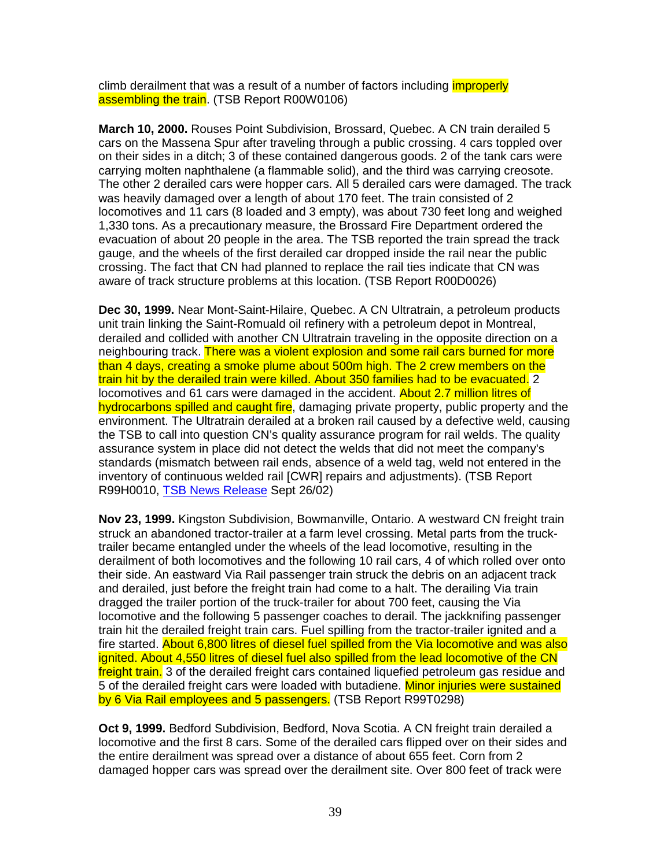climb derailment that was a result of a number of factors including *improperly* assembling the train. (TSB Report R00W0106)

**March 10, 2000.** Rouses Point Subdivision, Brossard, Quebec. A CN train derailed 5 cars on the Massena Spur after traveling through a public crossing. 4 cars toppled over on their sides in a ditch; 3 of these contained dangerous goods. 2 of the tank cars were carrying molten naphthalene (a flammable solid), and the third was carrying creosote. The other 2 derailed cars were hopper cars. All 5 derailed cars were damaged. The track was heavily damaged over a length of about 170 feet. The train consisted of 2 locomotives and 11 cars (8 loaded and 3 empty), was about 730 feet long and weighed 1,330 tons. As a precautionary measure, the Brossard Fire Department ordered the evacuation of about 20 people in the area. The TSB reported the train spread the track gauge, and the wheels of the first derailed car dropped inside the rail near the public crossing. The fact that CN had planned to replace the rail ties indicate that CN was aware of track structure problems at this location. (TSB Report R00D0026)

**Dec 30, 1999.** Near Mont-Saint-Hilaire, Quebec. A CN Ultratrain, a petroleum products unit train linking the Saint-Romuald oil refinery with a petroleum depot in Montreal, derailed and collided with another CN Ultratrain traveling in the opposite direction on a neighbouring track. There was a violent explosion and some rail cars burned for more than 4 days, creating a smoke plume about 500m high. The 2 crew members on the train hit by the derailed train were killed. About 350 families had to be evacuated. 2 locomotives and 61 cars were damaged in the accident. About 2.7 million litres of hydrocarbons spilled and caught fire, damaging private property, public property and the environment. The Ultratrain derailed at a broken rail caused by a defective weld, causing the TSB to call into question CN's quality assurance program for rail welds. The quality assurance system in place did not detect the welds that did not meet the company's standards (mismatch between rail ends, absence of a weld tag, weld not entered in the inventory of continuous welded rail [CWR] repairs and adjustments). (TSB Report R99H0010, TSB News Release Sept 26/02)

**Nov 23, 1999.** Kingston Subdivision, Bowmanville, Ontario. A westward CN freight train struck an abandoned tractor-trailer at a farm level crossing. Metal parts from the trucktrailer became entangled under the wheels of the lead locomotive, resulting in the derailment of both locomotives and the following 10 rail cars, 4 of which rolled over onto their side. An eastward Via Rail passenger train struck the debris on an adjacent track and derailed, just before the freight train had come to a halt. The derailing Via train dragged the trailer portion of the truck-trailer for about 700 feet, causing the Via locomotive and the following 5 passenger coaches to derail. The jackknifing passenger train hit the derailed freight train cars. Fuel spilling from the tractor-trailer ignited and a fire started. About 6,800 litres of diesel fuel spilled from the Via locomotive and was also ignited. About 4,550 litres of diesel fuel also spilled from the lead locomotive of the CN freight train. 3 of the derailed freight cars contained liquefied petroleum gas residue and 5 of the derailed freight cars were loaded with butadiene. Minor injuries were sustained by 6 Via Rail employees and 5 passengers. (TSB Report R99T0298)

**Oct 9, 1999.** Bedford Subdivision, Bedford, Nova Scotia. A CN freight train derailed a locomotive and the first 8 cars. Some of the derailed cars flipped over on their sides and the entire derailment was spread over a distance of about 655 feet. Corn from 2 damaged hopper cars was spread over the derailment site. Over 800 feet of track were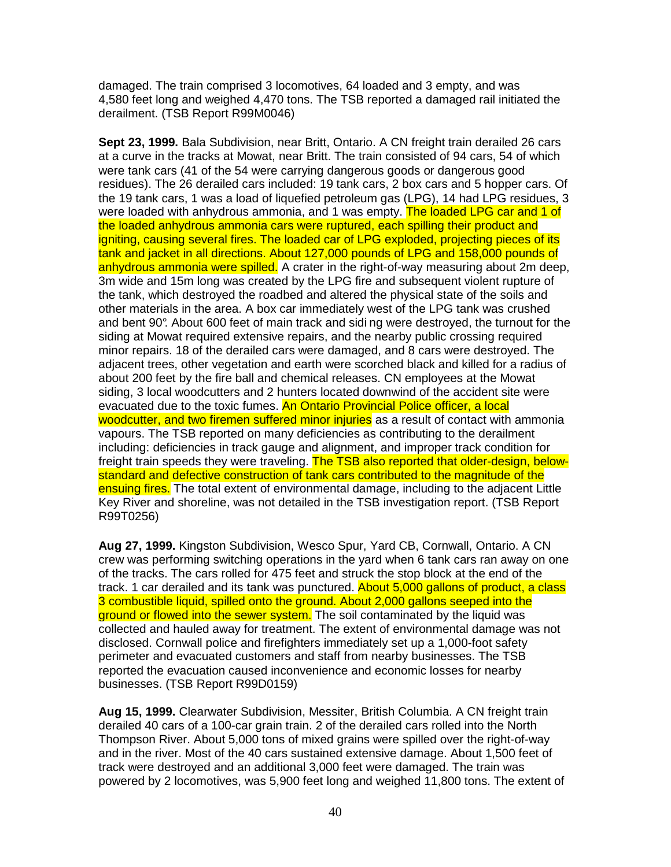damaged. The train comprised 3 locomotives, 64 loaded and 3 empty, and was 4,580 feet long and weighed 4,470 tons. The TSB reported a damaged rail initiated the derailment. (TSB Report R99M0046)

**Sept 23, 1999.** Bala Subdivision, near Britt, Ontario. A CN freight train derailed 26 cars at a curve in the tracks at Mowat, near Britt. The train consisted of 94 cars, 54 of which were tank cars (41 of the 54 were carrying dangerous goods or dangerous good residues). The 26 derailed cars included: 19 tank cars, 2 box cars and 5 hopper cars. Of the 19 tank cars, 1 was a load of liquefied petroleum gas (LPG), 14 had LPG residues, 3 were loaded with anhydrous ammonia, and 1 was empty. The loaded LPG car and 1 of the loaded anhydrous ammonia cars were ruptured, each spilling their product and igniting, causing several fires. The loaded car of LPG exploded, projecting pieces of its tank and jacket in all directions. About 127,000 pounds of LPG and 158,000 pounds of anhydrous ammonia were spilled. A crater in the right-of-way measuring about 2m deep, 3m wide and 15m long was created by the LPG fire and subsequent violent rupture of the tank, which destroyed the roadbed and altered the physical state of the soils and other materials in the area. A box car immediately west of the LPG tank was crushed and bent 90°. About 600 feet of main track and sidi ng were destroyed, the turnout for the siding at Mowat required extensive repairs, and the nearby public crossing required minor repairs. 18 of the derailed cars were damaged, and 8 cars were destroyed. The adjacent trees, other vegetation and earth were scorched black and killed for a radius of about 200 feet by the fire ball and chemical releases. CN employees at the Mowat siding, 3 local woodcutters and 2 hunters located downwind of the accident site were evacuated due to the toxic fumes. An Ontario Provincial Police officer, a local woodcutter, and two firemen suffered minor injuries as a result of contact with ammonia vapours. The TSB reported on many deficiencies as contributing to the derailment including: deficiencies in track gauge and alignment, and improper track condition for freight train speeds they were traveling. The TSB also reported that older-design, belowstandard and defective construction of tank cars contributed to the magnitude of the ensuing fires. The total extent of environmental damage, including to the adjacent Little Key River and shoreline, was not detailed in the TSB investigation report. (TSB Report R99T0256)

**Aug 27, 1999.** Kingston Subdivision, Wesco Spur, Yard CB, Cornwall, Ontario. A CN crew was performing switching operations in the yard when 6 tank cars ran away on one of the tracks. The cars rolled for 475 feet and struck the stop block at the end of the track. 1 car derailed and its tank was punctured. About 5,000 gallons of product, a class 3 combustible liquid, spilled onto the ground. About 2,000 gallons seeped into the ground or flowed into the sewer system. The soil contaminated by the liquid was collected and hauled away for treatment. The extent of environmental damage was not disclosed. Cornwall police and firefighters immediately set up a 1,000-foot safety perimeter and evacuated customers and staff from nearby businesses. The TSB reported the evacuation caused inconvenience and economic losses for nearby businesses. (TSB Report R99D0159)

**Aug 15, 1999.** Clearwater Subdivision, Messiter, British Columbia. A CN freight train derailed 40 cars of a 100-car grain train. 2 of the derailed cars rolled into the North Thompson River. About 5,000 tons of mixed grains were spilled over the right-of-way and in the river. Most of the 40 cars sustained extensive damage. About 1,500 feet of track were destroyed and an additional 3,000 feet were damaged. The train was powered by 2 locomotives, was 5,900 feet long and weighed 11,800 tons. The extent of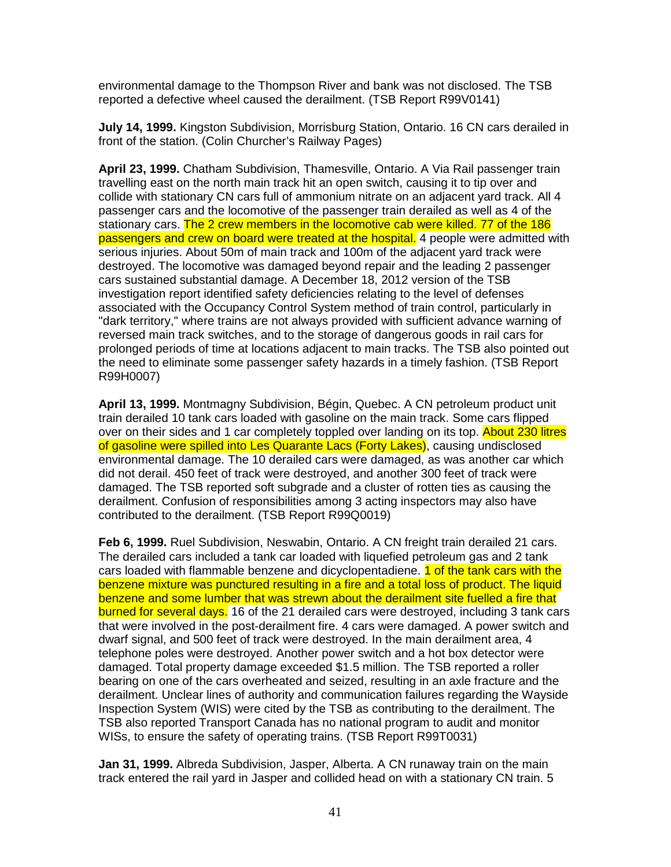environmental damage to the Thompson River and bank was not disclosed. The TSB reported a defective wheel caused the derailment. (TSB Report R99V0141)

**July 14, 1999.** Kingston Subdivision, Morrisburg Station, Ontario. 16 CN cars derailed in front of the station. (Colin Churcher's Railway Pages)

**April 23, 1999.** Chatham Subdivision, Thamesville, Ontario. A Via Rail passenger train travelling east on the north main track hit an open switch, causing it to tip over and collide with stationary CN cars full of ammonium nitrate on an adjacent yard track. All 4 passenger cars and the locomotive of the passenger train derailed as well as 4 of the stationary cars. The 2 crew members in the locomotive cab were killed. 77 of the 186 passengers and crew on board were treated at the hospital. 4 people were admitted with serious injuries. About 50m of main track and 100m of the adjacent yard track were destroyed. The locomotive was damaged beyond repair and the leading 2 passenger cars sustained substantial damage. A December 18, 2012 version of the TSB investigation report identified safety deficiencies relating to the level of defenses associated with the Occupancy Control System method of train control, particularly in "dark territory," where trains are not always provided with sufficient advance warning of reversed main track switches, and to the storage of dangerous goods in rail cars for prolonged periods of time at locations adjacent to main tracks. The TSB also pointed out the need to eliminate some passenger safety hazards in a timely fashion. (TSB Report R99H0007)

**April 13, 1999.** Montmagny Subdivision, Bégin, Quebec. A CN petroleum product unit train derailed 10 tank cars loaded with gasoline on the main track. Some cars flipped over on their sides and 1 car completely toppled over landing on its top. About 230 litres of gasoline were spilled into Les Quarante Lacs (Forty Lakes), causing undisclosed environmental damage. The 10 derailed cars were damaged, as was another car which did not derail. 450 feet of track were destroyed, and another 300 feet of track were damaged. The TSB reported soft subgrade and a cluster of rotten ties as causing the derailment. Confusion of responsibilities among 3 acting inspectors may also have contributed to the derailment. (TSB Report R99Q0019)

**Feb 6, 1999.** Ruel Subdivision, Neswabin, Ontario. A CN freight train derailed 21 cars. The derailed cars included a tank car loaded with liquefied petroleum gas and 2 tank cars loaded with flammable benzene and dicyclopentadiene. **1 of the tank cars with the** benzene mixture was punctured resulting in a fire and a total loss of product. The liquid benzene and some lumber that was strewn about the derailment site fuelled a fire that burned for several days. 16 of the 21 derailed cars were destroyed, including 3 tank cars that were involved in the post-derailment fire. 4 cars were damaged. A power switch and dwarf signal, and 500 feet of track were destroyed. In the main derailment area, 4 telephone poles were destroyed. Another power switch and a hot box detector were damaged. Total property damage exceeded \$1.5 million. The TSB reported a roller bearing on one of the cars overheated and seized, resulting in an axle fracture and the derailment. Unclear lines of authority and communication failures regarding the Wayside Inspection System (WIS) were cited by the TSB as contributing to the derailment. The TSB also reported Transport Canada has no national program to audit and monitor WISs, to ensure the safety of operating trains. (TSB Report R99T0031)

**Jan 31, 1999.** Albreda Subdivision, Jasper, Alberta. A CN runaway train on the main track entered the rail yard in Jasper and collided head on with a stationary CN train. 5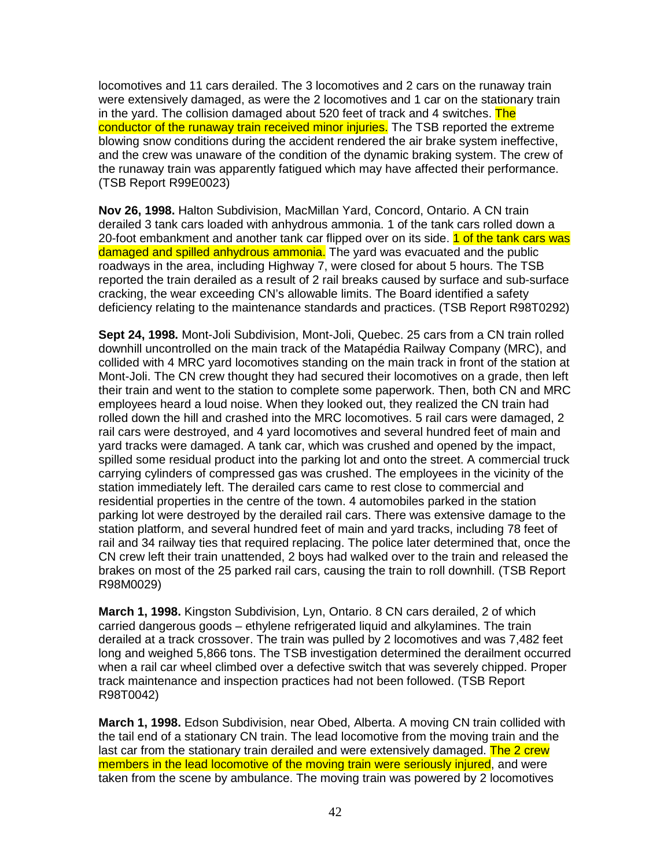locomotives and 11 cars derailed. The 3 locomotives and 2 cars on the runaway train were extensively damaged, as were the 2 locomotives and 1 car on the stationary train in the yard. The collision damaged about 520 feet of track and 4 switches. The conductor of the runaway train received minor injuries. The TSB reported the extreme blowing snow conditions during the accident rendered the air brake system ineffective, and the crew was unaware of the condition of the dynamic braking system. The crew of the runaway train was apparently fatigued which may have affected their performance. (TSB Report R99E0023)

**Nov 26, 1998.** Halton Subdivision, MacMillan Yard, Concord, Ontario. A CN train derailed 3 tank cars loaded with anhydrous ammonia. 1 of the tank cars rolled down a 20-foot embankment and another tank car flipped over on its side. 1 of the tank cars was damaged and spilled anhydrous ammonia. The yard was evacuated and the public roadways in the area, including Highway 7, were closed for about 5 hours. The TSB reported the train derailed as a result of 2 rail breaks caused by surface and sub-surface cracking, the wear exceeding CN's allowable limits. The Board identified a safety deficiency relating to the maintenance standards and practices. (TSB Report R98T0292)

**Sept 24, 1998.** Mont-Joli Subdivision, Mont-Joli, Quebec. 25 cars from a CN train rolled downhill uncontrolled on the main track of the Matapédia Railway Company (MRC), and collided with 4 MRC yard locomotives standing on the main track in front of the station at Mont-Joli. The CN crew thought they had secured their locomotives on a grade, then left their train and went to the station to complete some paperwork. Then, both CN and MRC employees heard a loud noise. When they looked out, they realized the CN train had rolled down the hill and crashed into the MRC locomotives. 5 rail cars were damaged, 2 rail cars were destroyed, and 4 yard locomotives and several hundred feet of main and yard tracks were damaged. A tank car, which was crushed and opened by the impact, spilled some residual product into the parking lot and onto the street. A commercial truck carrying cylinders of compressed gas was crushed. The employees in the vicinity of the station immediately left. The derailed cars came to rest close to commercial and residential properties in the centre of the town. 4 automobiles parked in the station parking lot were destroyed by the derailed rail cars. There was extensive damage to the station platform, and several hundred feet of main and yard tracks, including 78 feet of rail and 34 railway ties that required replacing. The police later determined that, once the CN crew left their train unattended, 2 boys had walked over to the train and released the brakes on most of the 25 parked rail cars, causing the train to roll downhill. (TSB Report R98M0029)

**March 1, 1998.** Kingston Subdivision, Lyn, Ontario. 8 CN cars derailed, 2 of which carried dangerous goods – ethylene refrigerated liquid and alkylamines. The train derailed at a track crossover. The train was pulled by 2 locomotives and was 7,482 feet long and weighed 5,866 tons. The TSB investigation determined the derailment occurred when a rail car wheel climbed over a defective switch that was severely chipped. Proper track maintenance and inspection practices had not been followed. (TSB Report R98T0042)

**March 1, 1998.** Edson Subdivision, near Obed, Alberta. A moving CN train collided with the tail end of a stationary CN train. The lead locomotive from the moving train and the last car from the stationary train derailed and were extensively damaged. The 2 crew members in the lead locomotive of the moving train were seriously injured, and were taken from the scene by ambulance. The moving train was powered by 2 locomotives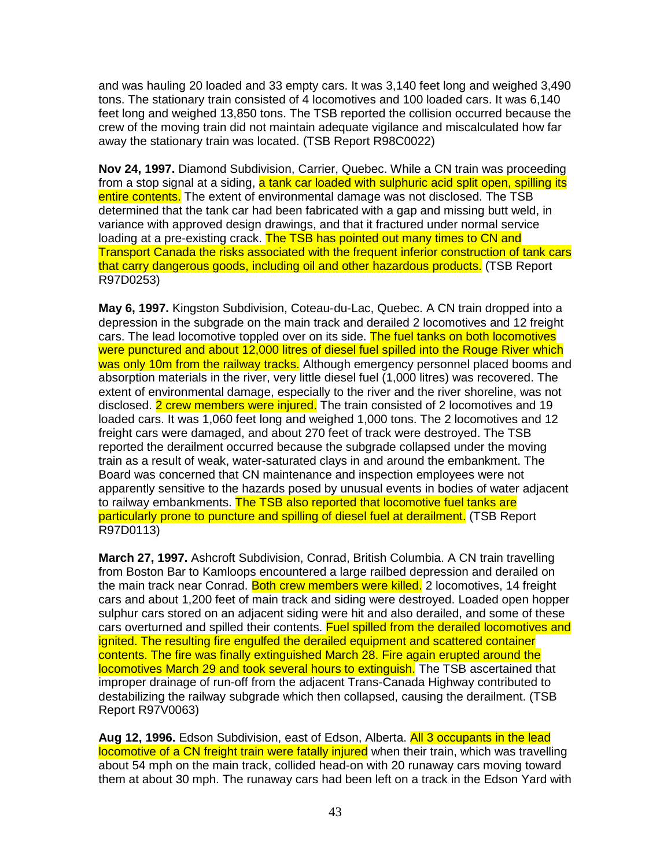and was hauling 20 loaded and 33 empty cars. It was 3,140 feet long and weighed 3,490 tons. The stationary train consisted of 4 locomotives and 100 loaded cars. It was 6,140 feet long and weighed 13,850 tons. The TSB reported the collision occurred because the crew of the moving train did not maintain adequate vigilance and miscalculated how far away the stationary train was located. (TSB Report R98C0022)

**Nov 24, 1997.** Diamond Subdivision, Carrier, Quebec. While a CN train was proceeding from a stop signal at a siding, a tank car loaded with sulphuric acid split open, spilling its entire contents. The extent of environmental damage was not disclosed. The TSB determined that the tank car had been fabricated with a gap and missing butt weld, in variance with approved design drawings, and that it fractured under normal service loading at a pre-existing crack. The TSB has pointed out many times to CN and Transport Canada the risks associated with the frequent inferior construction of tank cars that carry dangerous goods, including oil and other hazardous products. (TSB Report R97D0253)

**May 6, 1997.** Kingston Subdivision, Coteau-du-Lac, Quebec. A CN train dropped into a depression in the subgrade on the main track and derailed 2 locomotives and 12 freight cars. The lead locomotive toppled over on its side. The fuel tanks on both locomotives were punctured and about 12,000 litres of diesel fuel spilled into the Rouge River which was only 10m from the railway tracks. Although emergency personnel placed booms and absorption materials in the river, very little diesel fuel (1,000 litres) was recovered. The extent of environmental damage, especially to the river and the river shoreline, was not disclosed. 2 crew members were injured. The train consisted of 2 locomotives and 19 loaded cars. It was 1,060 feet long and weighed 1,000 tons. The 2 locomotives and 12 freight cars were damaged, and about 270 feet of track were destroyed. The TSB reported the derailment occurred because the subgrade collapsed under the moving train as a result of weak, water-saturated clays in and around the embankment. The Board was concerned that CN maintenance and inspection employees were not apparently sensitive to the hazards posed by unusual events in bodies of water adjacent to railway embankments. The TSB also reported that locomotive fuel tanks are particularly prone to puncture and spilling of diesel fuel at derailment. (TSB Report R97D0113)

**March 27, 1997.** Ashcroft Subdivision, Conrad, British Columbia. A CN train travelling from Boston Bar to Kamloops encountered a large railbed depression and derailed on the main track near Conrad. Both crew members were killed. 2 locomotives, 14 freight cars and about 1,200 feet of main track and siding were destroyed. Loaded open hopper sulphur cars stored on an adjacent siding were hit and also derailed, and some of these cars overturned and spilled their contents. Fuel spilled from the derailed locomotives and ignited. The resulting fire engulfed the derailed equipment and scattered container contents. The fire was finally extinguished March 28. Fire again erupted around the locomotives March 29 and took several hours to extinguish. The TSB ascertained that improper drainage of run-off from the adjacent Trans-Canada Highway contributed to destabilizing the railway subgrade which then collapsed, causing the derailment. (TSB Report R97V0063)

**Aug 12, 1996.** Edson Subdivision, east of Edson, Alberta. All 3 occupants in the lead locomotive of a CN freight train were fatally injured when their train, which was travelling about 54 mph on the main track, collided head-on with 20 runaway cars moving toward them at about 30 mph. The runaway cars had been left on a track in the Edson Yard with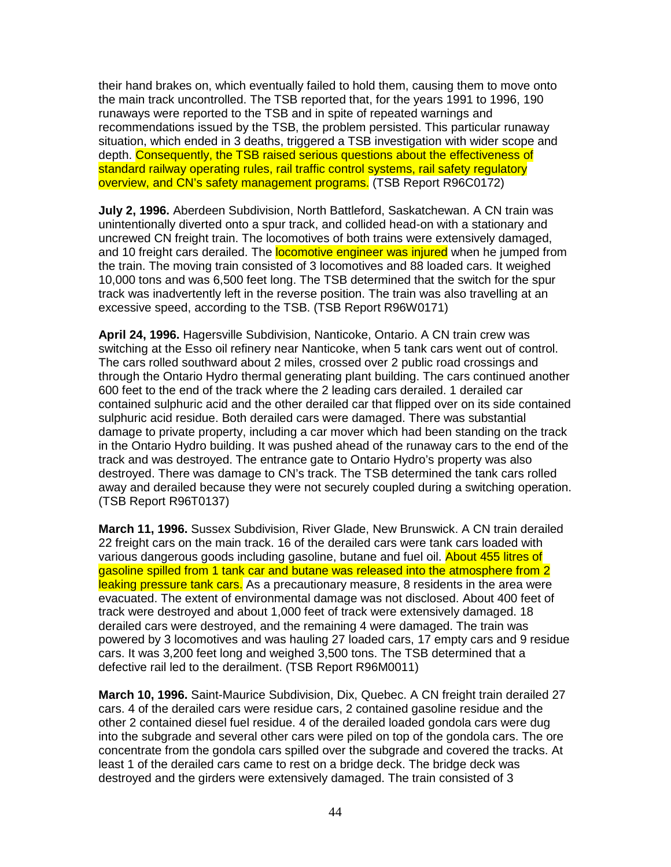their hand brakes on, which eventually failed to hold them, causing them to move onto the main track uncontrolled. The TSB reported that, for the years 1991 to 1996, 190 runaways were reported to the TSB and in spite of repeated warnings and recommendations issued by the TSB, the problem persisted. This particular runaway situation, which ended in 3 deaths, triggered a TSB investigation with wider scope and depth. Consequently, the TSB raised serious questions about the effectiveness of standard railway operating rules, rail traffic control systems, rail safety regulatory overview, and CN's safety management programs. (TSB Report R96C0172)

**July 2, 1996.** Aberdeen Subdivision, North Battleford, Saskatchewan. A CN train was unintentionally diverted onto a spur track, and collided head-on with a stationary and uncrewed CN freight train. The locomotives of both trains were extensively damaged, and 10 freight cars derailed. The **locomotive engineer was injured** when he jumped from the train. The moving train consisted of 3 locomotives and 88 loaded cars. It weighed 10,000 tons and was 6,500 feet long. The TSB determined that the switch for the spur track was inadvertently left in the reverse position. The train was also travelling at an excessive speed, according to the TSB. (TSB Report R96W0171)

**April 24, 1996.** Hagersville Subdivision, Nanticoke, Ontario. A CN train crew was switching at the Esso oil refinery near Nanticoke, when 5 tank cars went out of control. The cars rolled southward about 2 miles, crossed over 2 public road crossings and through the Ontario Hydro thermal generating plant building. The cars continued another 600 feet to the end of the track where the 2 leading cars derailed. 1 derailed car contained sulphuric acid and the other derailed car that flipped over on its side contained sulphuric acid residue. Both derailed cars were damaged. There was substantial damage to private property, including a car mover which had been standing on the track in the Ontario Hydro building. It was pushed ahead of the runaway cars to the end of the track and was destroyed. The entrance gate to Ontario Hydro's property was also destroyed. There was damage to CN's track. The TSB determined the tank cars rolled away and derailed because they were not securely coupled during a switching operation. (TSB Report R96T0137)

**March 11, 1996.** Sussex Subdivision, River Glade, New Brunswick. A CN train derailed 22 freight cars on the main track. 16 of the derailed cars were tank cars loaded with various dangerous goods including gasoline, butane and fuel oil. About 455 litres of gasoline spilled from 1 tank car and butane was released into the atmosphere from 2 leaking pressure tank cars. As a precautionary measure, 8 residents in the area were evacuated. The extent of environmental damage was not disclosed. About 400 feet of track were destroyed and about 1,000 feet of track were extensively damaged. 18 derailed cars were destroyed, and the remaining 4 were damaged. The train was powered by 3 locomotives and was hauling 27 loaded cars, 17 empty cars and 9 residue cars. It was 3,200 feet long and weighed 3,500 tons. The TSB determined that a defective rail led to the derailment. (TSB Report R96M0011)

**March 10, 1996.** Saint-Maurice Subdivision, Dix, Quebec. A CN freight train derailed 27 cars. 4 of the derailed cars were residue cars, 2 contained gasoline residue and the other 2 contained diesel fuel residue. 4 of the derailed loaded gondola cars were dug into the subgrade and several other cars were piled on top of the gondola cars. The ore concentrate from the gondola cars spilled over the subgrade and covered the tracks. At least 1 of the derailed cars came to rest on a bridge deck. The bridge deck was destroyed and the girders were extensively damaged. The train consisted of 3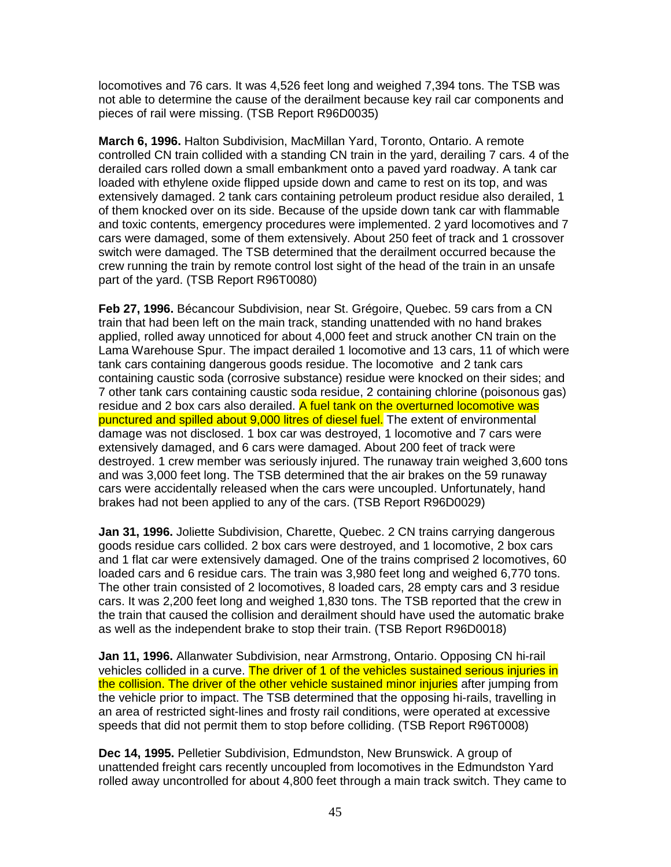locomotives and 76 cars. It was 4,526 feet long and weighed 7,394 tons. The TSB was not able to determine the cause of the derailment because key rail car components and pieces of rail were missing. (TSB Report R96D0035)

**March 6, 1996.** Halton Subdivision, MacMillan Yard, Toronto, Ontario. A remote controlled CN train collided with a standing CN train in the yard, derailing 7 cars. 4 of the derailed cars rolled down a small embankment onto a paved yard roadway. A tank car loaded with ethylene oxide flipped upside down and came to rest on its top, and was extensively damaged. 2 tank cars containing petroleum product residue also derailed, 1 of them knocked over on its side. Because of the upside down tank car with flammable and toxic contents, emergency procedures were implemented. 2 yard locomotives and 7 cars were damaged, some of them extensively. About 250 feet of track and 1 crossover switch were damaged. The TSB determined that the derailment occurred because the crew running the train by remote control lost sight of the head of the train in an unsafe part of the yard. (TSB Report R96T0080)

**Feb 27, 1996.** Bécancour Subdivision, near St. Grégoire, Quebec. 59 cars from a CN train that had been left on the main track, standing unattended with no hand brakes applied, rolled away unnoticed for about 4,000 feet and struck another CN train on the Lama Warehouse Spur. The impact derailed 1 locomotive and 13 cars, 11 of which were tank cars containing dangerous goods residue. The locomotive and 2 tank cars containing caustic soda (corrosive substance) residue were knocked on their sides; and 7 other tank cars containing caustic soda residue, 2 containing chlorine (poisonous gas) residue and 2 box cars also derailed. A fuel tank on the overturned locomotive was punctured and spilled about 9,000 litres of diesel fuel. The extent of environmental damage was not disclosed. 1 box car was destroyed, 1 locomotive and 7 cars were extensively damaged, and 6 cars were damaged. About 200 feet of track were destroyed. 1 crew member was seriously injured. The runaway train weighed 3,600 tons and was 3,000 feet long. The TSB determined that the air brakes on the 59 runaway cars were accidentally released when the cars were uncoupled. Unfortunately, hand brakes had not been applied to any of the cars. (TSB Report R96D0029)

**Jan 31, 1996.** Joliette Subdivision, Charette, Quebec. 2 CN trains carrying dangerous goods residue cars collided. 2 box cars were destroyed, and 1 locomotive, 2 box cars and 1 flat car were extensively damaged. One of the trains comprised 2 locomotives, 60 loaded cars and 6 residue cars. The train was 3,980 feet long and weighed 6,770 tons. The other train consisted of 2 locomotives, 8 loaded cars, 28 empty cars and 3 residue cars. It was 2,200 feet long and weighed 1,830 tons. The TSB reported that the crew in the train that caused the collision and derailment should have used the automatic brake as well as the independent brake to stop their train. (TSB Report R96D0018)

**Jan 11, 1996.** Allanwater Subdivision, near Armstrong, Ontario. Opposing CN hi-rail vehicles collided in a curve. The driver of 1 of the vehicles sustained serious injuries in the collision. The driver of the other vehicle sustained minor injuries after jumping from the vehicle prior to impact. The TSB determined that the opposing hi-rails, travelling in an area of restricted sight-lines and frosty rail conditions, were operated at excessive speeds that did not permit them to stop before colliding. (TSB Report R96T0008)

**Dec 14, 1995.** Pelletier Subdivision, Edmundston, New Brunswick. A group of unattended freight cars recently uncoupled from locomotives in the Edmundston Yard rolled away uncontrolled for about 4,800 feet through a main track switch. They came to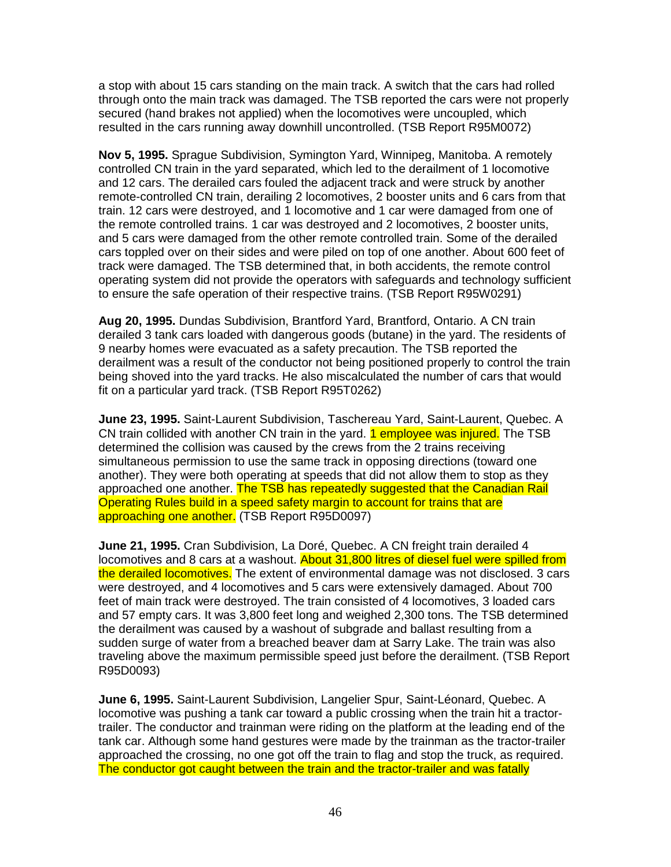a stop with about 15 cars standing on the main track. A switch that the cars had rolled through onto the main track was damaged. The TSB reported the cars were not properly secured (hand brakes not applied) when the locomotives were uncoupled, which resulted in the cars running away downhill uncontrolled. (TSB Report R95M0072)

**Nov 5, 1995.** Sprague Subdivision, Symington Yard, Winnipeg, Manitoba. A remotely controlled CN train in the yard separated, which led to the derailment of 1 locomotive and 12 cars. The derailed cars fouled the adjacent track and were struck by another remote-controlled CN train, derailing 2 locomotives, 2 booster units and 6 cars from that train. 12 cars were destroyed, and 1 locomotive and 1 car were damaged from one of the remote controlled trains. 1 car was destroyed and 2 locomotives, 2 booster units, and 5 cars were damaged from the other remote controlled train. Some of the derailed cars toppled over on their sides and were piled on top of one another. About 600 feet of track were damaged. The TSB determined that, in both accidents, the remote control operating system did not provide the operators with safeguards and technology sufficient to ensure the safe operation of their respective trains. (TSB Report R95W0291)

**Aug 20, 1995.** Dundas Subdivision, Brantford Yard, Brantford, Ontario. A CN train derailed 3 tank cars loaded with dangerous goods (butane) in the yard. The residents of 9 nearby homes were evacuated as a safety precaution. The TSB reported the derailment was a result of the conductor not being positioned properly to control the train being shoved into the yard tracks. He also miscalculated the number of cars that would fit on a particular yard track. (TSB Report R95T0262)

**June 23, 1995.** Saint-Laurent Subdivision, Taschereau Yard, Saint-Laurent, Quebec. A CN train collided with another CN train in the yard. **1 employee was injured.** The TSB determined the collision was caused by the crews from the 2 trains receiving simultaneous permission to use the same track in opposing directions (toward one another). They were both operating at speeds that did not allow them to stop as they approached one another. The TSB has repeatedly suggested that the Canadian Rail Operating Rules build in a speed safety margin to account for trains that are approaching one another. (TSB Report R95D0097)

**June 21, 1995.** Cran Subdivision, La Doré, Quebec. A CN freight train derailed 4 locomotives and 8 cars at a washout. About 31,800 litres of diesel fuel were spilled from the derailed locomotives. The extent of environmental damage was not disclosed. 3 cars were destroyed, and 4 locomotives and 5 cars were extensively damaged. About 700 feet of main track were destroyed. The train consisted of 4 locomotives, 3 loaded cars and 57 empty cars. It was 3,800 feet long and weighed 2,300 tons. The TSB determined the derailment was caused by a washout of subgrade and ballast resulting from a sudden surge of water from a breached beaver dam at Sarry Lake. The train was also traveling above the maximum permissible speed just before the derailment. (TSB Report R95D0093)

**June 6, 1995.** Saint-Laurent Subdivision, Langelier Spur, Saint-Léonard, Quebec. A locomotive was pushing a tank car toward a public crossing when the train hit a tractortrailer. The conductor and trainman were riding on the platform at the leading end of the tank car. Although some hand gestures were made by the trainman as the tractor-trailer approached the crossing, no one got off the train to flag and stop the truck, as required. The conductor got caught between the train and the tractor-trailer and was fatally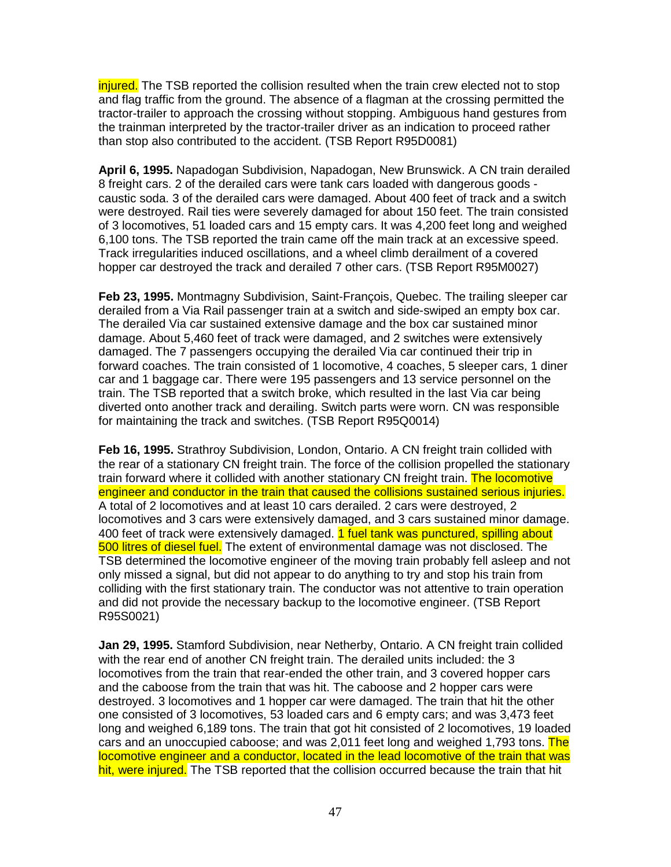injured. The TSB reported the collision resulted when the train crew elected not to stop and flag traffic from the ground. The absence of a flagman at the crossing permitted the tractor-trailer to approach the crossing without stopping. Ambiguous hand gestures from the trainman interpreted by the tractor-trailer driver as an indication to proceed rather than stop also contributed to the accident. (TSB Report R95D0081)

**April 6, 1995.** Napadogan Subdivision, Napadogan, New Brunswick. A CN train derailed 8 freight cars. 2 of the derailed cars were tank cars loaded with dangerous goods caustic soda. 3 of the derailed cars were damaged. About 400 feet of track and a switch were destroyed. Rail ties were severely damaged for about 150 feet. The train consisted of 3 locomotives, 51 loaded cars and 15 empty cars. It was 4,200 feet long and weighed 6,100 tons. The TSB reported the train came off the main track at an excessive speed. Track irregularities induced oscillations, and a wheel climb derailment of a covered hopper car destroyed the track and derailed 7 other cars. (TSB Report R95M0027)

**Feb 23, 1995.** Montmagny Subdivision, Saint-François, Quebec. The trailing sleeper car derailed from a Via Rail passenger train at a switch and side-swiped an empty box car. The derailed Via car sustained extensive damage and the box car sustained minor damage. About 5,460 feet of track were damaged, and 2 switches were extensively damaged. The 7 passengers occupying the derailed Via car continued their trip in forward coaches. The train consisted of 1 locomotive, 4 coaches, 5 sleeper cars, 1 diner car and 1 baggage car. There were 195 passengers and 13 service personnel on the train. The TSB reported that a switch broke, which resulted in the last Via car being diverted onto another track and derailing. Switch parts were worn. CN was responsible for maintaining the track and switches. (TSB Report R95Q0014)

**Feb 16, 1995.** Strathroy Subdivision, London, Ontario. A CN freight train collided with the rear of a stationary CN freight train. The force of the collision propelled the stationary train forward where it collided with another stationary CN freight train. The locomotive engineer and conductor in the train that caused the collisions sustained serious injuries. A total of 2 locomotives and at least 10 cars derailed. 2 cars were destroyed, 2 locomotives and 3 cars were extensively damaged, and 3 cars sustained minor damage. 400 feet of track were extensively damaged. 1 fuel tank was punctured, spilling about 500 litres of diesel fuel. The extent of environmental damage was not disclosed. The TSB determined the locomotive engineer of the moving train probably fell asleep and not only missed a signal, but did not appear to do anything to try and stop his train from colliding with the first stationary train. The conductor was not attentive to train operation and did not provide the necessary backup to the locomotive engineer. (TSB Report R95S0021)

**Jan 29, 1995.** Stamford Subdivision, near Netherby, Ontario. A CN freight train collided with the rear end of another CN freight train. The derailed units included: the 3 locomotives from the train that rear-ended the other train, and 3 covered hopper cars and the caboose from the train that was hit. The caboose and 2 hopper cars were destroyed. 3 locomotives and 1 hopper car were damaged. The train that hit the other one consisted of 3 locomotives, 53 loaded cars and 6 empty cars; and was 3,473 feet long and weighed 6,189 tons. The train that got hit consisted of 2 locomotives, 19 loaded cars and an unoccupied caboose; and was 2,011 feet long and weighed 1,793 tons. The locomotive engineer and a conductor, located in the lead locomotive of the train that was hit, were injured. The TSB reported that the collision occurred because the train that hit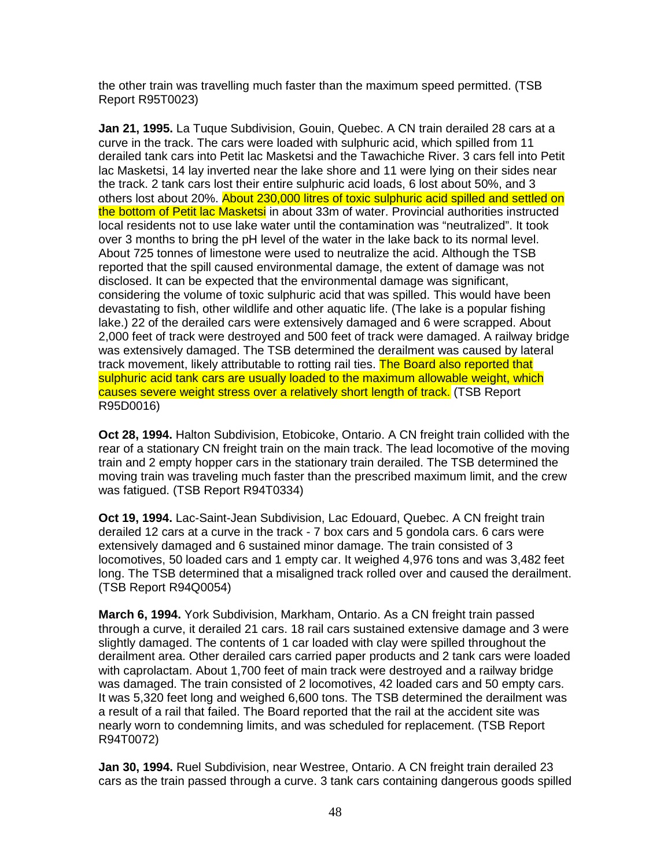the other train was travelling much faster than the maximum speed permitted. (TSB Report R95T0023)

**Jan 21, 1995.** La Tuque Subdivision, Gouin, Quebec. A CN train derailed 28 cars at a curve in the track. The cars were loaded with sulphuric acid, which spilled from 11 derailed tank cars into Petit lac Masketsi and the Tawachiche River. 3 cars fell into Petit lac Masketsi, 14 lay inverted near the lake shore and 11 were lying on their sides near the track. 2 tank cars lost their entire sulphuric acid loads, 6 lost about 50%, and 3 others lost about 20%. About 230,000 litres of toxic sulphuric acid spilled and settled on the bottom of Petit lac Masketsi in about 33m of water. Provincial authorities instructed local residents not to use lake water until the contamination was "neutralized". It took over 3 months to bring the pH level of the water in the lake back to its normal level. About 725 tonnes of limestone were used to neutralize the acid. Although the TSB reported that the spill caused environmental damage, the extent of damage was not disclosed. It can be expected that the environmental damage was significant, considering the volume of toxic sulphuric acid that was spilled. This would have been devastating to fish, other wildlife and other aquatic life. (The lake is a popular fishing lake.) 22 of the derailed cars were extensively damaged and 6 were scrapped. About 2,000 feet of track were destroyed and 500 feet of track were damaged. A railway bridge was extensively damaged. The TSB determined the derailment was caused by lateral track movement, likely attributable to rotting rail ties. The Board also reported that sulphuric acid tank cars are usually loaded to the maximum allowable weight, which causes severe weight stress over a relatively short length of track. (TSB Report R95D0016)

**Oct 28, 1994.** Halton Subdivision, Etobicoke, Ontario. A CN freight train collided with the rear of a stationary CN freight train on the main track. The lead locomotive of the moving train and 2 empty hopper cars in the stationary train derailed. The TSB determined the moving train was traveling much faster than the prescribed maximum limit, and the crew was fatigued. (TSB Report R94T0334)

**Oct 19, 1994.** Lac-Saint-Jean Subdivision, Lac Edouard, Quebec. A CN freight train derailed 12 cars at a curve in the track - 7 box cars and 5 gondola cars. 6 cars were extensively damaged and 6 sustained minor damage. The train consisted of 3 locomotives, 50 loaded cars and 1 empty car. It weighed 4,976 tons and was 3,482 feet long. The TSB determined that a misaligned track rolled over and caused the derailment. (TSB Report R94Q0054)

**March 6, 1994.** York Subdivision, Markham, Ontario. As a CN freight train passed through a curve, it derailed 21 cars. 18 rail cars sustained extensive damage and 3 were slightly damaged. The contents of 1 car loaded with clay were spilled throughout the derailment area. Other derailed cars carried paper products and 2 tank cars were loaded with caprolactam. About 1,700 feet of main track were destroyed and a railway bridge was damaged. The train consisted of 2 locomotives, 42 loaded cars and 50 empty cars. It was 5,320 feet long and weighed 6,600 tons. The TSB determined the derailment was a result of a rail that failed. The Board reported that the rail at the accident site was nearly worn to condemning limits, and was scheduled for replacement. (TSB Report R94T0072)

**Jan 30, 1994.** Ruel Subdivision, near Westree, Ontario. A CN freight train derailed 23 cars as the train passed through a curve. 3 tank cars containing dangerous goods spilled